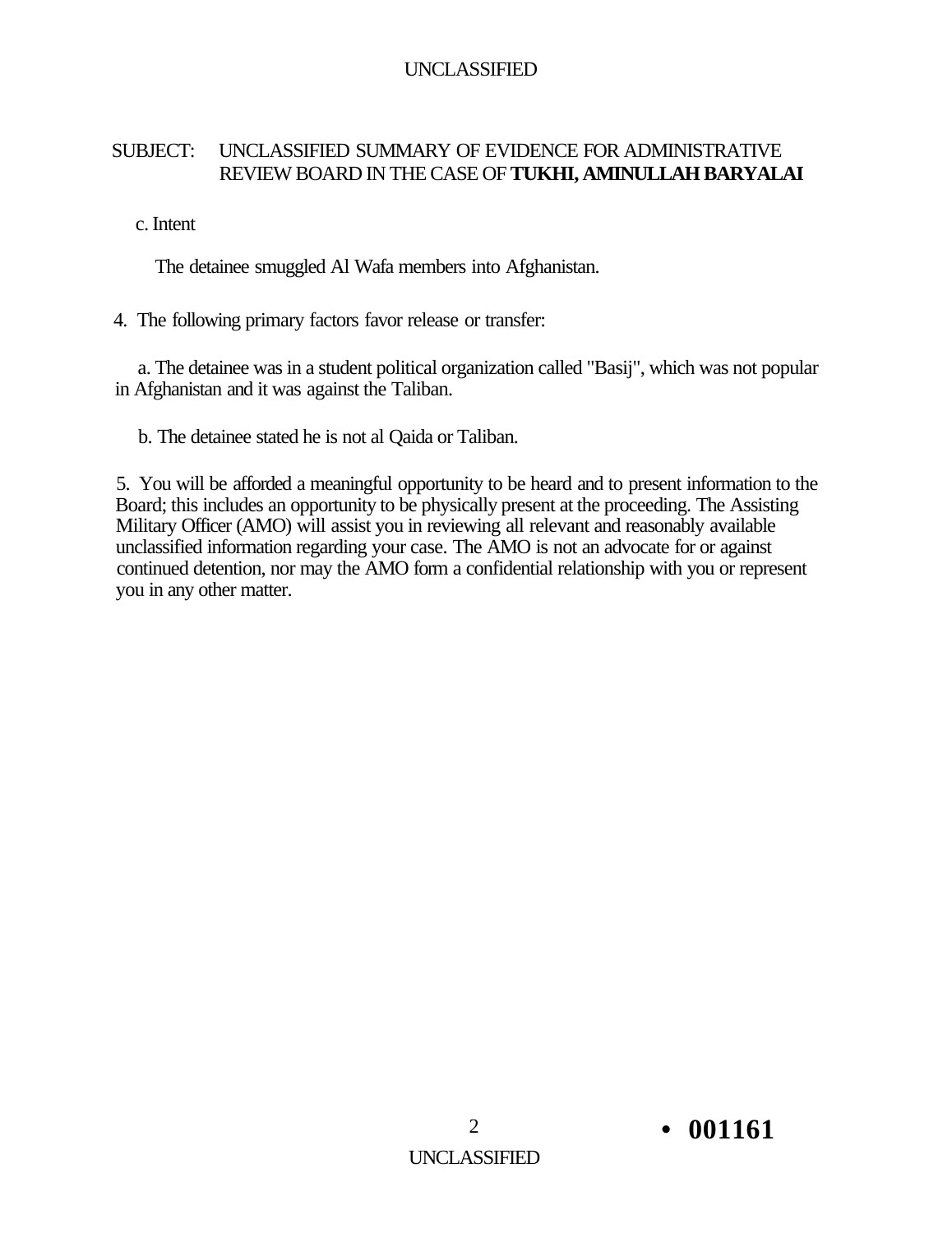#### SUBJECT: UNCLASSIFIED SUMMARY OF EVIDENCE FOR ADMINISTRATIVE REVIEW BOARD IN THE CASE OF **TUKHI, AMINULLAH BARYALAI**

#### c. Intent

The detainee smuggled Al Wafa members into Afghanistan.

#### 4. The following primary factors favor release or transfer:

a. The detainee was in a student political organization called "Basij", which was not popular in Afghanistan and it was against the Taliban.

b. The detainee stated he is not al Qaida or Taliban.

5. You will be afforded a meaningful opportunity to be heard and to present information to the Board; this includes an opportunity to be physically present at the proceeding. The Assisting Military Officer (AMO) will assist you in reviewing all relevant and reasonably available unclassified information regarding your case. The AMO is not an advocate for or against continued detention, nor may the AMO form a confidential relationship with you or represent you in any other matter.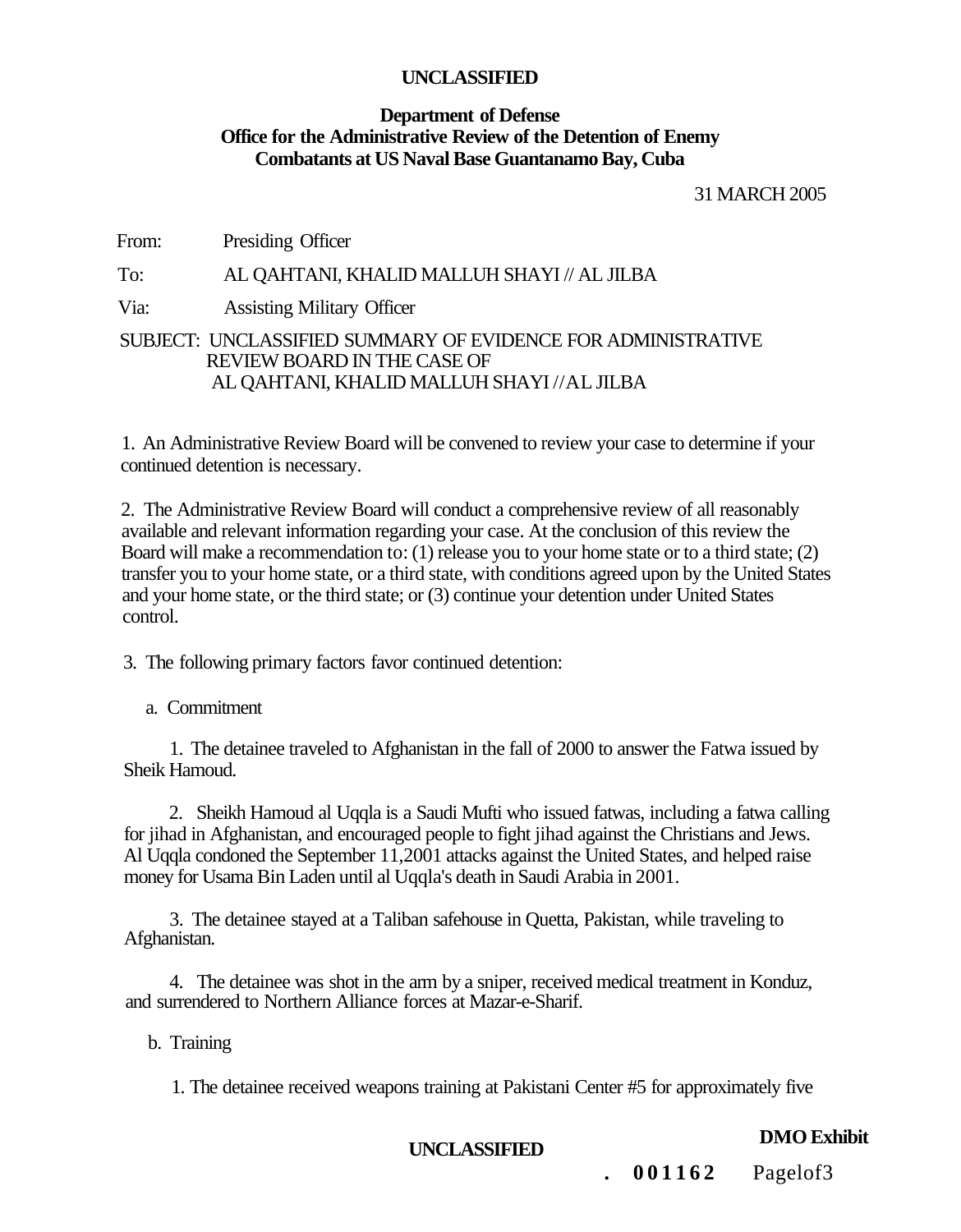#### **Department of Defense Office for the Administrative Review of the Detention of Enemy Combatants at US Naval Base Guantanamo Bay, Cuba**

31 MARCH 2005

From: Presiding Officer

To: AL QAHTANI, KHALID MALLUH SHAYI // AL JILBA

Via: Assisting Military Officer

#### SUBJECT: UNCLASSIFIED SUMMARY OF EVIDENCE FOR ADMINISTRATIVE REVIEW BOARD IN THE CASE OF AL QAHTANI, KHALID MALLUH SHAYI //AL JILBA

1. An Administrative Review Board will be convened to review your case to determine if your continued detention is necessary.

2. The Administrative Review Board will conduct a comprehensive review of all reasonably available and relevant information regarding your case. At the conclusion of this review the Board will make a recommendation to: (1) release you to your home state or to a third state; (2) transfer you to your home state, or a third state, with conditions agreed upon by the United States and your home state, or the third state; or (3) continue your detention under United States control.

3. The following primary factors favor continued detention:

a. Commitment

1. The detainee traveled to Afghanistan in the fall of 2000 to answer the Fatwa issued by Sheik Hamoud.

2. Sheikh Hamoud al Uqqla is a Saudi Mufti who issued fatwas, including a fatwa calling for jihad in Afghanistan, and encouraged people to fight jihad against the Christians and Jews. Al Uqqla condoned the September 11,2001 attacks against the United States, and helped raise money for Usama Bin Laden until al Uqqla's death in Saudi Arabia in 2001.

3. The detainee stayed at a Taliban safehouse in Quetta, Pakistan, while traveling to Afghanistan.

4. The detainee was shot in the arm by a sniper, received medical treatment in Konduz, and surrendered to Northern Alliance forces at Mazar-e-Sharif.

b. Training

1. The detainee received weapons training at Pakistani Center #5 for approximately five

**DMO Exhibit UNCLASSIFIED** 

**.** 001162 Pagelof3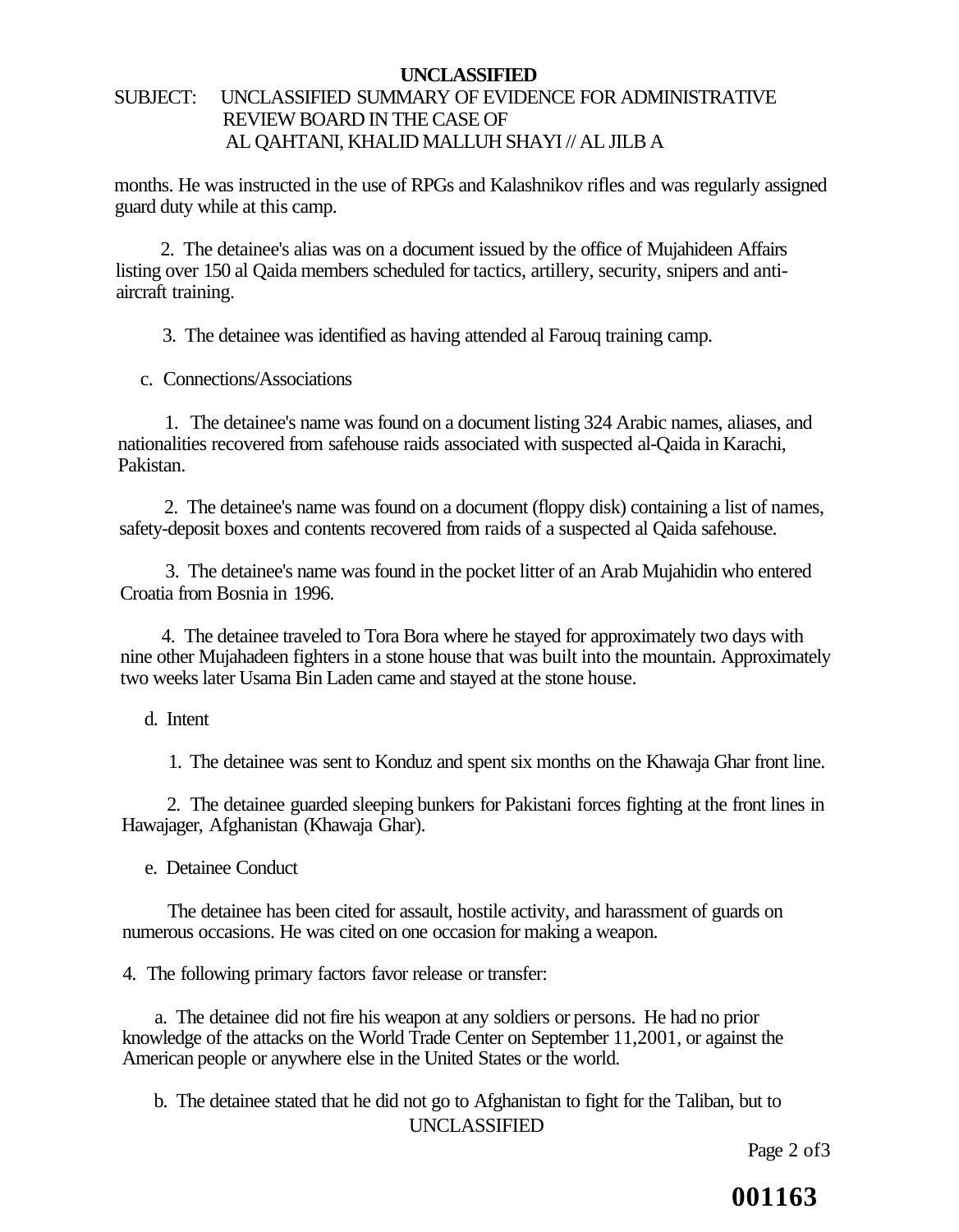#### **UNCLASSIFIED**  SUBJECT: UNCLASSIFIED SUMMARY OF EVIDENCE FOR ADMINISTRATIVE REVIEW BOARD IN THE CASE OF AL QAHTANI, KHALID MALLUH SHAYI // AL JILB A

months. He was instructed in the use of RPGs and Kalashnikov rifles and was regularly assigned guard duty while at this camp.

2. The detainee's alias was on a document issued by the office of Mujahideen Affairs listing over 150 al Qaida members scheduled for tactics, artillery, security, snipers and antiaircraft training.

3. The detainee was identified as having attended al Farouq training camp.

c. Connections/Associations

1. The detainee's name was found on a document listing 324 Arabic names, aliases, and nationalities recovered from safehouse raids associated with suspected al-Qaida in Karachi, Pakistan.

2. The detainee's name was found on a document (floppy disk) containing a list of names, safety-deposit boxes and contents recovered from raids of a suspected al Qaida safehouse.

3. The detainee's name was found in the pocket litter of an Arab Mujahidin who entered Croatia from Bosnia in 1996.

4. The detainee traveled to Tora Bora where he stayed for approximately two days with nine other Mujahadeen fighters in a stone house that was built into the mountain. Approximately two weeks later Usama Bin Laden came and stayed at the stone house.

d. Intent

1. The detainee was sent to Konduz and spent six months on the Khawaja Ghar front line.

2. The detainee guarded sleeping bunkers for Pakistani forces fighting at the front lines in Hawajager, Afghanistan (Khawaja Ghar).

e. Detainee Conduct

The detainee has been cited for assault, hostile activity, and harassment of guards on numerous occasions. He was cited on one occasion for making a weapon.

4. The following primary factors favor release or transfer:

a. The detainee did not fire his weapon at any soldiers or persons. He had no prior knowledge of the attacks on the World Trade Center on September 11,2001, or against the American people or anywhere else in the United States or the world.

b. The detainee stated that he did not go to Afghanistan to fight for the Taliban, but to UNCLASSIFIED

Page 2 of 3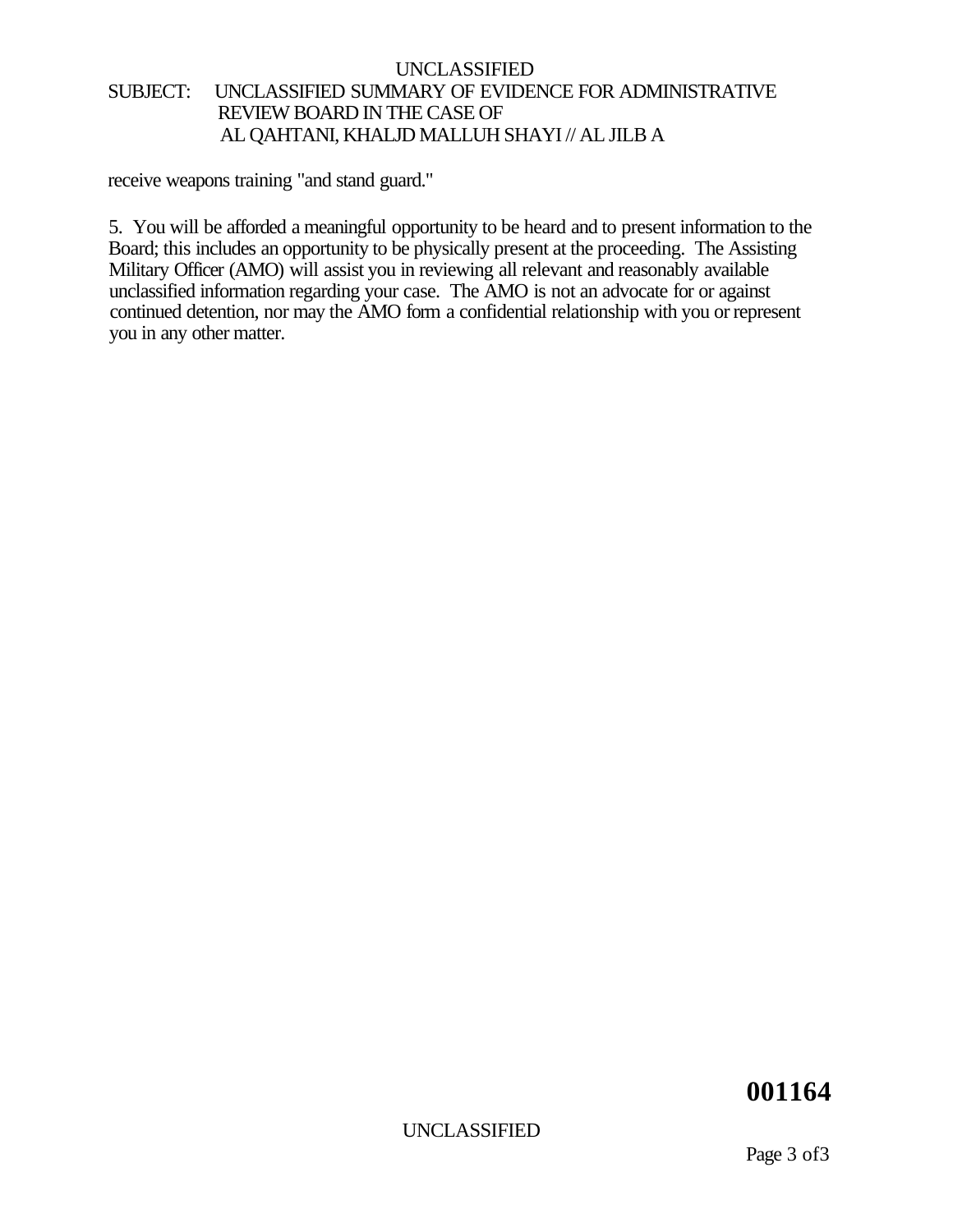#### UNCLASSIFIED SUBJECT: UNCLASSIFIED SUMMARY OF EVIDENCE FOR ADMINISTRATIVE REVIEW BOARD IN THE CASE OF AL QAHTANI, KHALJD MALLUH SHAYI // AL JILB A

receive weapons training "and stand guard."

5. You will be afforded a meaningful opportunity to be heard and to present information to the Board; this includes an opportunity to be physically present at the proceeding. The Assisting Military Officer (AMO) will assist you in reviewing all relevant and reasonably available unclassified information regarding your case. The AMO is not an advocate for or against continued detention, nor may the AMO form a confidential relationship with you or represent you in any other matter.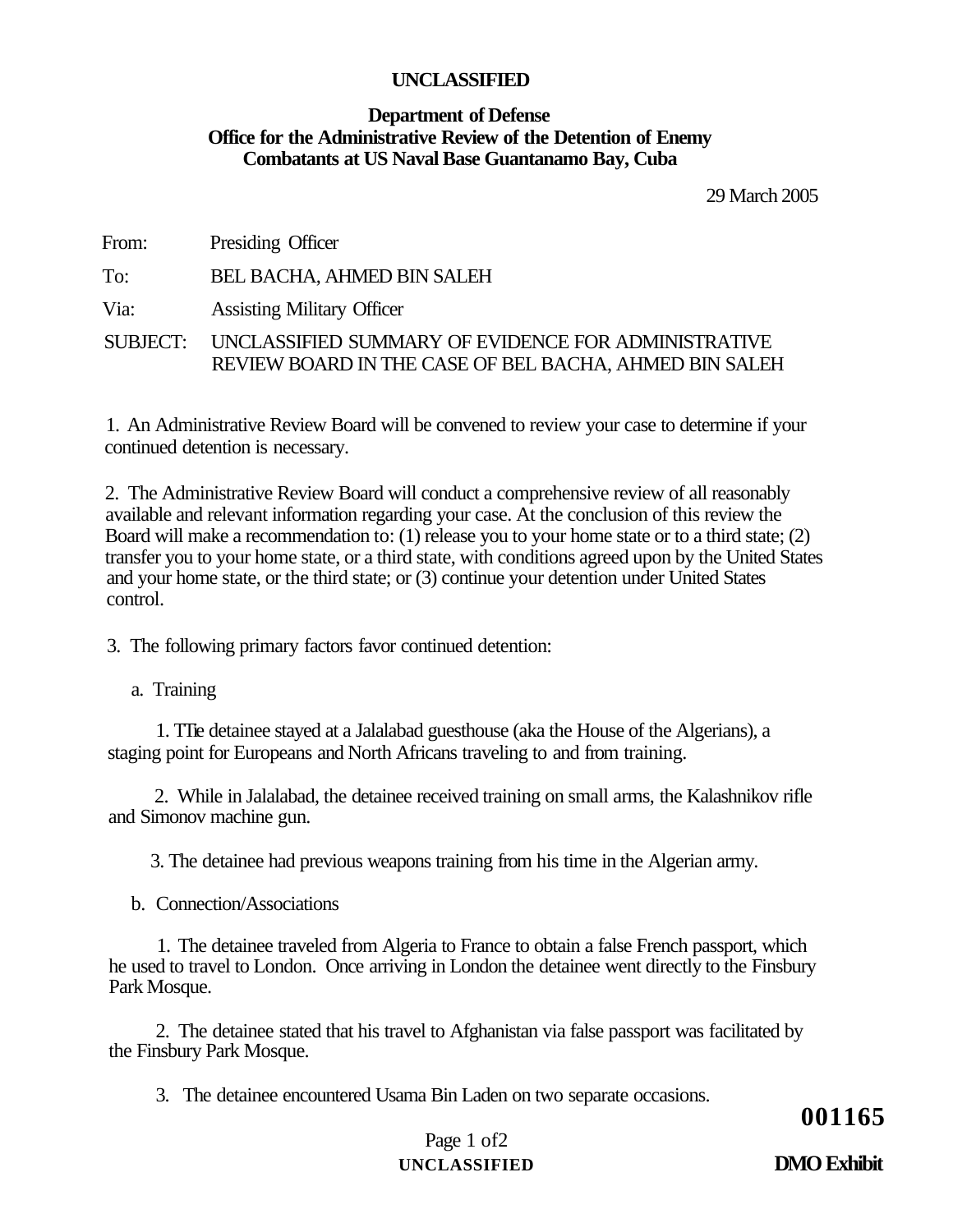#### **Department of Defense Office for the Administrative Review of the Detention of Enemy Combatants at US Naval Base Guantanamo Bay, Cuba**

29 March 2005

From: Presiding Officer

To: BEL BACHA, AHMED BIN SALEH

Via: Assisting Military Officer

SUBJECT: UNCLASSIFIED SUMMARY OF EVIDENCE FOR ADMINISTRATIVE REVIEW BOARD IN THE CASE OF BEL BACHA, AHMED BIN SALEH

1. An Administrative Review Board will be convened to review your case to determine if your continued detention is necessary.

2. The Administrative Review Board will conduct a comprehensive review of all reasonably available and relevant information regarding your case. At the conclusion of this review the Board will make a recommendation to: (1) release you to your home state or to a third state; (2) transfer you to your home state, or a third state, with conditions agreed upon by the United States and your home state, or the third state; or (3) continue your detention under United States control.

3. The following primary factors favor continued detention:

a. Training

1. TTie detainee stayed at a Jalalabad guesthouse (aka the House of the Algerians), a staging point for Europeans and North Africans traveling to and from training.

2. While in Jalalabad, the detainee received training on small arms, the Kalashnikov rifle and Simonov machine gun.

3. The detainee had previous weapons training from his time in the Algerian army.

b. Connection/Associations

1. The detainee traveled from Algeria to France to obtain a false French passport, which he used to travel to London. Once arriving in London the detainee went directly to the Finsbury Park Mosque.

2. The detainee stated that his travel to Afghanistan via false passport was facilitated by the Finsbury Park Mosque.

3. The detainee encountered Usama Bin Laden on two separate occasions.

**001165** 

#### Page 1 of2 **UNCLASSIFIED DMO Exhibit**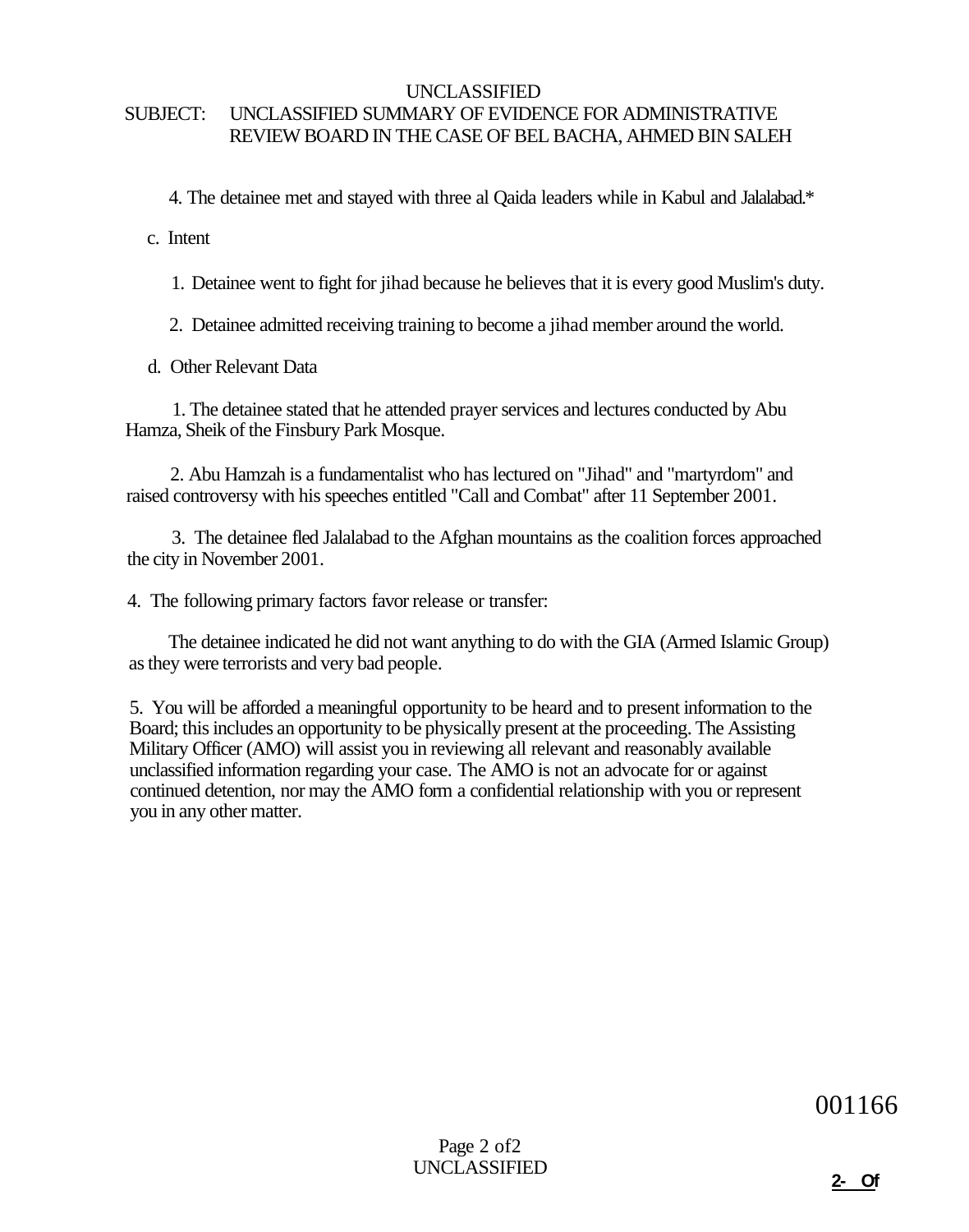#### SUBJECT: UNCLASSIFIED SUMMARY OF EVIDENCE FOR ADMINISTRATIVE REVIEW BOARD IN THE CASE OF BEL BACHA, AHMED BIN SALEH

4. The detainee met and stayed with three al Qaida leaders while in Kabul and Jalalabad.\*

c. Intent

1. Detainee went to fight for jihad because he believes that it is every good Muslim's duty.

2. Detainee admitted receiving training to become a jihad member around the world.

d. Other Relevant Data

1. The detainee stated that he attended prayer services and lectures conducted by Abu Hamza, Sheik of the Finsbury Park Mosque.

2. Abu Hamzah is a fundamentalist who has lectured on "Jihad" and "martyrdom" and raised controversy with his speeches entitled "Call and Combat" after 11 September 2001.

3. The detainee fled Jalalabad to the Afghan mountains as the coalition forces approached the city in November 2001.

4. The following primary factors favor release or transfer:

The detainee indicated he did not want anything to do with the GIA (Armed Islamic Group) as they were terrorists and very bad people.

5. You will be afforded a meaningful opportunity to be heard and to present information to the Board; this includes an opportunity to be physically present at the proceeding. The Assisting Military Officer (AMO) will assist you in reviewing all relevant and reasonably available unclassified information regarding your case. The AMO is not an advocate for or against continued detention, nor may the AMO form a confidential relationship with you or represent you in any other matter.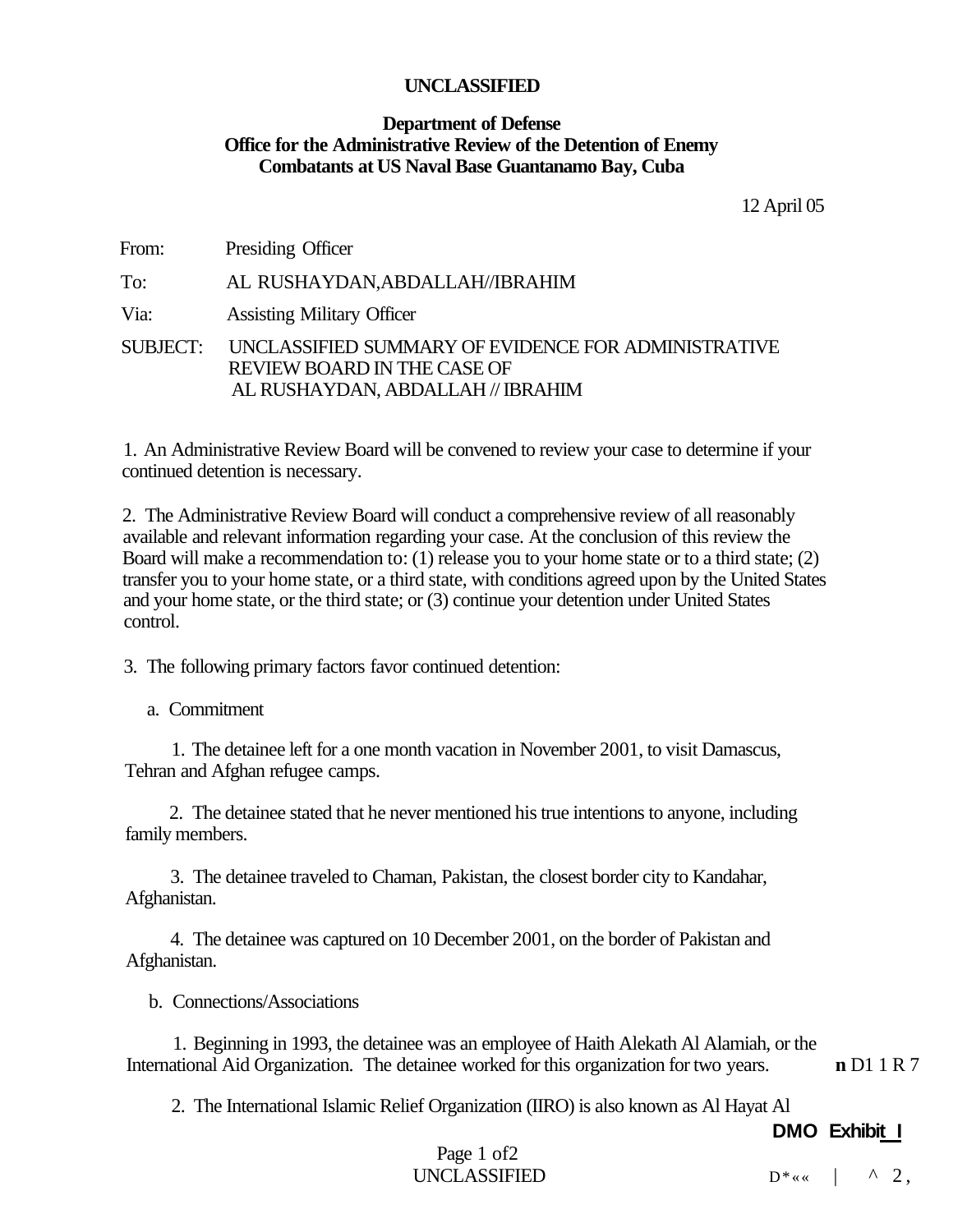#### **Department of Defense Office for the Administrative Review of the Detention of Enemy Combatants at US Naval Base Guantanamo Bay, Cuba**

12 April 05

From: Presiding Officer

To: AL RUSHAYDAN,ABDALLAH//IBRAHIM

Via: Assisting Military Officer

SUBJECT: UNCLASSIFIED SUMMARY OF EVIDENCE FOR ADMINISTRATIVE REVIEW BOARD IN THE CASE OF AL RUSHAYDAN, ABDALLAH // IBRAHIM

1. An Administrative Review Board will be convened to review your case to determine if your continued detention is necessary.

2. The Administrative Review Board will conduct a comprehensive review of all reasonably available and relevant information regarding your case. At the conclusion of this review the Board will make a recommendation to: (1) release you to your home state or to a third state; (2) transfer you to your home state, or a third state, with conditions agreed upon by the United States and your home state, or the third state; or (3) continue your detention under United States control.

3. The following primary factors favor continued detention:

a. Commitment

1. The detainee left for a one month vacation in November 2001, to visit Damascus, Tehran and Afghan refugee camps.

2. The detainee stated that he never mentioned his true intentions to anyone, including family members.

3. The detainee traveled to Chaman, Pakistan, the closest border city to Kandahar, Afghanistan.

4. The detainee was captured on 10 December 2001, on the border of Pakistan and Afghanistan.

b. Connections/Associations

1. Beginning in 1993, the detainee was an employee of Haith Alekath Al Alamiah, or the International Aid Organization. The detainee worked for this organization for two years. **n** D1 1 R 7

2. The International Islamic Relief Organization (IIRO) is also known as Al Hayat Al

**DMO Exhibit I**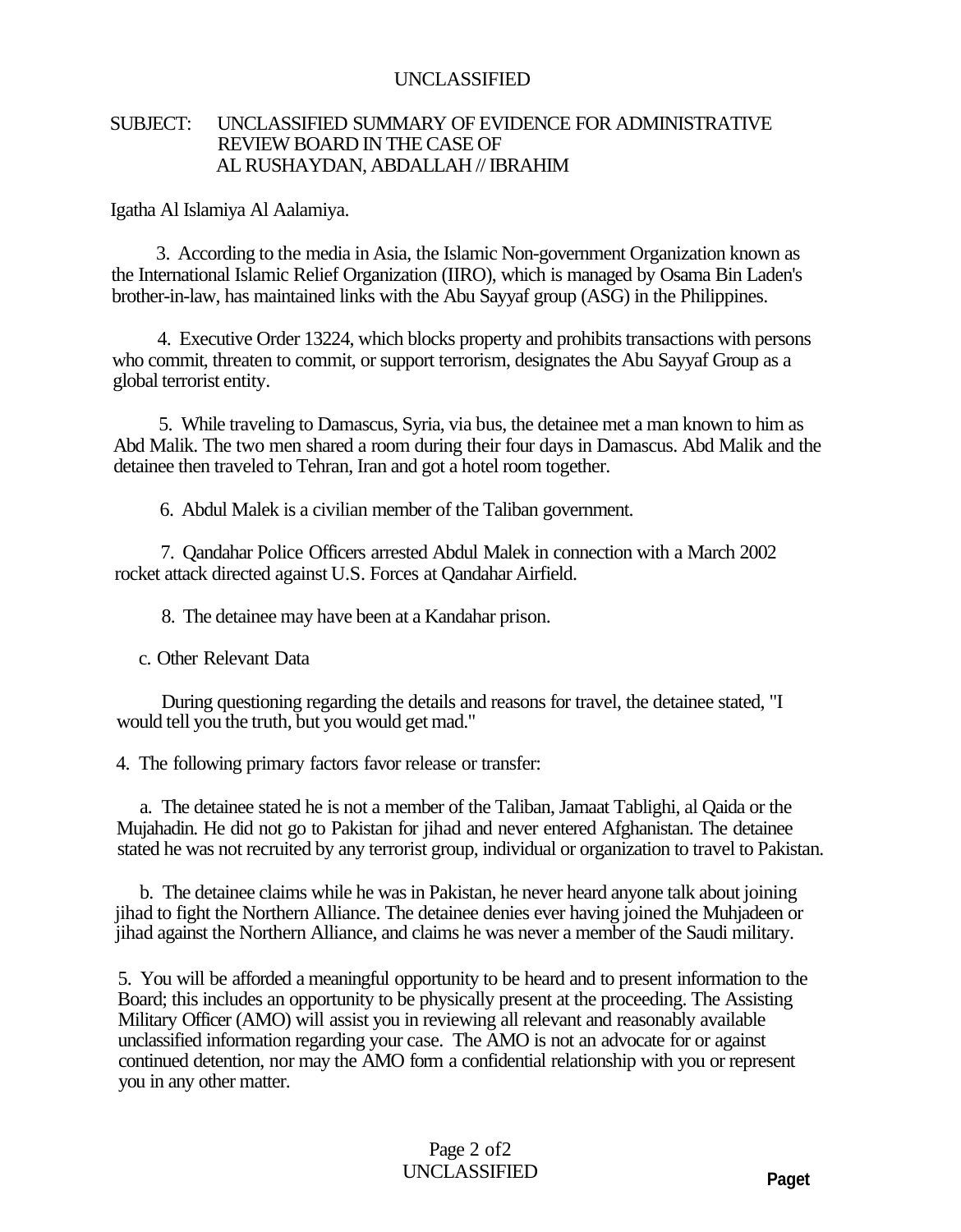#### SUBJECT: UNCLASSIFIED SUMMARY OF EVIDENCE FOR ADMINISTRATIVE REVIEW BOARD IN THE CASE OF AL RUSHAYDAN, ABDALLAH // IBRAHIM

Igatha Al Islamiya Al Aalamiya.

3. According to the media in Asia, the Islamic Non-government Organization known as the International Islamic Relief Organization (IIRO), which is managed by Osama Bin Laden's brother-in-law, has maintained links with the Abu Sayyaf group (ASG) in the Philippines.

4. Executive Order 13224, which blocks property and prohibits transactions with persons who commit, threaten to commit, or support terrorism, designates the Abu Sayyaf Group as a global terrorist entity.

5. While traveling to Damascus, Syria, via bus, the detainee met a man known to him as Abd Malik. The two men shared a room during their four days in Damascus. Abd Malik and the detainee then traveled to Tehran, Iran and got a hotel room together.

6. Abdul Malek is a civilian member of the Taliban government.

7. Qandahar Police Officers arrested Abdul Malek in connection with a March 2002 rocket attack directed against U.S. Forces at Qandahar Airfield.

8. The detainee may have been at a Kandahar prison.

c. Other Relevant Data

During questioning regarding the details and reasons for travel, the detainee stated, "I would tell you the truth, but you would get mad."

4. The following primary factors favor release or transfer:

a. The detainee stated he is not a member of the Taliban, Jamaat Tablighi, al Qaida or the Mujahadin. He did not go to Pakistan for jihad and never entered Afghanistan. The detainee stated he was not recruited by any terrorist group, individual or organization to travel to Pakistan.

b. The detainee claims while he was in Pakistan, he never heard anyone talk about joining jihad to fight the Northern Alliance. The detainee denies ever having joined the Muhjadeen or jihad against the Northern Alliance, and claims he was never a member of the Saudi military.

5. You will be afforded a meaningful opportunity to be heard and to present information to the Board; this includes an opportunity to be physically present at the proceeding. The Assisting Military Officer (AMO) will assist you in reviewing all relevant and reasonably available unclassified information regarding your case. The AMO is not an advocate for or against continued detention, nor may the AMO form a confidential relationship with you or represent you in any other matter.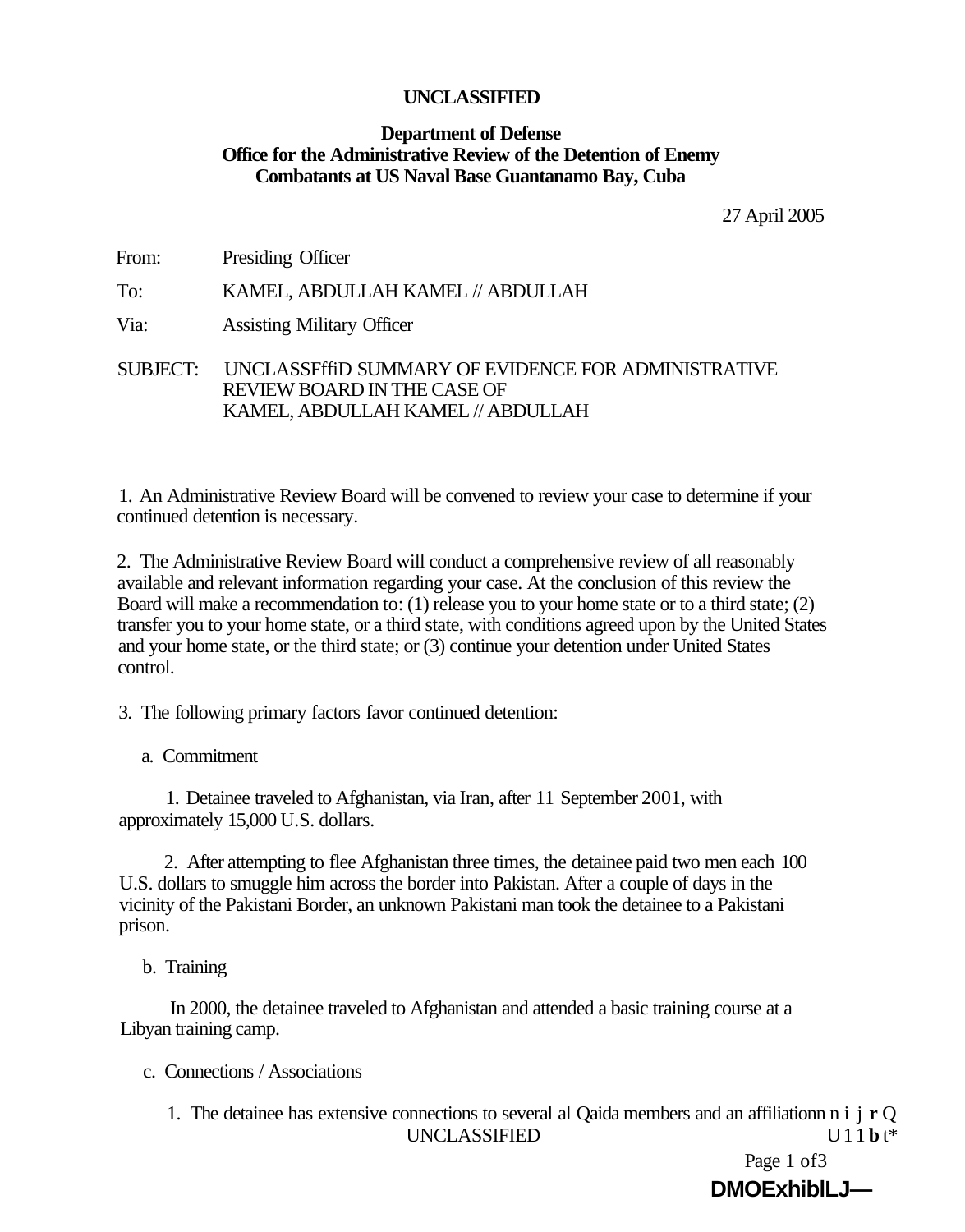#### **Department of Defense Office for the Administrative Review of the Detention of Enemy Combatants at US Naval Base Guantanamo Bay, Cuba**

27 April 2005

| From: | Presiding Officer |
|-------|-------------------|
|-------|-------------------|

To: KAMEL, ABDULLAH KAMEL // ABDULLAH

Via: Assisting Military Officer

SUBJECT: UNCLASSFffiD SUMMARY OF EVIDENCE FOR ADMINISTRATIVE REVIEW BOARD IN THE CASE OF KAMEL, ABDULLAH KAMEL // ABDULLAH

1. An Administrative Review Board will be convened to review your case to determine if your continued detention is necessary.

2. The Administrative Review Board will conduct a comprehensive review of all reasonably available and relevant information regarding your case. At the conclusion of this review the Board will make a recommendation to: (1) release you to your home state or to a third state; (2) transfer you to your home state, or a third state, with conditions agreed upon by the United States and your home state, or the third state; or (3) continue your detention under United States control.

3. The following primary factors favor continued detention:

a. Commitment

1. Detainee traveled to Afghanistan, via Iran, after 11 September 2001, with approximately 15,000 U.S. dollars.

2. After attempting to flee Afghanistan three times, the detainee paid two men each 100 U.S. dollars to smuggle him across the border into Pakistan. After a couple of days in the vicinity of the Pakistani Border, an unknown Pakistani man took the detainee to a Pakistani prison.

b. Training

In 2000, the detainee traveled to Afghanistan and attended a basic training course at a Libyan training camp.

- c. Connections / Associations
	- 1. The detainee has extensive connections to several al Qaida members and an affiliationn n i j **r** Q UNCLASSIFIED U11 **b** t\*

Page 1 of 3 **DMOExhiblLJ—**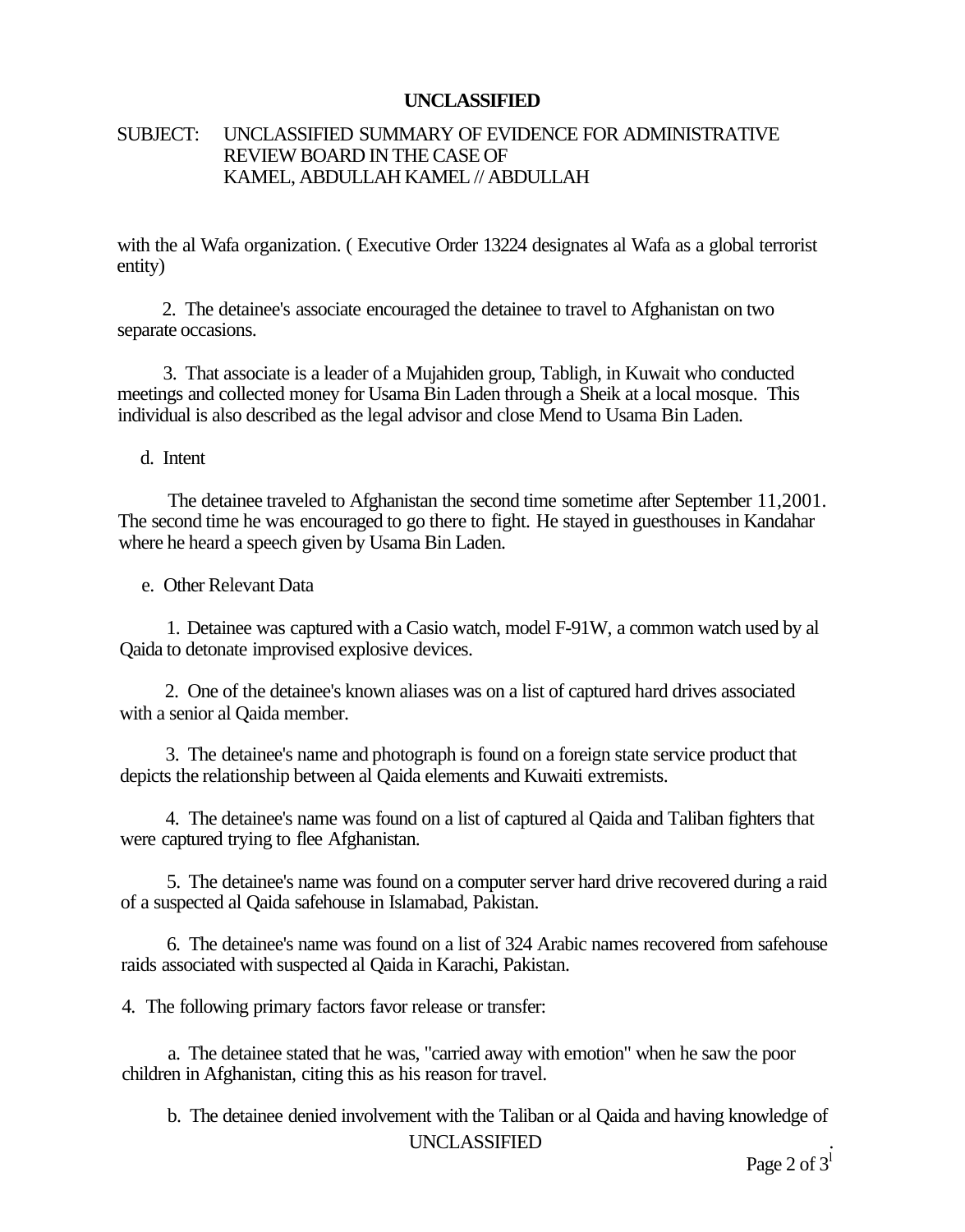#### SUBJECT: UNCLASSIFIED SUMMARY OF EVIDENCE FOR ADMINISTRATIVE REVIEW BOARD IN THE CASE OF KAMEL, ABDULLAH KAMEL // ABDULLAH

with the al Wafa organization. (Executive Order 13224 designates al Wafa as a global terrorist entity)

2. The detainee's associate encouraged the detainee to travel to Afghanistan on two separate occasions.

3. That associate is a leader of a Mujahiden group, Tabligh, in Kuwait who conducted meetings and collected money for Usama Bin Laden through a Sheik at a local mosque. This individual is also described as the legal advisor and close Mend to Usama Bin Laden.

d. Intent

The detainee traveled to Afghanistan the second time sometime after September 11,2001. The second time he was encouraged to go there to fight. He stayed in guesthouses in Kandahar where he heard a speech given by Usama Bin Laden.

e. Other Relevant Data

1. Detainee was captured with a Casio watch, model F-91W, a common watch used by al Qaida to detonate improvised explosive devices.

2. One of the detainee's known aliases was on a list of captured hard drives associated with a senior al Qaida member.

3. The detainee's name and photograph is found on a foreign state service product that depicts the relationship between al Qaida elements and Kuwaiti extremists.

4. The detainee's name was found on a list of captured al Qaida and Taliban fighters that were captured trying to flee Afghanistan.

5. The detainee's name was found on a computer server hard drive recovered during a raid of a suspected al Qaida safehouse in Islamabad, Pakistan.

6. The detainee's name was found on a list of 324 Arabic names recovered from safehouse raids associated with suspected al Qaida in Karachi, Pakistan.

4. The following primary factors favor release or transfer:

a. The detainee stated that he was, "carried away with emotion" when he saw the poor children in Afghanistan, citing this as his reason for travel.

b. The detainee denied involvement with the Taliban or al Qaida and having knowledge of UNCLASSIFIED *.*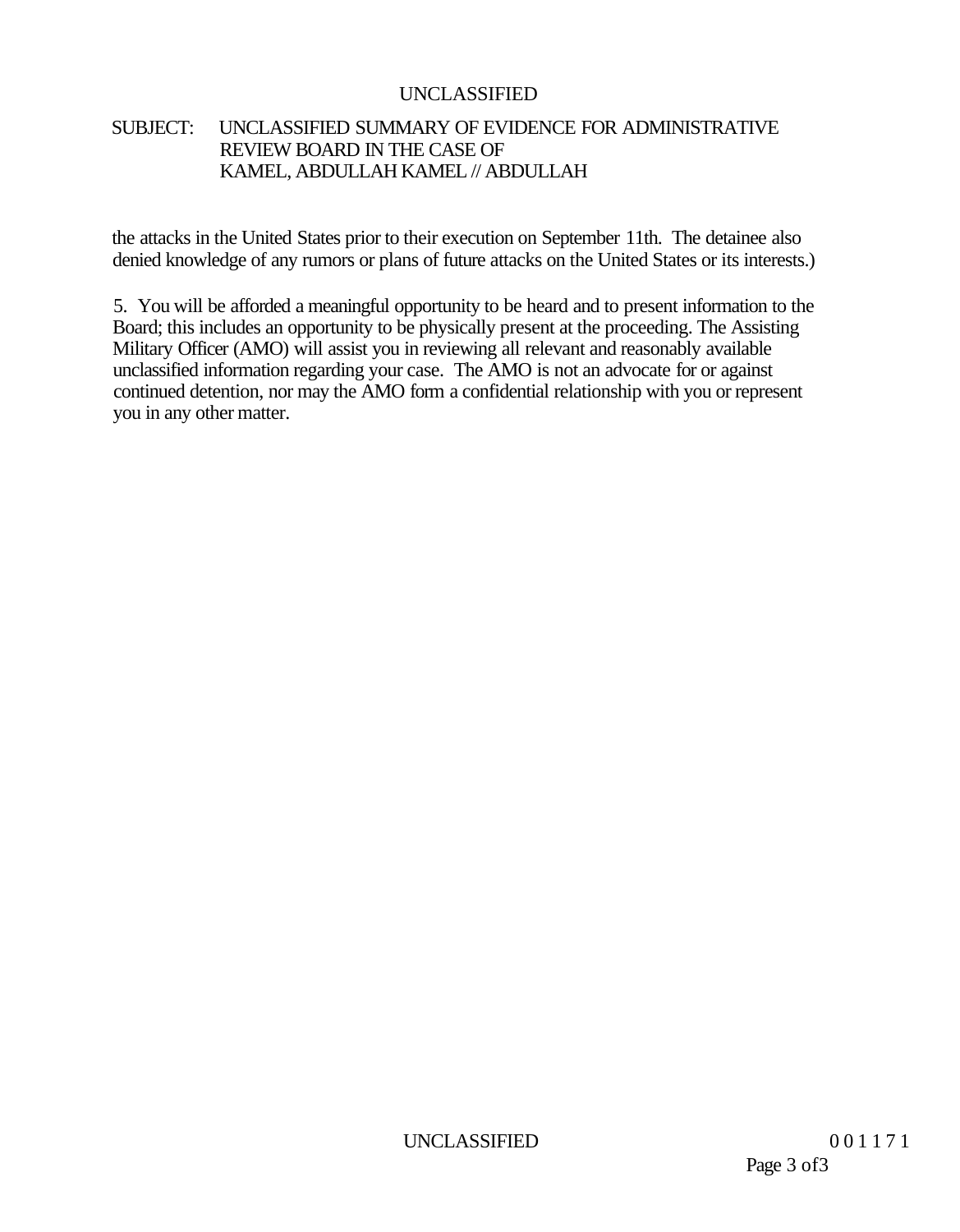#### SUBJECT: UNCLASSIFIED SUMMARY OF EVIDENCE FOR ADMINISTRATIVE REVIEW BOARD IN THE CASE OF KAMEL, ABDULLAH KAMEL // ABDULLAH

the attacks in the United States prior to their execution on September 11th. The detainee also denied knowledge of any rumors or plans of future attacks on the United States or its interests.)

5. You will be afforded a meaningful opportunity to be heard and to present information to the Board; this includes an opportunity to be physically present at the proceeding. The Assisting Military Officer (AMO) will assist you in reviewing all relevant and reasonably available unclassified information regarding your case. The AMO is not an advocate for or against continued detention, nor may the AMO form a confidential relationship with you or represent you in any other matter.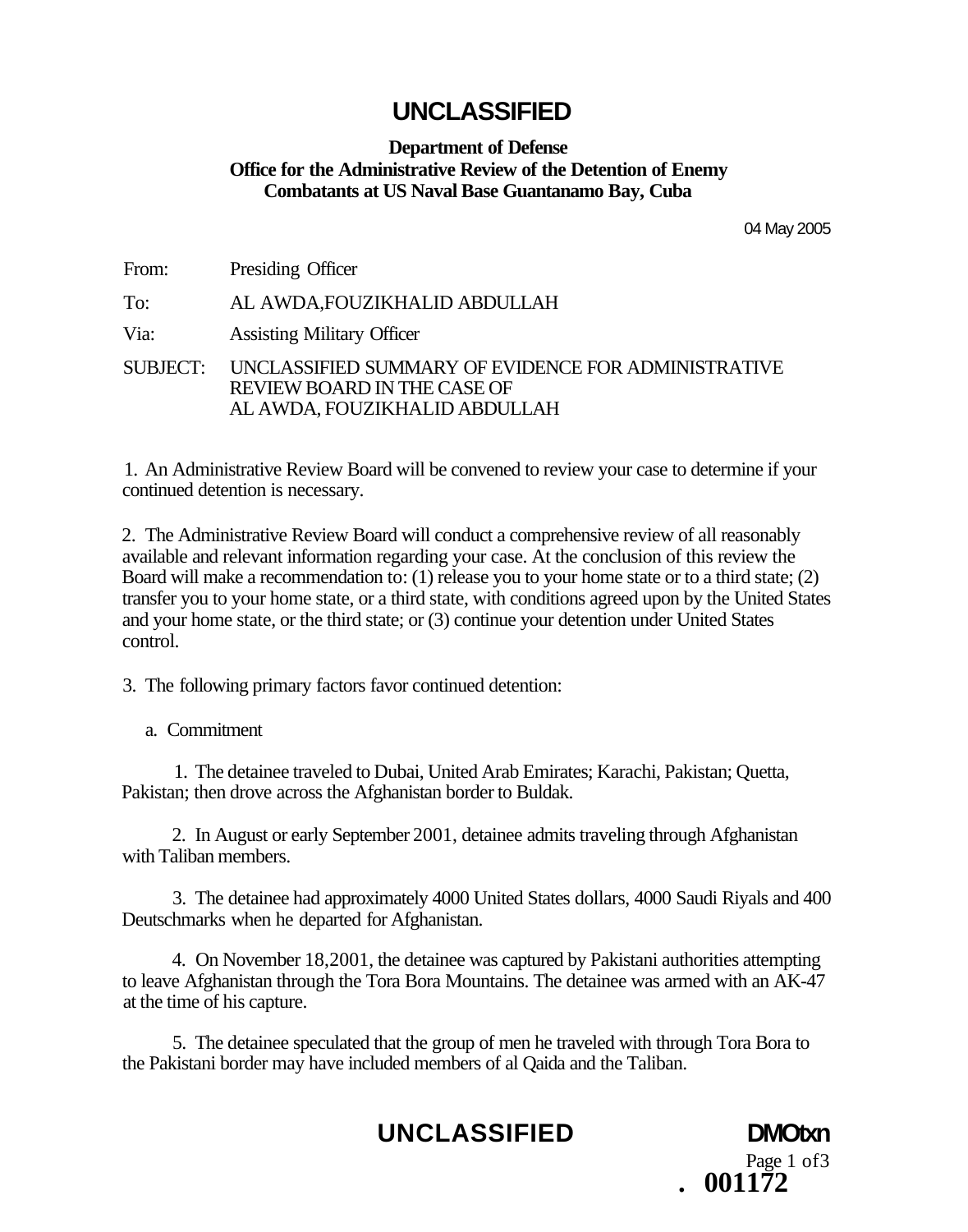#### **Department of Defense Office for the Administrative Review of the Detention of Enemy Combatants at US Naval Base Guantanamo Bay, Cuba**

04 May 2005

Page 1 of3

**. 001172** 

From: Presiding Officer

To: AL AWDA,FOUZIKHALID ABDULLAH

Via: Assisting Military Officer

SUBJECT: UNCLASSIFIED SUMMARY OF EVIDENCE FOR ADMINISTRATIVE REVIEW BOARD IN THE CASE OF AL AWDA, FOUZIKHALID ABDULLAH

1. An Administrative Review Board will be convened to review your case to determine if your continued detention is necessary.

2. The Administrative Review Board will conduct a comprehensive review of all reasonably available and relevant information regarding your case. At the conclusion of this review the Board will make a recommendation to: (1) release you to your home state or to a third state; (2) transfer you to your home state, or a third state, with conditions agreed upon by the United States and your home state, or the third state; or (3) continue your detention under United States control.

3. The following primary factors favor continued detention:

a. Commitment

1. The detainee traveled to Dubai, United Arab Emirates; Karachi, Pakistan; Quetta, Pakistan; then drove across the Afghanistan border to Buldak.

2. In August or early September 2001, detainee admits traveling through Afghanistan with Taliban members.

3. The detainee had approximately 4000 United States dollars, 4000 Saudi Riyals and 400 Deutschmarks when he departed for Afghanistan.

4. On November 18,2001, the detainee was captured by Pakistani authorities attempting to leave Afghanistan through the Tora Bora Mountains. The detainee was armed with an AK-47 at the time of his capture.

5. The detainee speculated that the group of men he traveled with through Tora Bora to the Pakistani border may have included members of al Qaida and the Taliban.

**UNCLASSIFIED DMOtxn**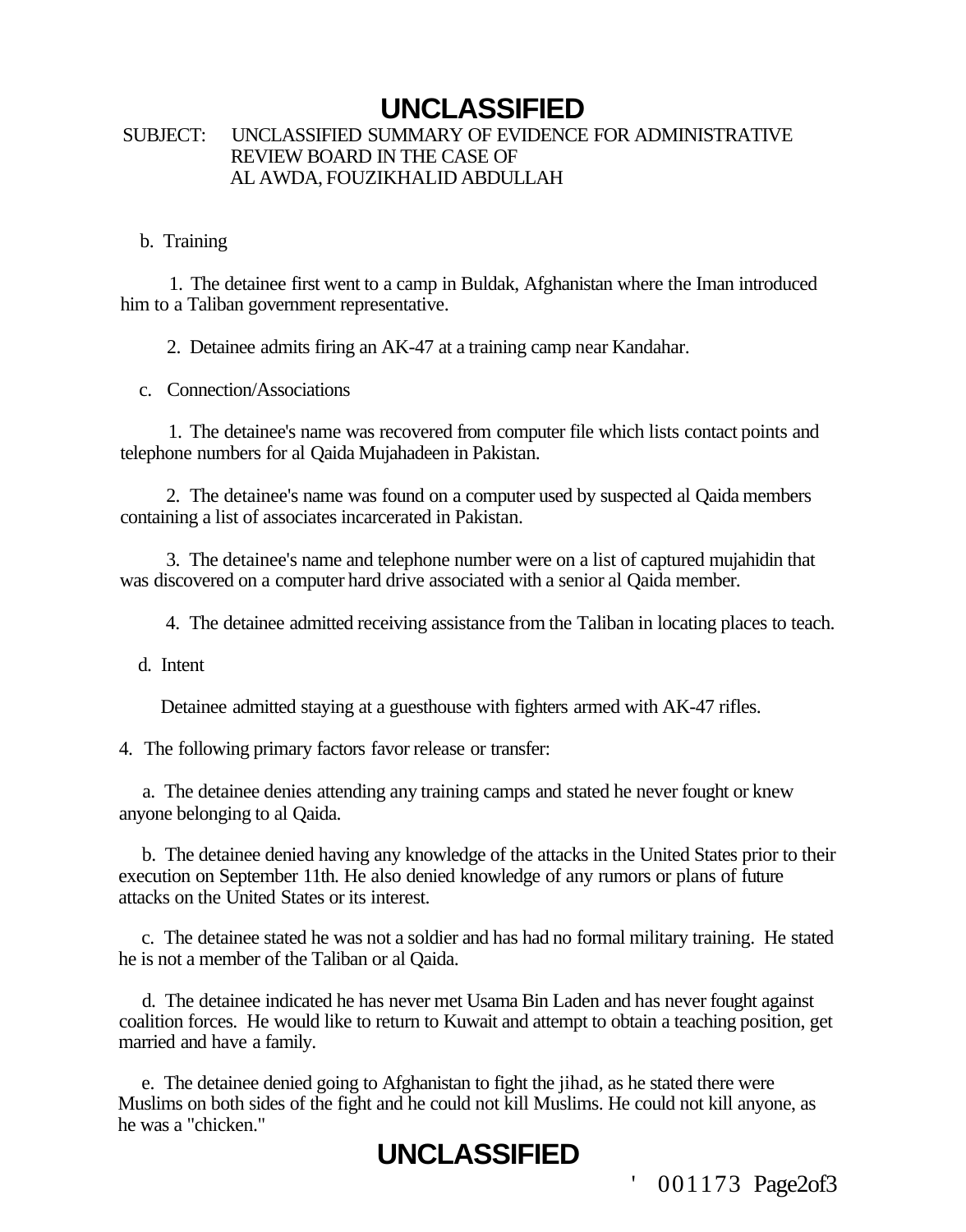#### SUBJECT: UNCLASSIFIED SUMMARY OF EVIDENCE FOR ADMINISTRATIVE REVIEW BOARD IN THE CASE OF AL AWDA, FOUZIKHALID ABDULLAH

#### b. Training

1. The detainee first went to a camp in Buldak, Afghanistan where the Iman introduced him to a Taliban government representative.

2. Detainee admits firing an AK-47 at a training camp near Kandahar.

c. Connection/Associations

1. The detainee's name was recovered from computer file which lists contact points and telephone numbers for al Qaida Mujahadeen in Pakistan.

2. The detainee's name was found on a computer used by suspected al Qaida members containing a list of associates incarcerated in Pakistan.

3. The detainee's name and telephone number were on a list of captured mujahidin that was discovered on a computer hard drive associated with a senior al Qaida member.

4. The detainee admitted receiving assistance from the Taliban in locating places to teach.

d. Intent

Detainee admitted staying at a guesthouse with fighters armed with AK-47 rifles.

4. The following primary factors favor release or transfer:

a. The detainee denies attending any training camps and stated he never fought or knew anyone belonging to al Qaida.

b. The detainee denied having any knowledge of the attacks in the United States prior to their execution on September 11th. He also denied knowledge of any rumors or plans of future attacks on the United States or its interest.

c. The detainee stated he was not a soldier and has had no formal military training. He stated he is not a member of the Taliban or al Qaida.

d. The detainee indicated he has never met Usama Bin Laden and has never fought against coalition forces. He would like to return to Kuwait and attempt to obtain a teaching position, get married and have a family.

e. The detainee denied going to Afghanistan to fight the jihad, as he stated there were Muslims on both sides of the fight and he could not kill Muslims. He could not kill anyone, as he was a "chicken."

# **UNCLASSIFIED**

001173 Page2of3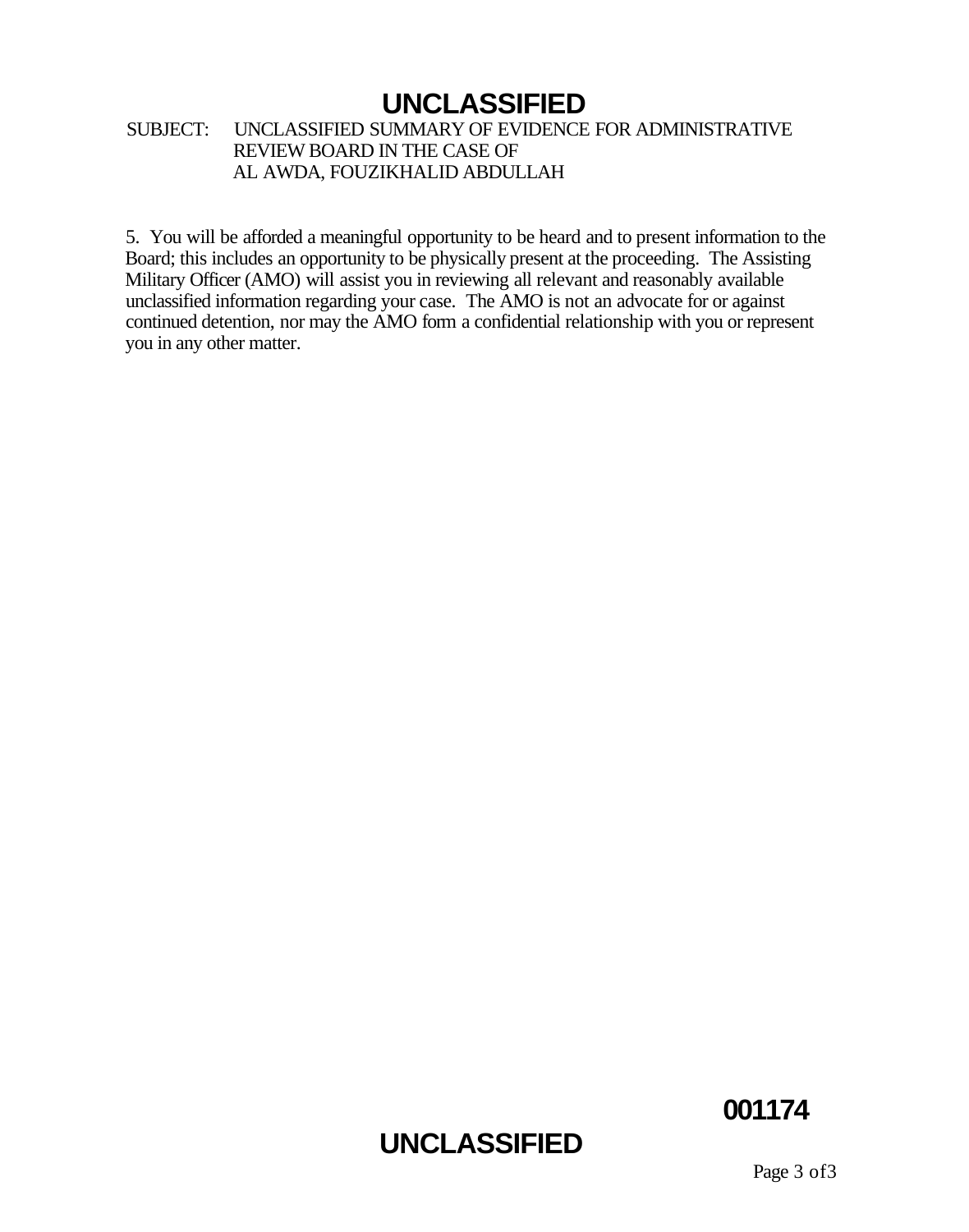#### SUBJECT: UNCLASSIFIED SUMMARY OF EVIDENCE FOR ADMINISTRATIVE REVIEW BOARD IN THE CASE OF AL AWDA, FOUZIKHALID ABDULLAH

5. You will be afforded a meaningful opportunity to be heard and to present information to the Board; this includes an opportunity to be physically present at the proceeding. The Assisting Military Officer (AMO) will assist you in reviewing all relevant and reasonably available unclassified information regarding your case. The AMO is not an advocate for or against continued detention, nor may the AMO form a confidential relationship with you or represent you in any other matter.

# **UNCLASSIFIED**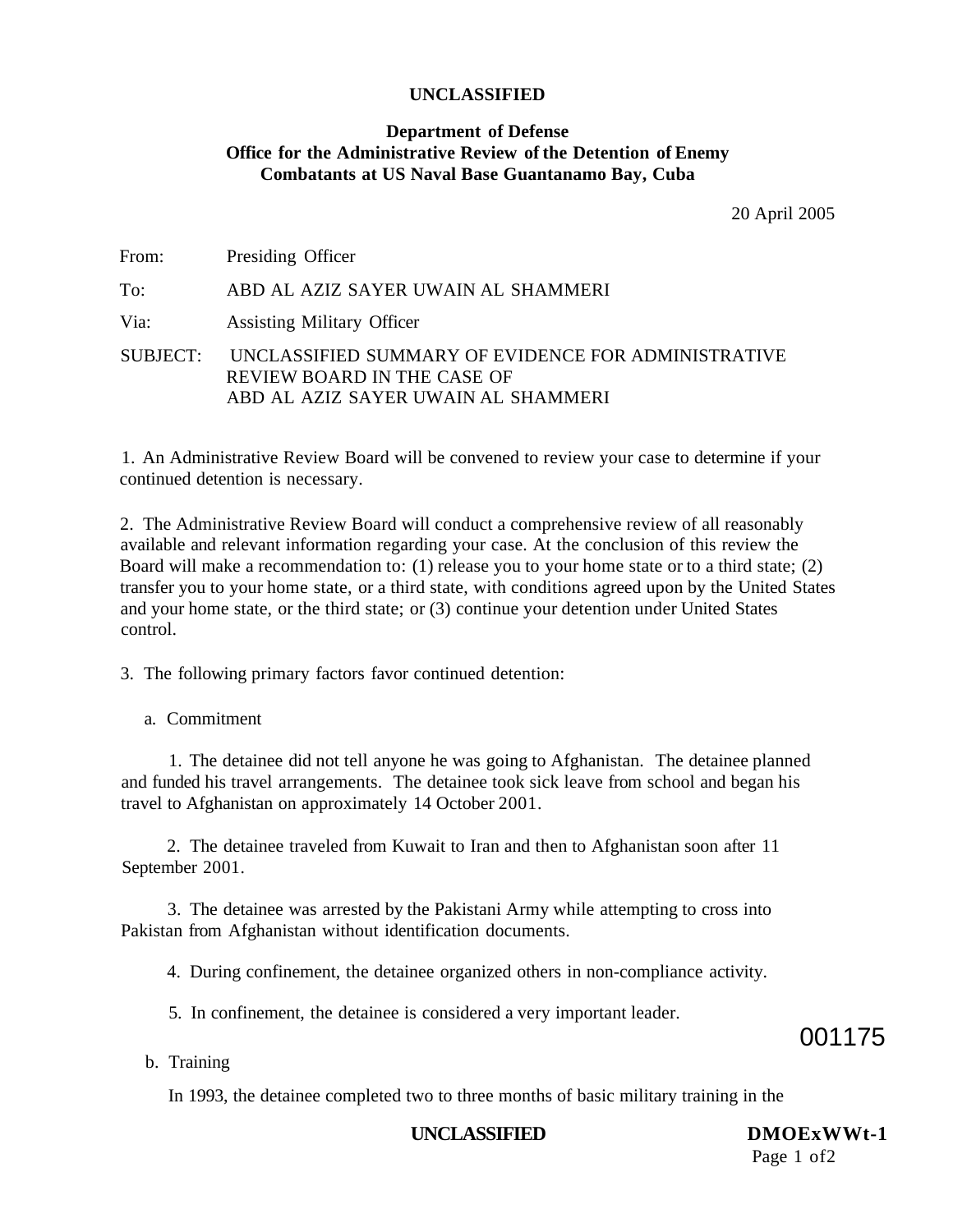#### **Department of Defense Office for the Administrative Review of the Detention of Enemy Combatants at US Naval Base Guantanamo Bay, Cuba**

20 April 2005

| From: | Presiding Officer                                                                                                                  |
|-------|------------------------------------------------------------------------------------------------------------------------------------|
| To:   | ABD AL AZIZ SAYER UWAIN AL SHAMMERI                                                                                                |
| Via:  | <b>Assisting Military Officer</b>                                                                                                  |
|       | SUBJECT: UNCLASSIFIED SUMMARY OF EVIDENCE FOR ADMINISTRATIVE<br>REVIEW BOARD IN THE CASE OF<br>ABD AL AZIZ SAYER UWAIN AL SHAMMERI |

1. An Administrative Review Board will be convened to review your case to determine if your continued detention is necessary.

2. The Administrative Review Board will conduct a comprehensive review of all reasonably available and relevant information regarding your case. At the conclusion of this review the Board will make a recommendation to: (1) release you to your home state or to a third state; (2) transfer you to your home state, or a third state, with conditions agreed upon by the United States and your home state, or the third state; or (3) continue your detention under United States control.

3. The following primary factors favor continued detention:

a. Commitment

1. The detainee did not tell anyone he was going to Afghanistan. The detainee planned and funded his travel arrangements. The detainee took sick leave from school and began his travel to Afghanistan on approximately 14 October 2001.

2. The detainee traveled from Kuwait to Iran and then to Afghanistan soon after 11 September 2001.

3. The detainee was arrested by the Pakistani Army while attempting to cross into Pakistan from Afghanistan without identification documents.

4. During confinement, the detainee organized others in non-compliance activity.

5. In confinement, the detainee is considered a very important leader.

001175

b. Training

In 1993, the detainee completed two to three months of basic military training in the

#### **UNCLASSIFIED DMOExWWt-1**

Page 1 of2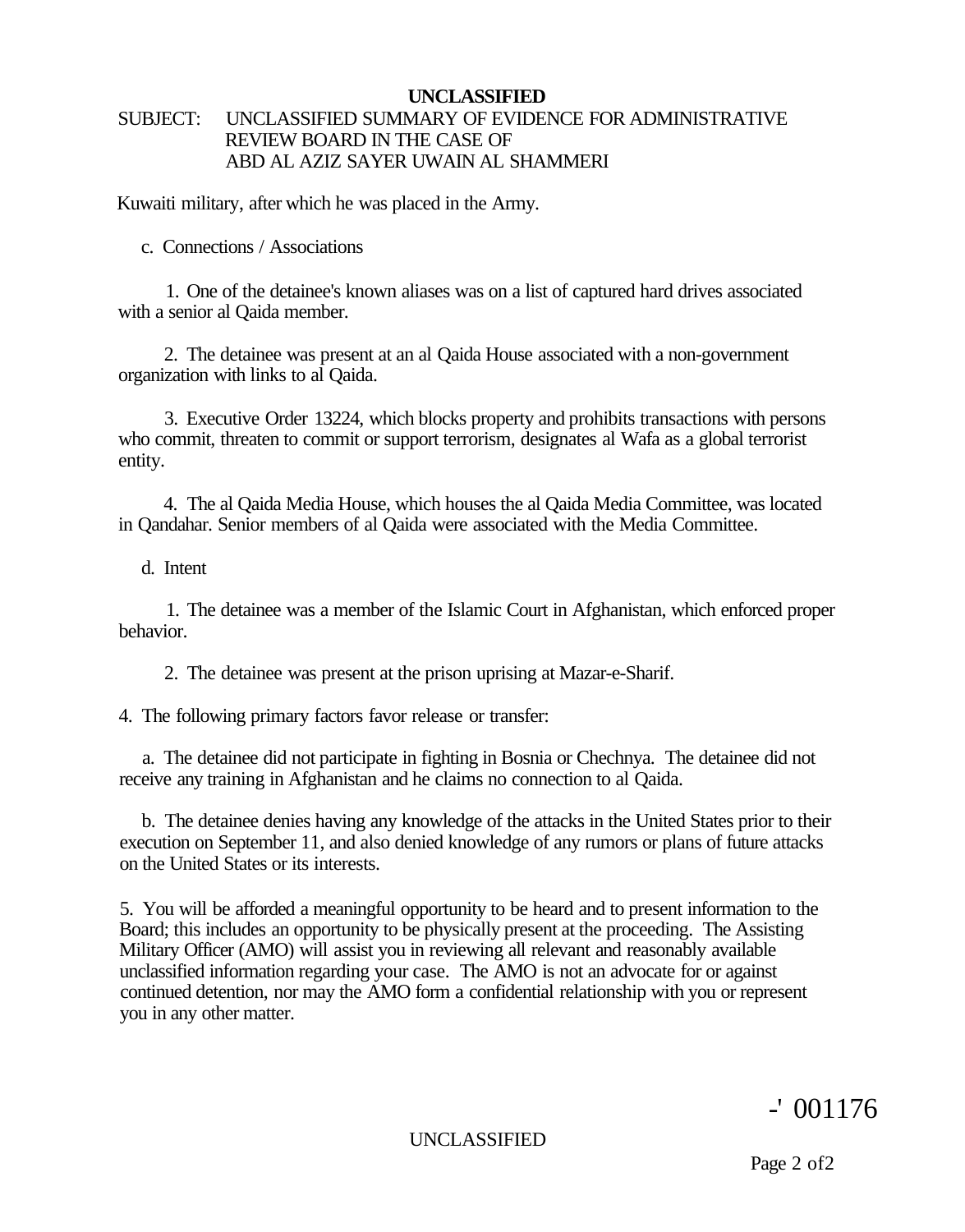#### **UNCLASSIFIED**  SUBJECT: UNCLASSIFIED SUMMARY OF EVIDENCE FOR ADMINISTRATIVE REVIEW BOARD IN THE CASE OF ABD AL AZIZ SAYER UWAIN AL SHAMMERI

Kuwaiti military, after which he was placed in the Army.

c. Connections / Associations

1. One of the detainee's known aliases was on a list of captured hard drives associated with a senior al Qaida member.

2. The detainee was present at an al Qaida House associated with a non-government organization with links to al Qaida.

3. Executive Order 13224, which blocks property and prohibits transactions with persons who commit, threaten to commit or support terrorism, designates al Wafa as a global terrorist entity.

4. The al Qaida Media House, which houses the al Qaida Media Committee, was located in Qandahar. Senior members of al Qaida were associated with the Media Committee.

d. Intent

1. The detainee was a member of the Islamic Court in Afghanistan, which enforced proper behavior.

2. The detainee was present at the prison uprising at Mazar-e-Sharif.

4. The following primary factors favor release or transfer:

a. The detainee did not participate in fighting in Bosnia or Chechnya. The detainee did not receive any training in Afghanistan and he claims no connection to al Qaida.

b. The detainee denies having any knowledge of the attacks in the United States prior to their execution on September 11, and also denied knowledge of any rumors or plans of future attacks on the United States or its interests.

5. You will be afforded a meaningful opportunity to be heard and to present information to the Board; this includes an opportunity to be physically present at the proceeding. The Assisting Military Officer (AMO) will assist you in reviewing all relevant and reasonably available unclassified information regarding your case. The AMO is not an advocate for or against continued detention, nor may the AMO form a confidential relationship with you or represent you in any other matter.

-' 001176

UNCLASSIFIED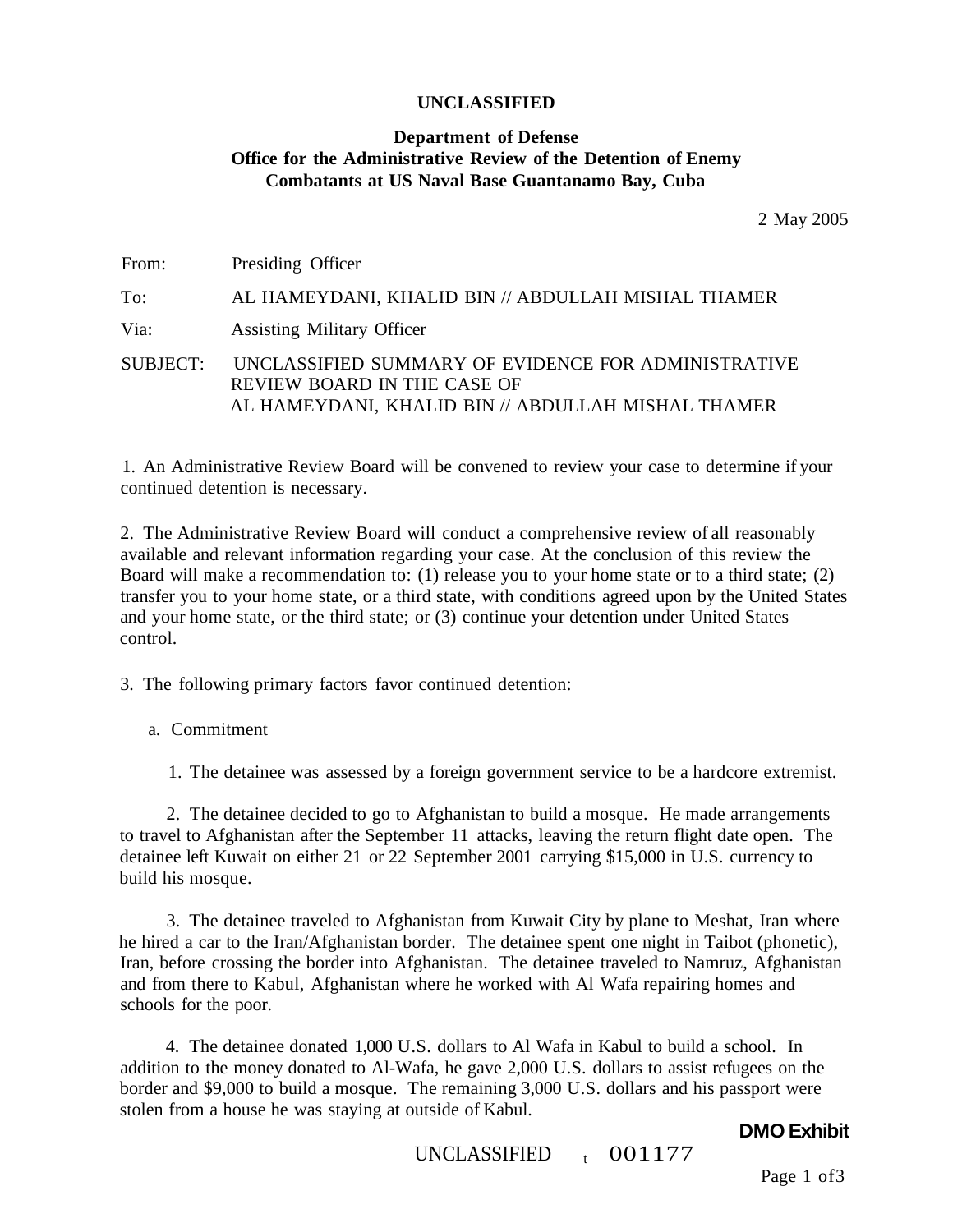#### **Department of Defense Office for the Administrative Review of the Detention of Enemy Combatants at US Naval Base Guantanamo Bay, Cuba**

2 May 2005

| From: | Presiding Officer                                                                                                                                 |
|-------|---------------------------------------------------------------------------------------------------------------------------------------------------|
| To:   | AL HAMEYDANI, KHALID BIN // ABDULLAH MISHAL THAMER                                                                                                |
| Via:  | <b>Assisting Military Officer</b>                                                                                                                 |
|       | SUBJECT: UNCLASSIFIED SUMMARY OF EVIDENCE FOR ADMINISTRATIVE<br>REVIEW BOARD IN THE CASE OF<br>AL HAMEYDANI, KHALID BIN // ABDULLAH MISHAL THAMER |

1. An Administrative Review Board will be convened to review your case to determine if your continued detention is necessary.

2. The Administrative Review Board will conduct a comprehensive review of all reasonably available and relevant information regarding your case. At the conclusion of this review the Board will make a recommendation to: (1) release you to your home state or to a third state; (2) transfer you to your home state, or a third state, with conditions agreed upon by the United States and your home state, or the third state; or (3) continue your detention under United States control.

3. The following primary factors favor continued detention:

a. Commitment

1. The detainee was assessed by a foreign government service to be a hardcore extremist.

2. The detainee decided to go to Afghanistan to build a mosque. He made arrangements to travel to Afghanistan after the September 11 attacks, leaving the return flight date open. The detainee left Kuwait on either 21 or 22 September 2001 carrying \$15,000 in U.S. currency to build his mosque.

3. The detainee traveled to Afghanistan from Kuwait City by plane to Meshat, Iran where he hired a car to the Iran/Afghanistan border. The detainee spent one night in Taibot (phonetic), Iran, before crossing the border into Afghanistan. The detainee traveled to Namruz, Afghanistan and from there to Kabul, Afghanistan where he worked with Al Wafa repairing homes and schools for the poor.

4. The detainee donated 1,000 U.S. dollars to Al Wafa in Kabul to build a school. In addition to the money donated to Al-Wafa, he gave 2,000 U.S. dollars to assist refugees on the border and \$9,000 to build a mosque. The remaining 3,000 U.S. dollars and his passport were stolen from a house he was staying at outside of Kabul.

#### **DMO Exhibit**

UNCLASSIFIED <sup>t</sup>  $_{t}$  001177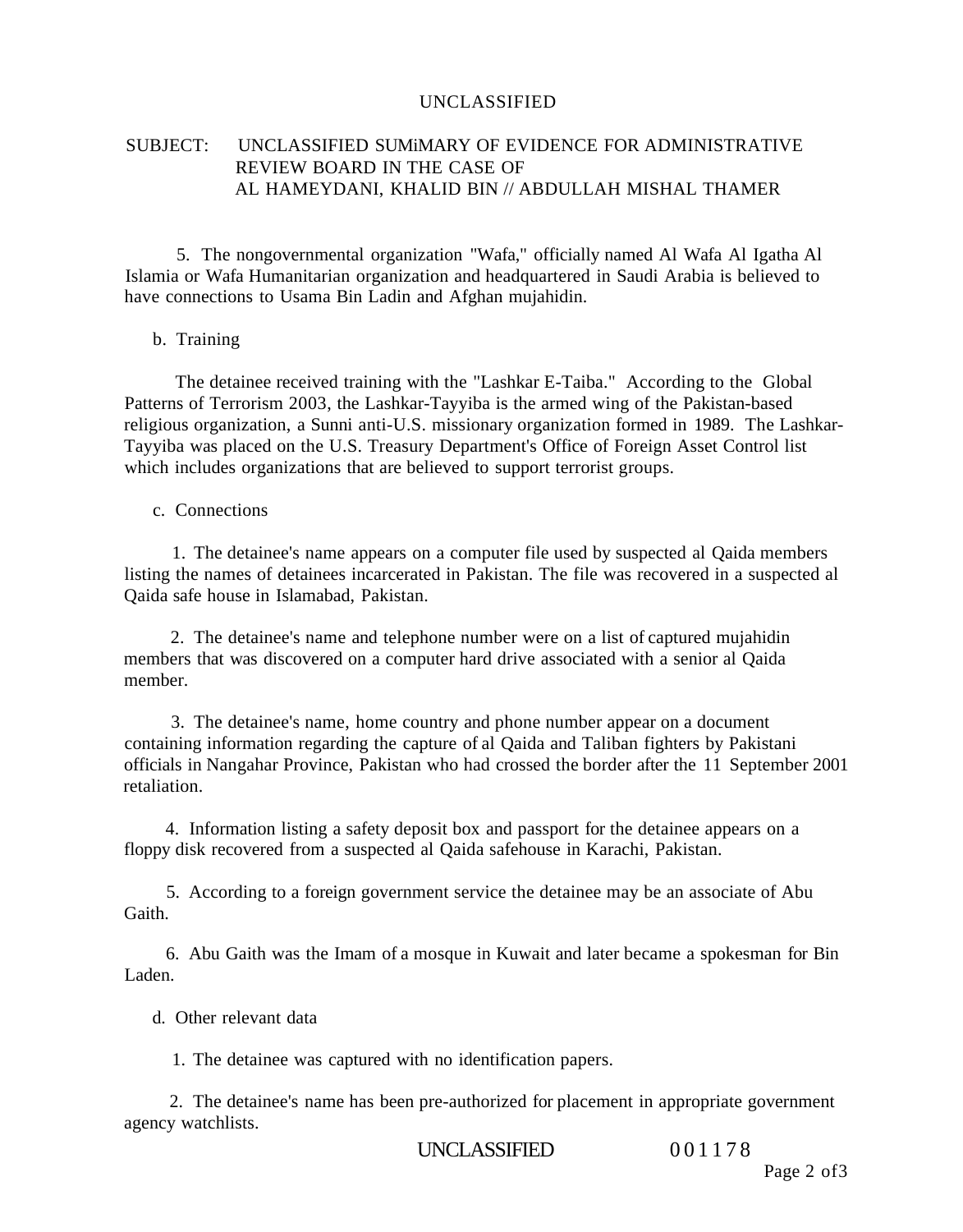#### SUBJECT: UNCLASSIFIED SUMiMARY OF EVIDENCE FOR ADMINISTRATIVE REVIEW BOARD IN THE CASE OF AL HAMEYDANI, KHALID BIN // ABDULLAH MISHAL THAMER

5. The nongovernmental organization "Wafa," officially named Al Wafa Al Igatha Al Islamia or Wafa Humanitarian organization and headquartered in Saudi Arabia is believed to have connections to Usama Bin Ladin and Afghan mujahidin.

#### b. Training

The detainee received training with the "Lashkar E-Taiba." According to the Global Patterns of Terrorism 2003, the Lashkar-Tayyiba is the armed wing of the Pakistan-based religious organization, a Sunni anti-U.S. missionary organization formed in 1989. The Lashkar-Tayyiba was placed on the U.S. Treasury Department's Office of Foreign Asset Control list which includes organizations that are believed to support terrorist groups.

#### c. Connections

1. The detainee's name appears on a computer file used by suspected al Qaida members listing the names of detainees incarcerated in Pakistan. The file was recovered in a suspected al Qaida safe house in Islamabad, Pakistan.

2. The detainee's name and telephone number were on a list of captured mujahidin members that was discovered on a computer hard drive associated with a senior al Qaida member.

3. The detainee's name, home country and phone number appear on a document containing information regarding the capture of al Qaida and Taliban fighters by Pakistani officials in Nangahar Province, Pakistan who had crossed the border after the 11 September 2001 retaliation.

4. Information listing a safety deposit box and passport for the detainee appears on a floppy disk recovered from a suspected al Qaida safehouse in Karachi, Pakistan.

5. According to a foreign government service the detainee may be an associate of Abu Gaith.

6. Abu Gaith was the Imam of a mosque in Kuwait and later became a spokesman for Bin Laden.

d. Other relevant data

1. The detainee was captured with no identification papers.

2. The detainee's name has been pre-authorized for placement in appropriate government agency watchlists.

UNCLASSIFIED 001178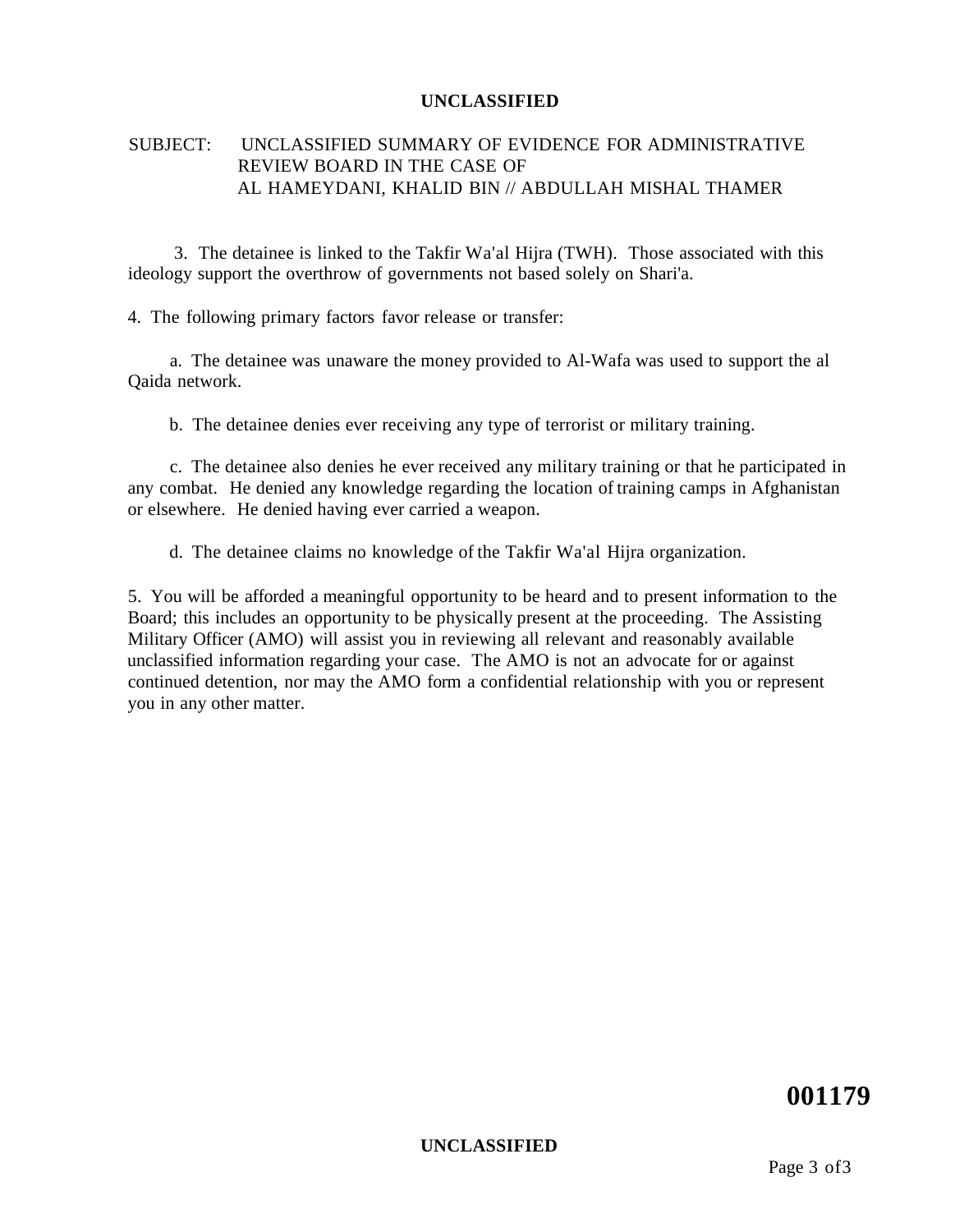#### SUBJECT: UNCLASSIFIED SUMMARY OF EVIDENCE FOR ADMINISTRATIVE REVIEW BOARD IN THE CASE OF AL HAMEYDANI, KHALID BIN // ABDULLAH MISHAL THAMER

3. The detainee is linked to the Takfir Wa'al Hijra (TWH). Those associated with this ideology support the overthrow of governments not based solely on Shari'a.

4. The following primary factors favor release or transfer:

a. The detainee was unaware the money provided to Al-Wafa was used to support the al Qaida network.

b. The detainee denies ever receiving any type of terrorist or military training.

c. The detainee also denies he ever received any military training or that he participated in any combat. He denied any knowledge regarding the location of training camps in Afghanistan or elsewhere. He denied having ever carried a weapon.

d. The detainee claims no knowledge of the Takfir Wa'al Hijra organization.

5. You will be afforded a meaningful opportunity to be heard and to present information to the Board; this includes an opportunity to be physically present at the proceeding. The Assisting Military Officer (AMO) will assist you in reviewing all relevant and reasonably available unclassified information regarding your case. The AMO is not an advocate for or against continued detention, nor may the AMO form a confidential relationship with you or represent you in any other matter.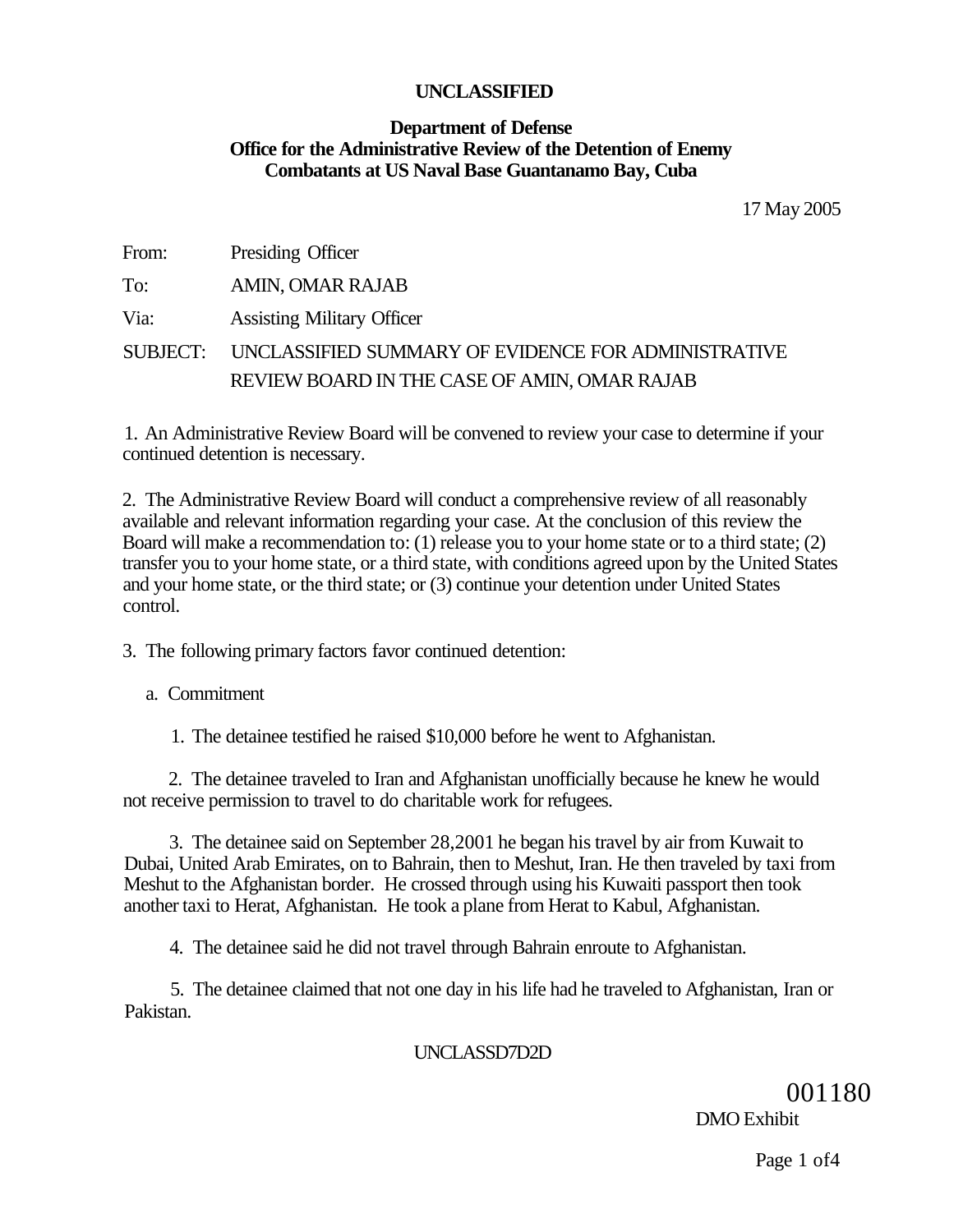#### **Department of Defense Office for the Administrative Review of the Detention of Enemy Combatants at US Naval Base Guantanamo Bay, Cuba**

17 May 2005

| From:    | Presiding Officer                                   |
|----------|-----------------------------------------------------|
| To:      | AMIN, OMAR RAJAB                                    |
| Via:     | <b>Assisting Military Officer</b>                   |
| SUBJECT: | UNCLASSIFIED SUMMARY OF EVIDENCE FOR ADMINISTRATIVE |
|          | REVIEW BOARD IN THE CASE OF AMIN, OMAR RAJAB        |

1. An Administrative Review Board will be convened to review your case to determine if your continued detention is necessary.

2. The Administrative Review Board will conduct a comprehensive review of all reasonably available and relevant information regarding your case. At the conclusion of this review the Board will make a recommendation to: (1) release you to your home state or to a third state; (2) transfer you to your home state, or a third state, with conditions agreed upon by the United States and your home state, or the third state; or (3) continue your detention under United States control.

3. The following primary factors favor continued detention:

a. Commitment

1. The detainee testified he raised \$10,000 before he went to Afghanistan.

2. The detainee traveled to Iran and Afghanistan unofficially because he knew he would not receive permission to travel to do charitable work for refugees.

3. The detainee said on September 28,2001 he began his travel by air from Kuwait to Dubai, United Arab Emirates, on to Bahrain, then to Meshut, Iran. He then traveled by taxi from Meshut to the Afghanistan border. He crossed through using his Kuwaiti passport then took another taxi to Herat, Afghanistan. He took a plane from Herat to Kabul, Afghanistan.

4. The detainee said he did not travel through Bahrain enroute to Afghanistan.

5. The detainee claimed that not one day in his life had he traveled to Afghanistan, Iran or Pakistan.

#### UNCLASSD7D2D

001180 DMO Exhibit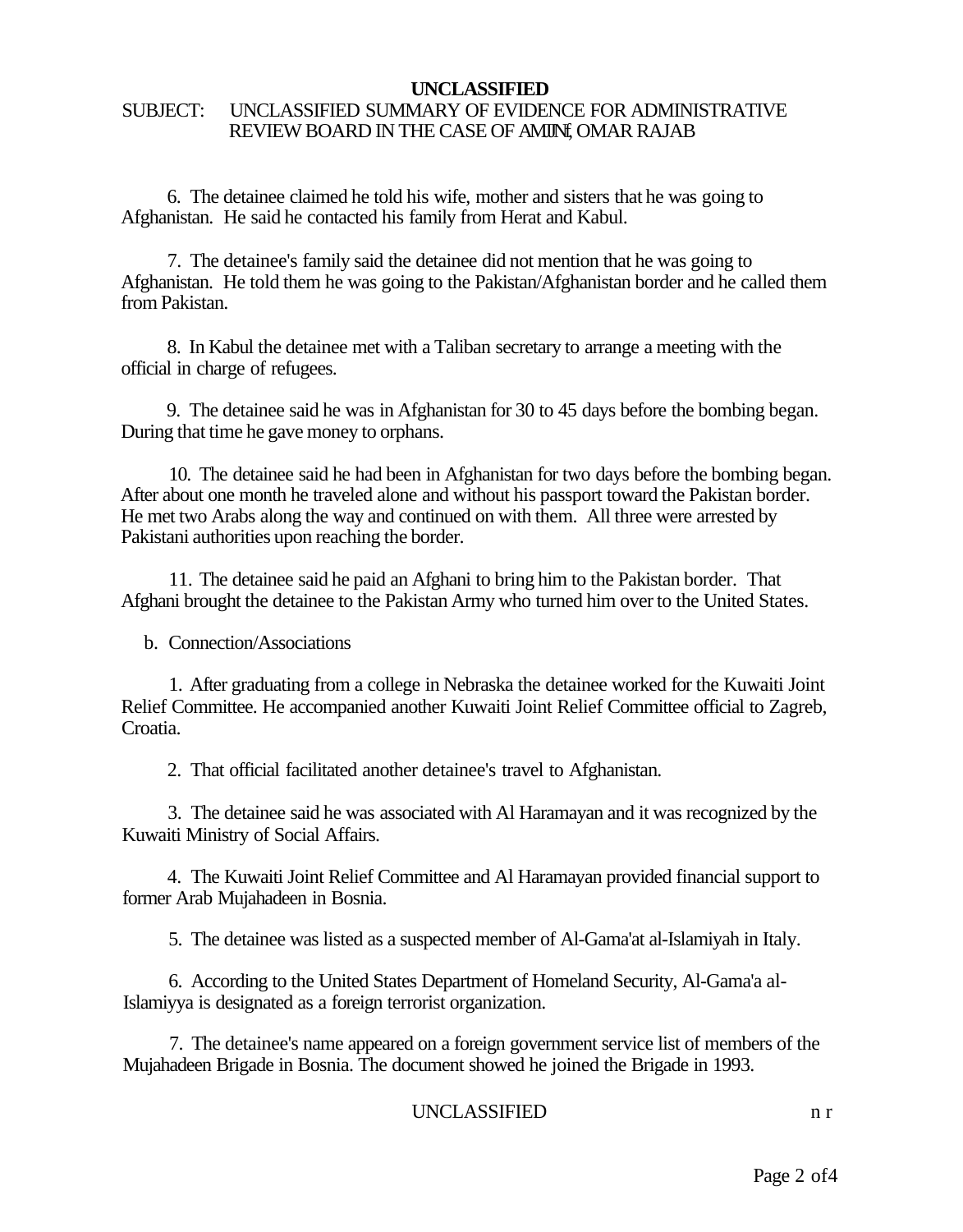#### SUBJECT: UNCLASSIFIED SUMMARY OF EVIDENCE FOR ADMINISTRATIVE REVIEW BOARD IN THE CASE OF AMINE OMAR RAJAB

6. The detainee claimed he told his wife, mother and sisters that he was going to Afghanistan. He said he contacted his family from Herat and Kabul.

7. The detainee's family said the detainee did not mention that he was going to Afghanistan. He told them he was going to the Pakistan/Afghanistan border and he called them from Pakistan.

8. In Kabul the detainee met with a Taliban secretary to arrange a meeting with the official in charge of refugees.

9. The detainee said he was in Afghanistan for 30 to 45 days before the bombing began. During that time he gave money to orphans.

10. The detainee said he had been in Afghanistan for two days before the bombing began. After about one month he traveled alone and without his passport toward the Pakistan border. He met two Arabs along the way and continued on with them. All three were arrested by Pakistani authorities upon reaching the border.

11. The detainee said he paid an Afghani to bring him to the Pakistan border. That Afghani brought the detainee to the Pakistan Army who turned him over to the United States.

b. Connection/Associations

1. After graduating from a college in Nebraska the detainee worked for the Kuwaiti Joint Relief Committee. He accompanied another Kuwaiti Joint Relief Committee official to Zagreb, Croatia.

2. That official facilitated another detainee's travel to Afghanistan.

3. The detainee said he was associated with Al Haramayan and it was recognized by the Kuwaiti Ministry of Social Affairs.

4. The Kuwaiti Joint Relief Committee and Al Haramayan provided financial support to former Arab Mujahadeen in Bosnia.

5. The detainee was listed as a suspected member of Al-Gama'at al-Islamiyah in Italy.

6. According to the United States Department of Homeland Security, Al-Gama'a al-Islamiyya is designated as a foreign terrorist organization.

7. The detainee's name appeared on a foreign government service list of members of the Mujahadeen Brigade in Bosnia. The document showed he joined the Brigade in 1993.

#### UNCLASSIFIED n r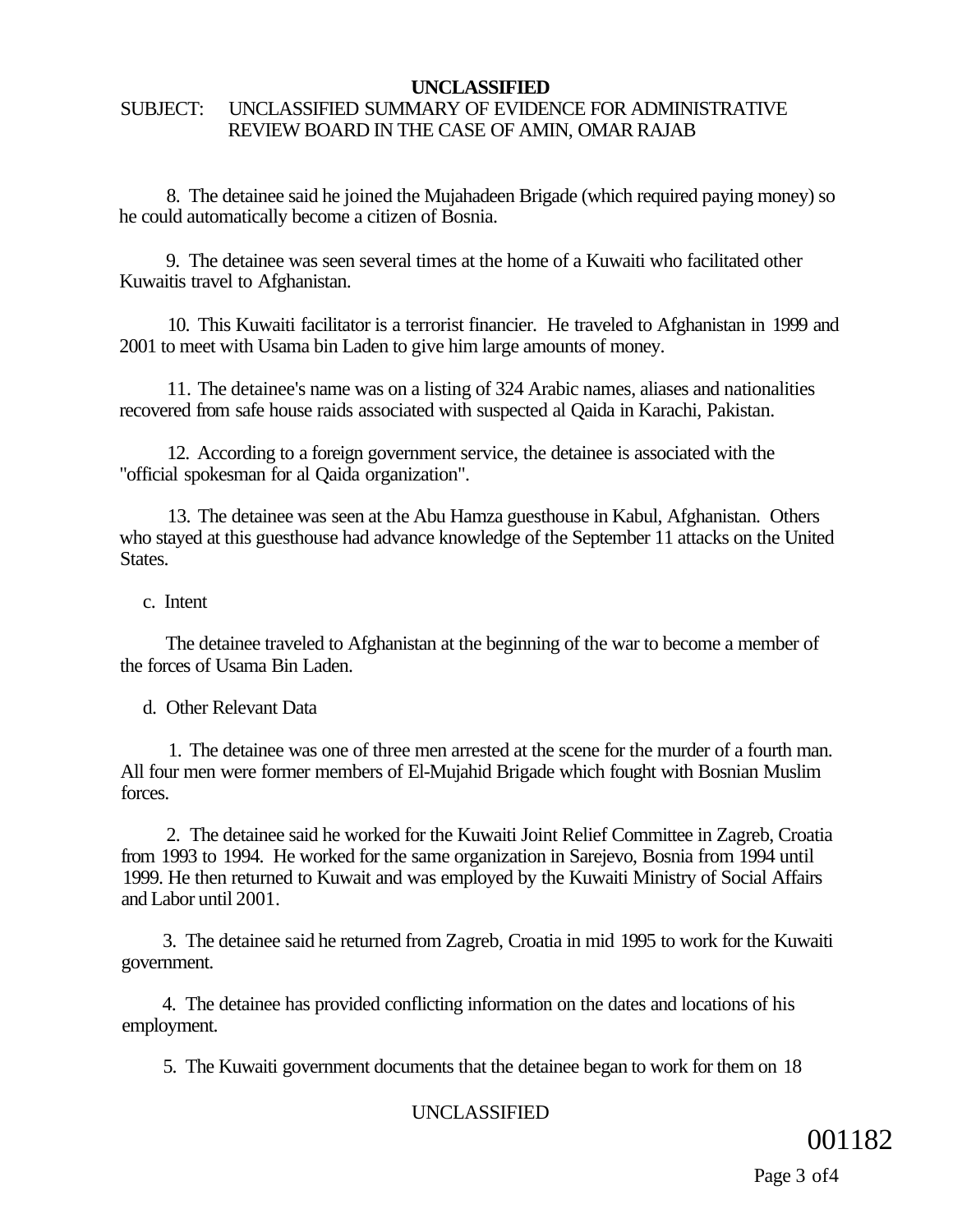#### SUBJECT: UNCLASSIFIED SUMMARY OF EVIDENCE FOR ADMINISTRATIVE REVIEW BOARD IN THE CASE OF AMIN, OMAR RAJAB

8. The detainee said he joined the Mujahadeen Brigade (which required paying money) so he could automatically become a citizen of Bosnia.

9. The detainee was seen several times at the home of a Kuwaiti who facilitated other Kuwaitis travel to Afghanistan.

10. This Kuwaiti facilitator is a terrorist financier. He traveled to Afghanistan in 1999 and 2001 to meet with Usama bin Laden to give him large amounts of money.

11. The detainee's name was on a listing of 324 Arabic names, aliases and nationalities recovered from safe house raids associated with suspected al Qaida in Karachi, Pakistan.

12. According to a foreign government service, the detainee is associated with the "official spokesman for al Qaida organization".

13. The detainee was seen at the Abu Hamza guesthouse in Kabul, Afghanistan. Others who stayed at this guesthouse had advance knowledge of the September 11 attacks on the United States.

c. Intent

The detainee traveled to Afghanistan at the beginning of the war to become a member of the forces of Usama Bin Laden.

d. Other Relevant Data

1. The detainee was one of three men arrested at the scene for the murder of a fourth man. All four men were former members of El-Mujahid Brigade which fought with Bosnian Muslim forces.

2. The detainee said he worked for the Kuwaiti Joint Relief Committee in Zagreb, Croatia from 1993 to 1994. He worked for the same organization in Sarejevo, Bosnia from 1994 until 1999. He then returned to Kuwait and was employed by the Kuwaiti Ministry of Social Affairs and Labor until 2001.

3. The detainee said he returned from Zagreb, Croatia in mid 1995 to work for the Kuwaiti government.

4. The detainee has provided conflicting information on the dates and locations of his employment.

5. The Kuwaiti government documents that the detainee began to work for them on 18

#### UNCLASSIFIED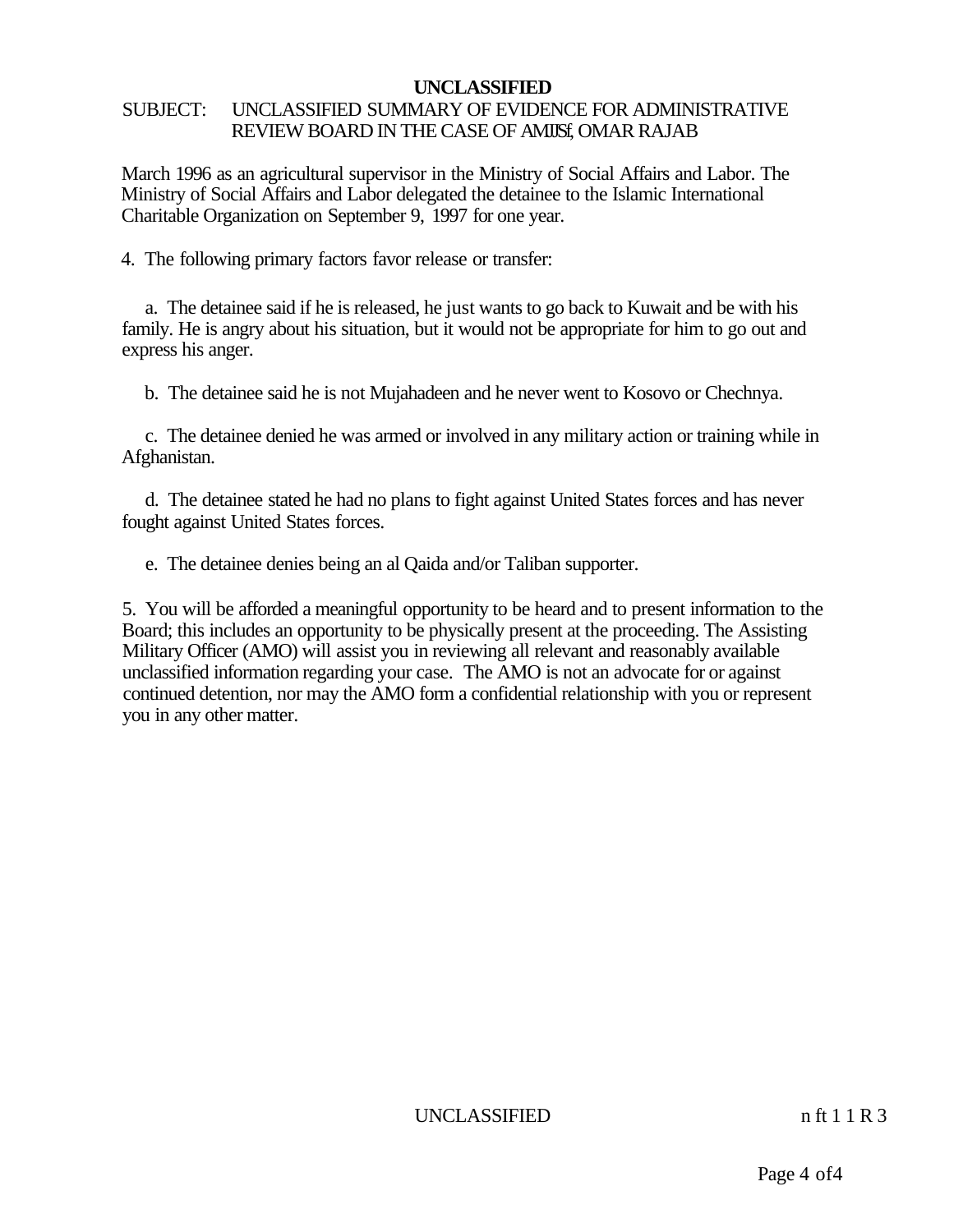#### SUBJECT: UNCLASSIFIED SUMMARY OF EVIDENCE FOR ADMINISTRATIVE REVIEW BOARD IN THE CASE OF AMISE, OMAR RAJAB

March 1996 as an agricultural supervisor in the Ministry of Social Affairs and Labor. The Ministry of Social Affairs and Labor delegated the detainee to the Islamic International Charitable Organization on September 9, 1997 for one year.

4. The following primary factors favor release or transfer:

a. The detainee said if he is released, he just wants to go back to Kuwait and be with his family. He is angry about his situation, but it would not be appropriate for him to go out and express his anger.

b. The detainee said he is not Mujahadeen and he never went to Kosovo or Chechnya.

c. The detainee denied he was armed or involved in any military action or training while in Afghanistan.

d. The detainee stated he had no plans to fight against United States forces and has never fought against United States forces.

e. The detainee denies being an al Qaida and/or Taliban supporter.

5. You will be afforded a meaningful opportunity to be heard and to present information to the Board; this includes an opportunity to be physically present at the proceeding. The Assisting Military Officer (AMO) will assist you in reviewing all relevant and reasonably available unclassified information regarding your case. The AMO is not an advocate for or against continued detention, nor may the AMO form a confidential relationship with you or represent you in any other matter.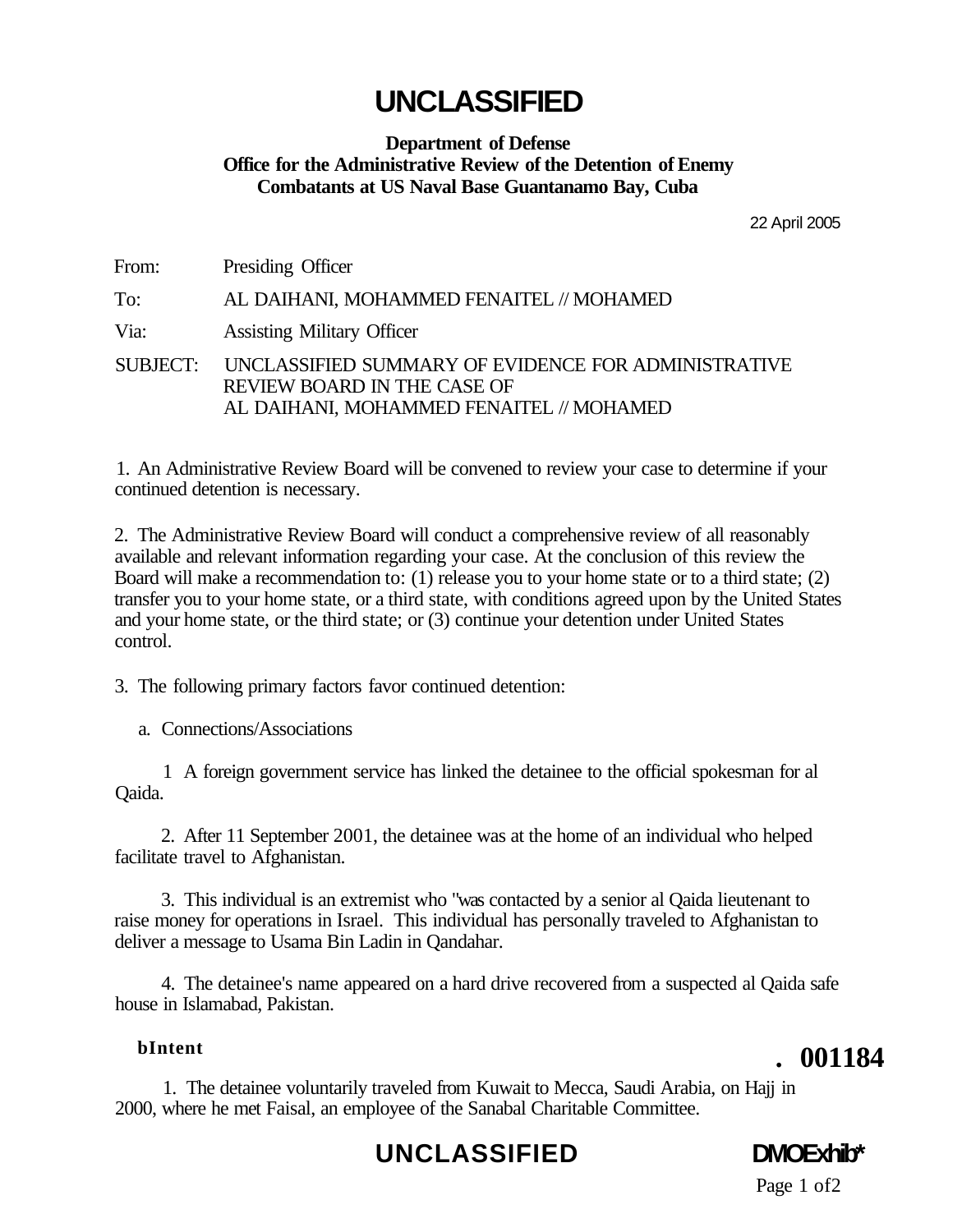#### **Department of Defense Office for the Administrative Review of the Detention of Enemy Combatants at US Naval Base Guantanamo Bay, Cuba**

22 April 2005

| From: | Presiding Officer                                                                                                                       |
|-------|-----------------------------------------------------------------------------------------------------------------------------------------|
| To:   | AL DAIHANI, MOHAMMED FENAITEL // MOHAMED                                                                                                |
| Via:  | <b>Assisting Military Officer</b>                                                                                                       |
|       | SUBJECT: UNCLASSIFIED SUMMARY OF EVIDENCE FOR ADMINISTRATIVE<br>REVIEW BOARD IN THE CASE OF<br>AL DAIHANI, MOHAMMED FENAITEL // MOHAMED |

1. An Administrative Review Board will be convened to review your case to determine if your continued detention is necessary.

2. The Administrative Review Board will conduct a comprehensive review of all reasonably available and relevant information regarding your case. At the conclusion of this review the Board will make a recommendation to: (1) release you to your home state or to a third state; (2) transfer you to your home state, or a third state, with conditions agreed upon by the United States and your home state, or the third state; or (3) continue your detention under United States control.

3. The following primary factors favor continued detention:

a. Connections/Associations

1 A foreign government service has linked the detainee to the official spokesman for al Qaida.

2. After 11 September 2001, the detainee was at the home of an individual who helped facilitate travel to Afghanistan.

3. This individual is an extremist who "was contacted by a senior al Qaida lieutenant to raise money for operations in Israel. This individual has personally traveled to Afghanistan to deliver a message to Usama Bin Ladin in Qandahar.

4. The detainee's name appeared on a hard drive recovered from a suspected al Qaida safe house in Islamabad, Pakistan.

#### **bIntent**

 **. 001184** 

1. The detainee voluntarily traveled from Kuwait to Mecca, Saudi Arabia, on Hajj in 2000, where he met Faisal, an employee of the Sanabal Charitable Committee.

### **UNCLASSIFIED DMOExhib\***

Page 1 of 2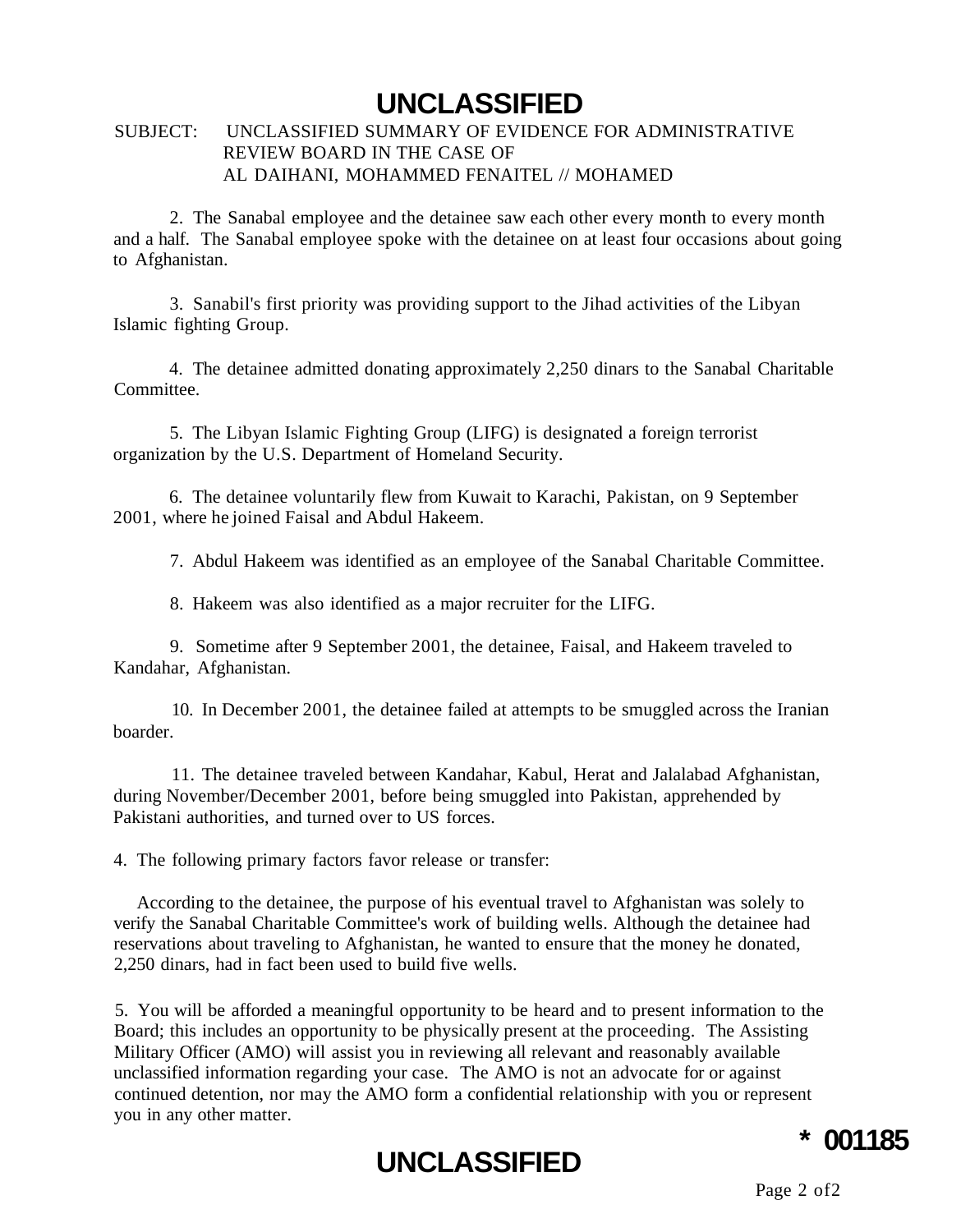#### SUBJECT: UNCLASSIFIED SUMMARY OF EVIDENCE FOR ADMINISTRATIVE REVIEW BOARD IN THE CASE OF AL DAIHANI, MOHAMMED FENAITEL // MOHAMED

2. The Sanabal employee and the detainee saw each other every month to every month and a half. The Sanabal employee spoke with the detainee on at least four occasions about going to Afghanistan.

3. Sanabil's first priority was providing support to the Jihad activities of the Libyan Islamic fighting Group.

4. The detainee admitted donating approximately 2,250 dinars to the Sanabal Charitable Committee.

5. The Libyan Islamic Fighting Group (LIFG) is designated a foreign terrorist organization by the U.S. Department of Homeland Security.

6. The detainee voluntarily flew from Kuwait to Karachi, Pakistan, on 9 September 2001, where he joined Faisal and Abdul Hakeem.

7. Abdul Hakeem was identified as an employee of the Sanabal Charitable Committee.

8. Hakeem was also identified as a major recruiter for the LIFG.

9. Sometime after 9 September 2001, the detainee, Faisal, and Hakeem traveled to Kandahar, Afghanistan.

10. In December 2001, the detainee failed at attempts to be smuggled across the Iranian boarder.

11. The detainee traveled between Kandahar, Kabul, Herat and Jalalabad Afghanistan, during November/December 2001, before being smuggled into Pakistan, apprehended by Pakistani authorities, and turned over to US forces.

4. The following primary factors favor release or transfer:

According to the detainee, the purpose of his eventual travel to Afghanistan was solely to verify the Sanabal Charitable Committee's work of building wells. Although the detainee had reservations about traveling to Afghanistan, he wanted to ensure that the money he donated, 2,250 dinars, had in fact been used to build five wells.

5. You will be afforded a meaningful opportunity to be heard and to present information to the Board; this includes an opportunity to be physically present at the proceeding. The Assisting Military Officer (AMO) will assist you in reviewing all relevant and reasonably available unclassified information regarding your case. The AMO is not an advocate for or against continued detention, nor may the AMO form a confidential relationship with you or represent you in any other matter.



### **\* 001185**

Page 2 of2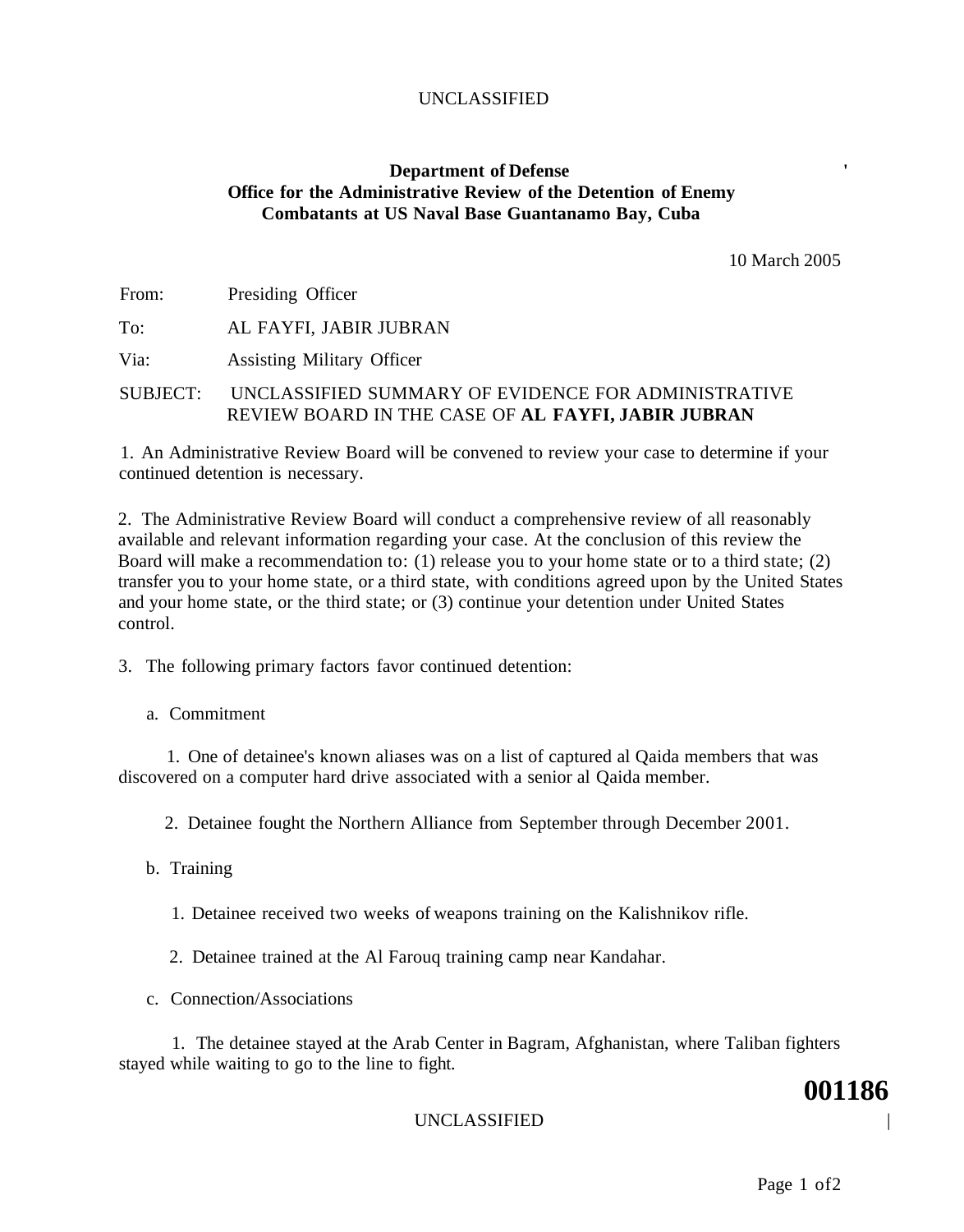#### **Department of Defense Office for the Administrative Review of the Detention of Enemy Combatants at US Naval Base Guantanamo Bay, Cuba**

10 March 2005

| From: | Presiding Officer      |
|-------|------------------------|
| To:   | AL FAYFI, JABIR JUBRAN |

Via: Assisting Military Officer

SUBJECT: UNCLASSIFIED SUMMARY OF EVIDENCE FOR ADMINISTRATIVE REVIEW BOARD IN THE CASE OF **AL FAYFI, JABIR JUBRAN** 

1. An Administrative Review Board will be convened to review your case to determine if your continued detention is necessary.

2. The Administrative Review Board will conduct a comprehensive review of all reasonably available and relevant information regarding your case. At the conclusion of this review the Board will make a recommendation to: (1) release you to your home state or to a third state; (2) transfer you to your home state, or a third state, with conditions agreed upon by the United States and your home state, or the third state; or (3) continue your detention under United States control.

3. The following primary factors favor continued detention:

a. Commitment

1. One of detainee's known aliases was on a list of captured al Qaida members that was discovered on a computer hard drive associated with a senior al Qaida member.

2. Detainee fought the Northern Alliance from September through December 2001.

- b. Training
	- 1. Detainee received two weeks of weapons training on the Kalishnikov rifle.
	- 2. Detainee trained at the Al Farouq training camp near Kandahar.
- c. Connection/Associations

1. The detainee stayed at the Arab Center in Bagram, Afghanistan, where Taliban fighters stayed while waiting to go to the line to fight.

#### UNCLASSIFIED |

Page 1 of2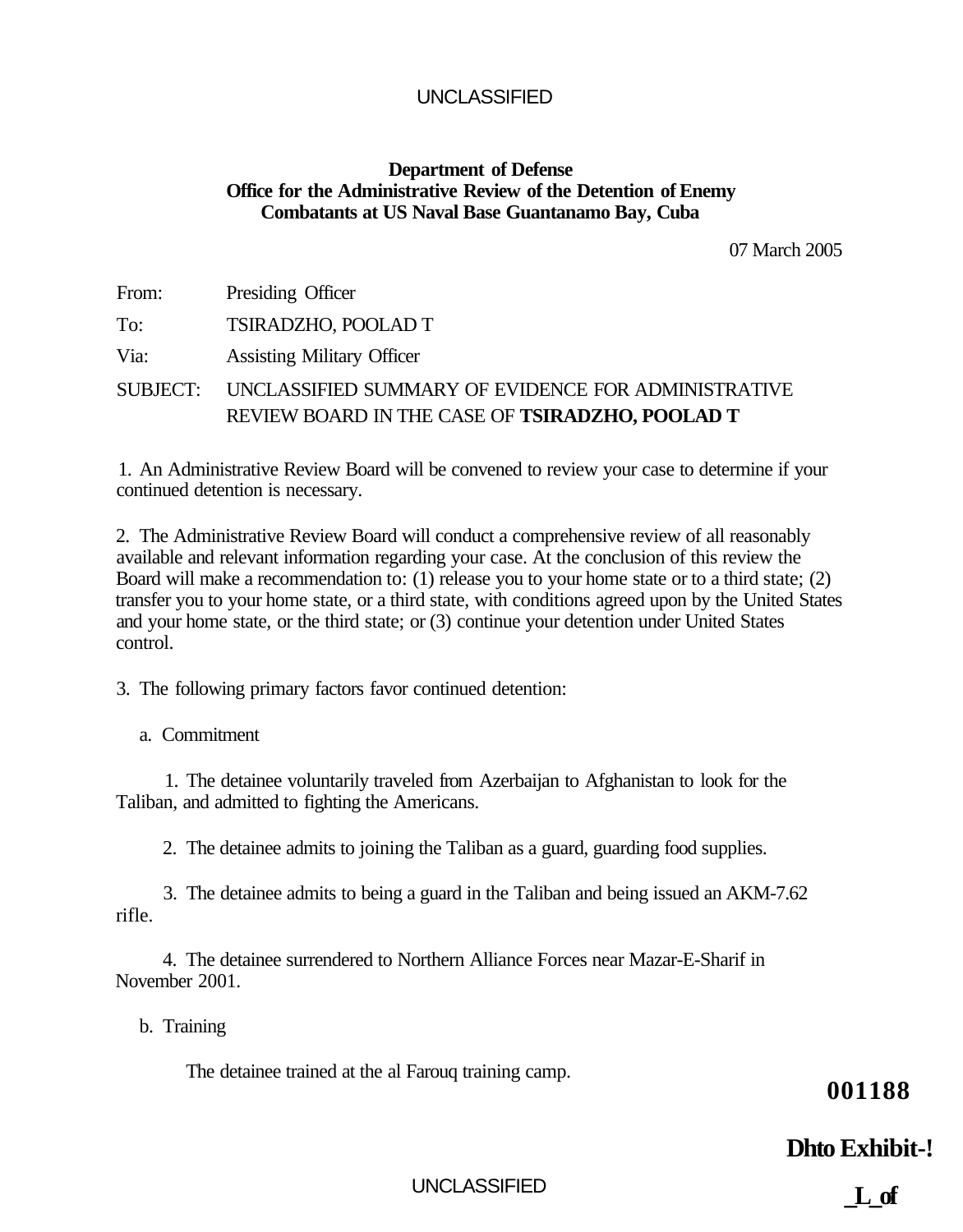#### **Department of Defense Office for the Administrative Review of the Detention of Enemy Combatants at US Naval Base Guantanamo Bay, Cuba**

07 March 2005

| From: | Presiding Officer                                            |
|-------|--------------------------------------------------------------|
| To:   | TSIRADZHO, POOLAD T                                          |
| Via:  | <b>Assisting Military Officer</b>                            |
|       | SUBJECT: UNCLASSIFIED SUMMARY OF EVIDENCE FOR ADMINISTRATIVE |
|       | REVIEW BOARD IN THE CASE OF TSIRADZHO, POOLAD T              |

1. An Administrative Review Board will be convened to review your case to determine if your continued detention is necessary.

2. The Administrative Review Board will conduct a comprehensive review of all reasonably available and relevant information regarding your case. At the conclusion of this review the Board will make a recommendation to: (1) release you to your home state or to a third state; (2) transfer you to your home state, or a third state, with conditions agreed upon by the United States and your home state, or the third state; or (3) continue your detention under United States control.

3. The following primary factors favor continued detention:

a. Commitment

1. The detainee voluntarily traveled from Azerbaijan to Afghanistan to look for the Taliban, and admitted to fighting the Americans.

2. The detainee admits to joining the Taliban as a guard, guarding food supplies.

3. The detainee admits to being a guard in the Taliban and being issued an AKM-7.62 rifle.

4. The detainee surrendered to Northern Alliance Forces near Mazar-E-Sharif in November 2001.

b. Training

The detainee trained at the al Farouq training camp.

**001188** 

#### **Dhto Exhibit-!**

UNCLASSIFIED

**\_L\_of**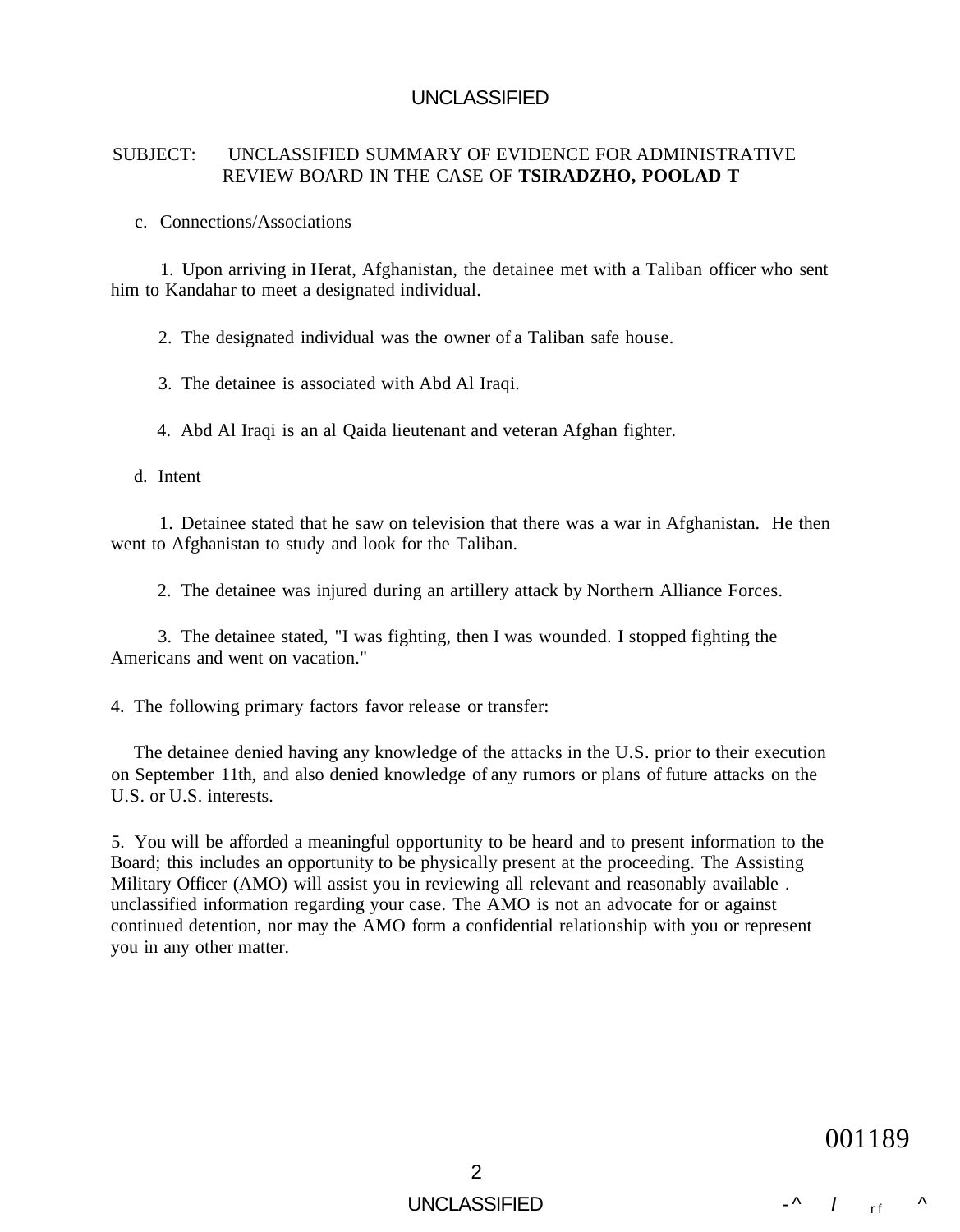#### SUBJECT: UNCLASSIFIED SUMMARY OF EVIDENCE FOR ADMINISTRATIVE REVIEW BOARD IN THE CASE OF **TSIRADZHO, POOLAD T**

c. Connections/Associations

1. Upon arriving in Herat, Afghanistan, the detainee met with a Taliban officer who sent him to Kandahar to meet a designated individual.

2. The designated individual was the owner of a Taliban safe house.

3. The detainee is associated with Abd Al Iraqi.

4. Abd Al Iraqi is an al Qaida lieutenant and veteran Afghan fighter.

d. Intent

1. Detainee stated that he saw on television that there was a war in Afghanistan. He then went to Afghanistan to study and look for the Taliban.

2. The detainee was injured during an artillery attack by Northern Alliance Forces.

3. The detainee stated, "I was fighting, then I was wounded. I stopped fighting the Americans and went on vacation."

4. The following primary factors favor release or transfer:

The detainee denied having any knowledge of the attacks in the U.S. prior to their execution on September 11th, and also denied knowledge of any rumors or plans of future attacks on the U.S. or U.S. interests.

5. You will be afforded a meaningful opportunity to be heard and to present information to the Board; this includes an opportunity to be physically present at the proceeding. The Assisting Military Officer (AMO) will assist you in reviewing all relevant and reasonably available . unclassified information regarding your case. The AMO is not an advocate for or against continued detention, nor may the AMO form a confidential relationship with you or represent you in any other matter.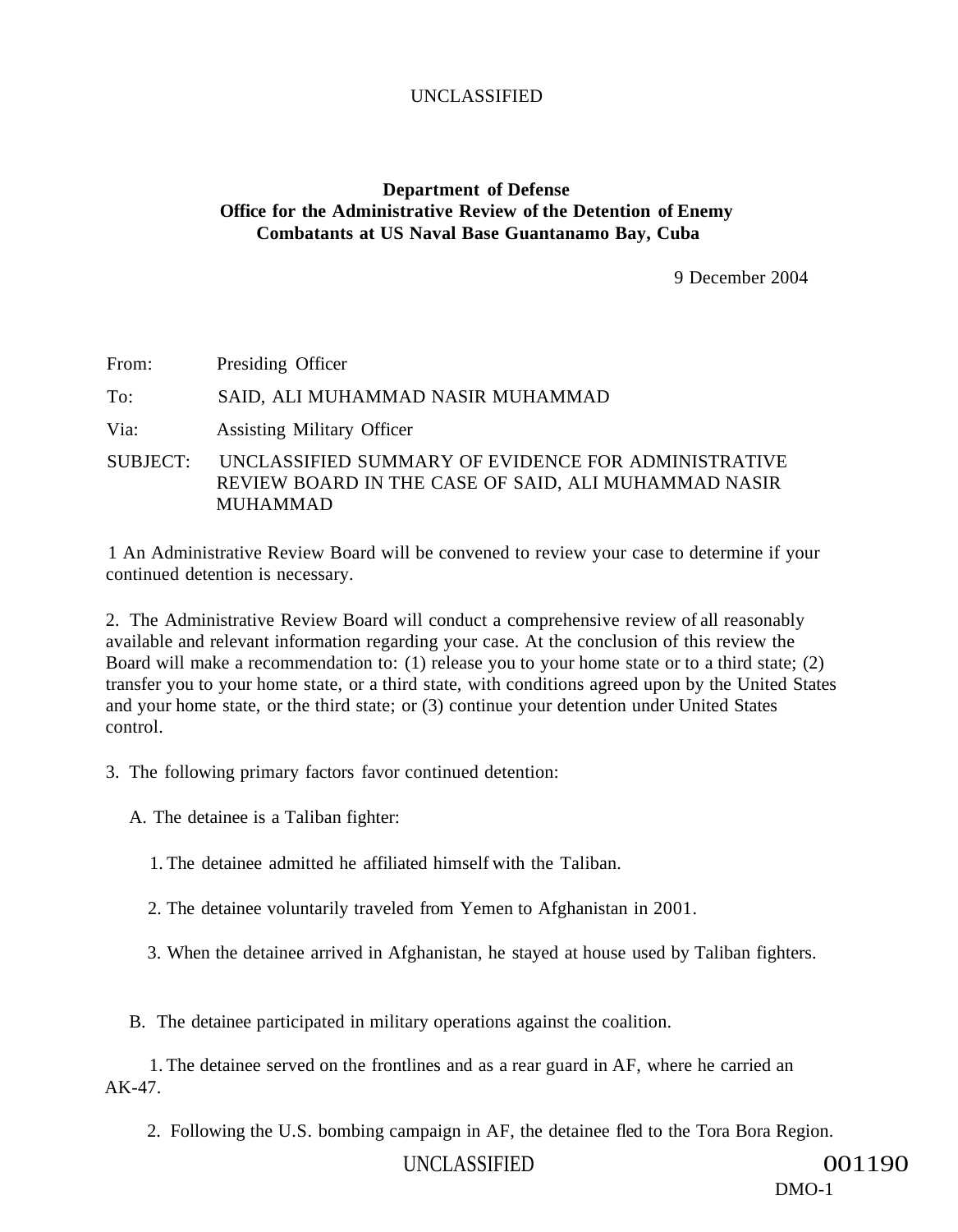#### **Department of Defense Office for the Administrative Review of the Detention of Enemy Combatants at US Naval Base Guantanamo Bay, Cuba**

9 December 2004

From: Presiding Officer

To: SAID, ALI MUHAMMAD NASIR MUHAMMAD

Via: Assisting Military Officer

SUBJECT: UNCLASSIFIED SUMMARY OF EVIDENCE FOR ADMINISTRATIVE REVIEW BOARD IN THE CASE OF SAID, ALI MUHAMMAD NASIR MUHAMMAD

1 An Administrative Review Board will be convened to review your case to determine if your continued detention is necessary.

2. The Administrative Review Board will conduct a comprehensive review of all reasonably available and relevant information regarding your case. At the conclusion of this review the Board will make a recommendation to: (1) release you to your home state or to a third state; (2) transfer you to your home state, or a third state, with conditions agreed upon by the United States and your home state, or the third state; or (3) continue your detention under United States control.

3. The following primary factors favor continued detention:

A. The detainee is a Taliban fighter:

1. The detainee admitted he affiliated himself with the Taliban.

2. The detainee voluntarily traveled from Yemen to Afghanistan in 2001.

3. When the detainee arrived in Afghanistan, he stayed at house used by Taliban fighters.

B. The detainee participated in military operations against the coalition.

1. The detainee served on the frontlines and as a rear guard in AF, where he carried an AK-47.

2. Following the U.S. bombing campaign in AF, the detainee fled to the Tora Bora Region.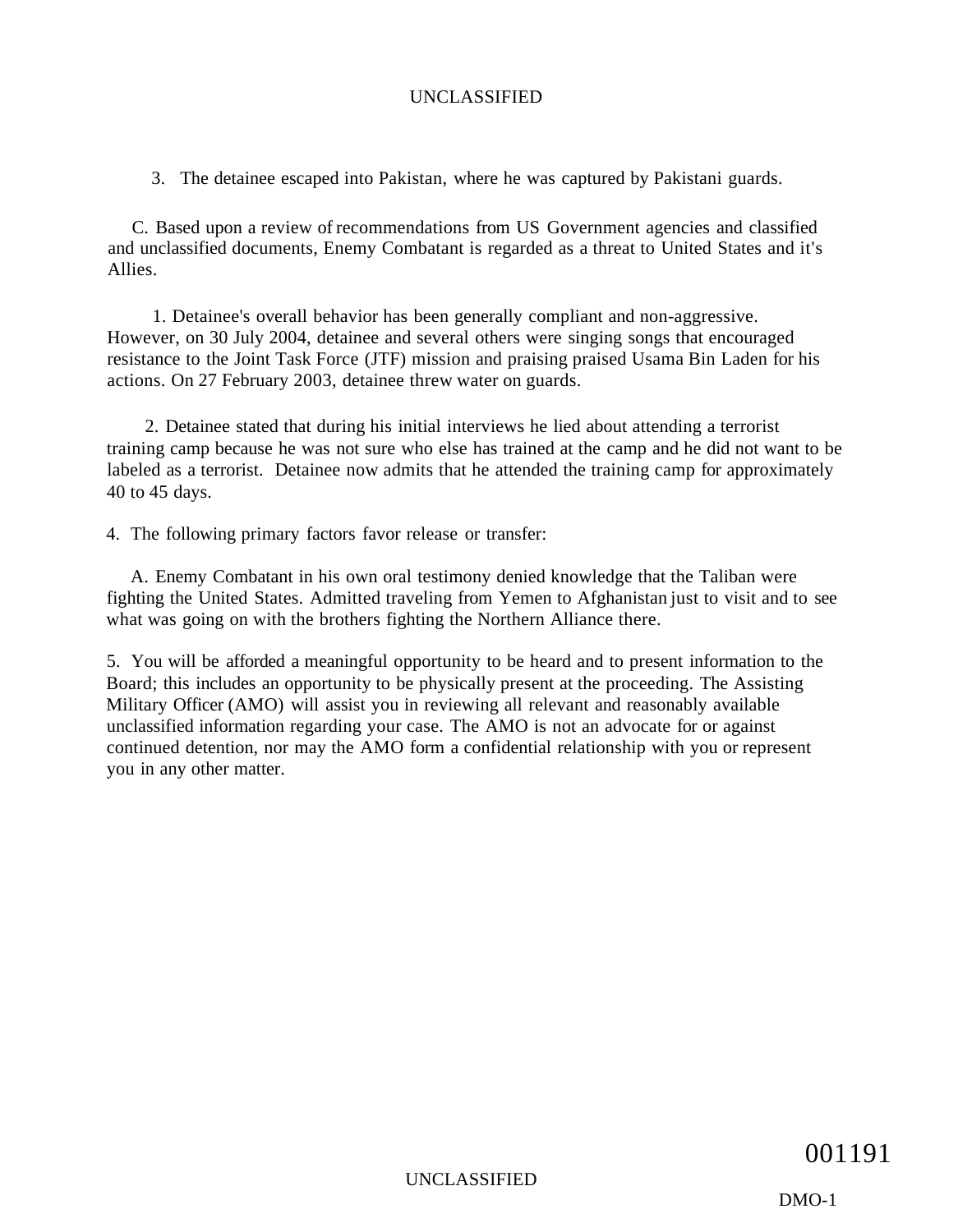3. The detainee escaped into Pakistan, where he was captured by Pakistani guards.

C. Based upon a review of recommendations from US Government agencies and classified and unclassified documents, Enemy Combatant is regarded as a threat to United States and it's Allies.

1. Detainee's overall behavior has been generally compliant and non-aggressive. However, on 30 July 2004, detainee and several others were singing songs that encouraged resistance to the Joint Task Force (JTF) mission and praising praised Usama Bin Laden for his actions. On 27 February 2003, detainee threw water on guards.

2. Detainee stated that during his initial interviews he lied about attending a terrorist training camp because he was not sure who else has trained at the camp and he did not want to be labeled as a terrorist. Detainee now admits that he attended the training camp for approximately 40 to 45 days.

4. The following primary factors favor release or transfer:

A. Enemy Combatant in his own oral testimony denied knowledge that the Taliban were fighting the United States. Admitted traveling from Yemen to Afghanistan just to visit and to see what was going on with the brothers fighting the Northern Alliance there.

5. You will be afforded a meaningful opportunity to be heard and to present information to the Board; this includes an opportunity to be physically present at the proceeding. The Assisting Military Officer (AMO) will assist you in reviewing all relevant and reasonably available unclassified information regarding your case. The AMO is not an advocate for or against continued detention, nor may the AMO form a confidential relationship with you or represent you in any other matter.

DMO-1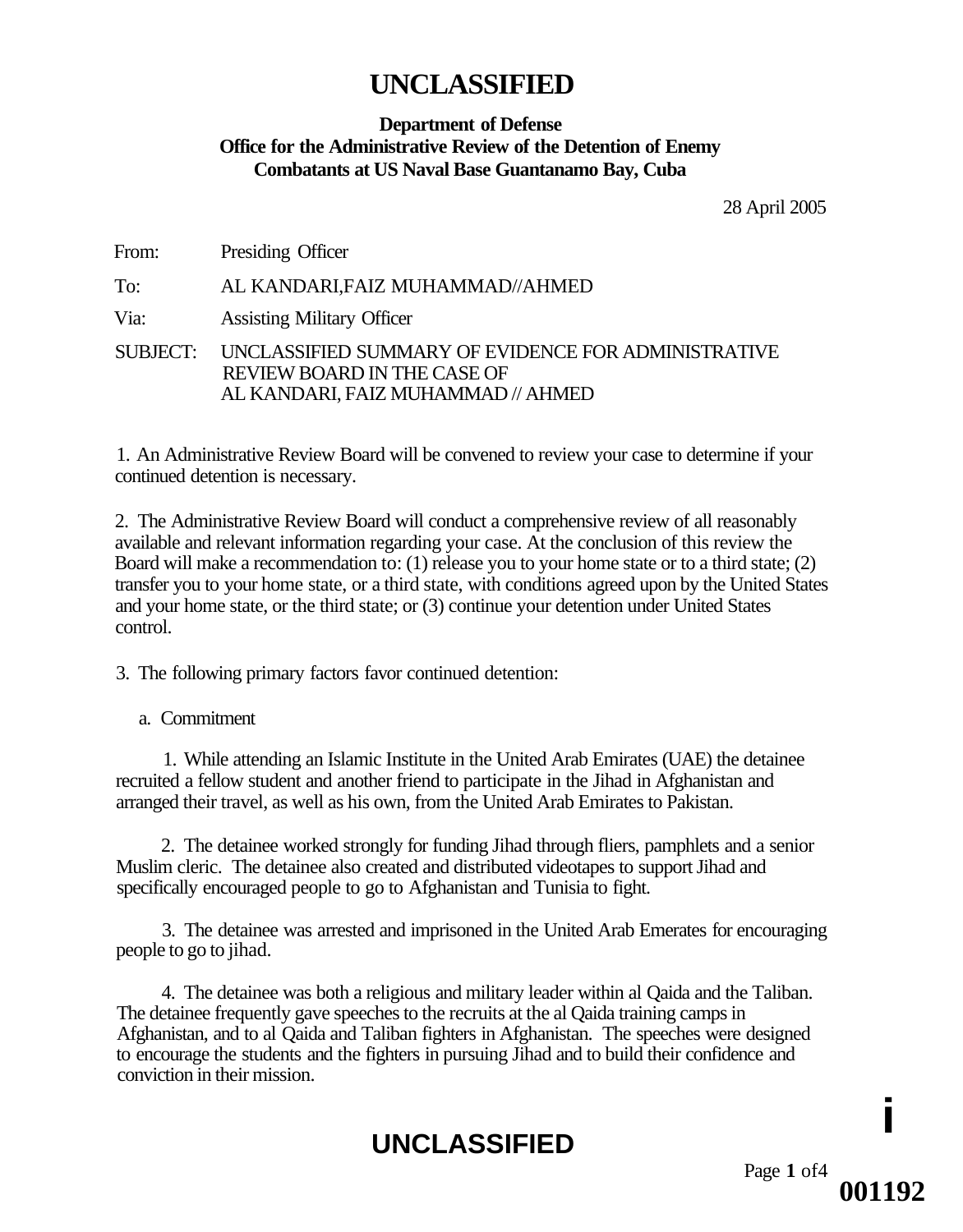#### **Department of Defense Office for the Administrative Review of the Detention of Enemy Combatants at US Naval Base Guantanamo Bay, Cuba**

28 April 2005

From: Presiding Officer

To: AL KANDARI,FAIZ MUHAMMAD//AHMED

Via: Assisting Military Officer

SUBJECT: UNCLASSIFIED SUMMARY OF EVIDENCE FOR ADMINISTRATIVE REVIEW BOARD IN THE CASE OF AL KANDARI, FAIZ MUHAMMAD // AHMED

1. An Administrative Review Board will be convened to review your case to determine if your continued detention is necessary.

2. The Administrative Review Board will conduct a comprehensive review of all reasonably available and relevant information regarding your case. At the conclusion of this review the Board will make a recommendation to: (1) release you to your home state or to a third state; (2) transfer you to your home state, or a third state, with conditions agreed upon by the United States and your home state, or the third state; or (3) continue your detention under United States control.

3. The following primary factors favor continued detention:

a. Commitment

1. While attending an Islamic Institute in the United Arab Emirates (UAE) the detainee recruited a fellow student and another friend to participate in the Jihad in Afghanistan and arranged their travel, as well as his own, from the United Arab Emirates to Pakistan.

2. The detainee worked strongly for funding Jihad through fliers, pamphlets and a senior Muslim cleric. The detainee also created and distributed videotapes to support Jihad and specifically encouraged people to go to Afghanistan and Tunisia to fight.

3. The detainee was arrested and imprisoned in the United Arab Emerates for encouraging people to go to jihad.

4. The detainee was both a religious and military leader within al Qaida and the Taliban. The detainee frequently gave speeches to the recruits at the al Qaida training camps in Afghanistan, and to al Qaida and Taliban fighters in Afghanistan. The speeches were designed to encourage the students and the fighters in pursuing Jihad and to build their confidence and conviction in their mission.

# **UNCLASSIFIED**

**i**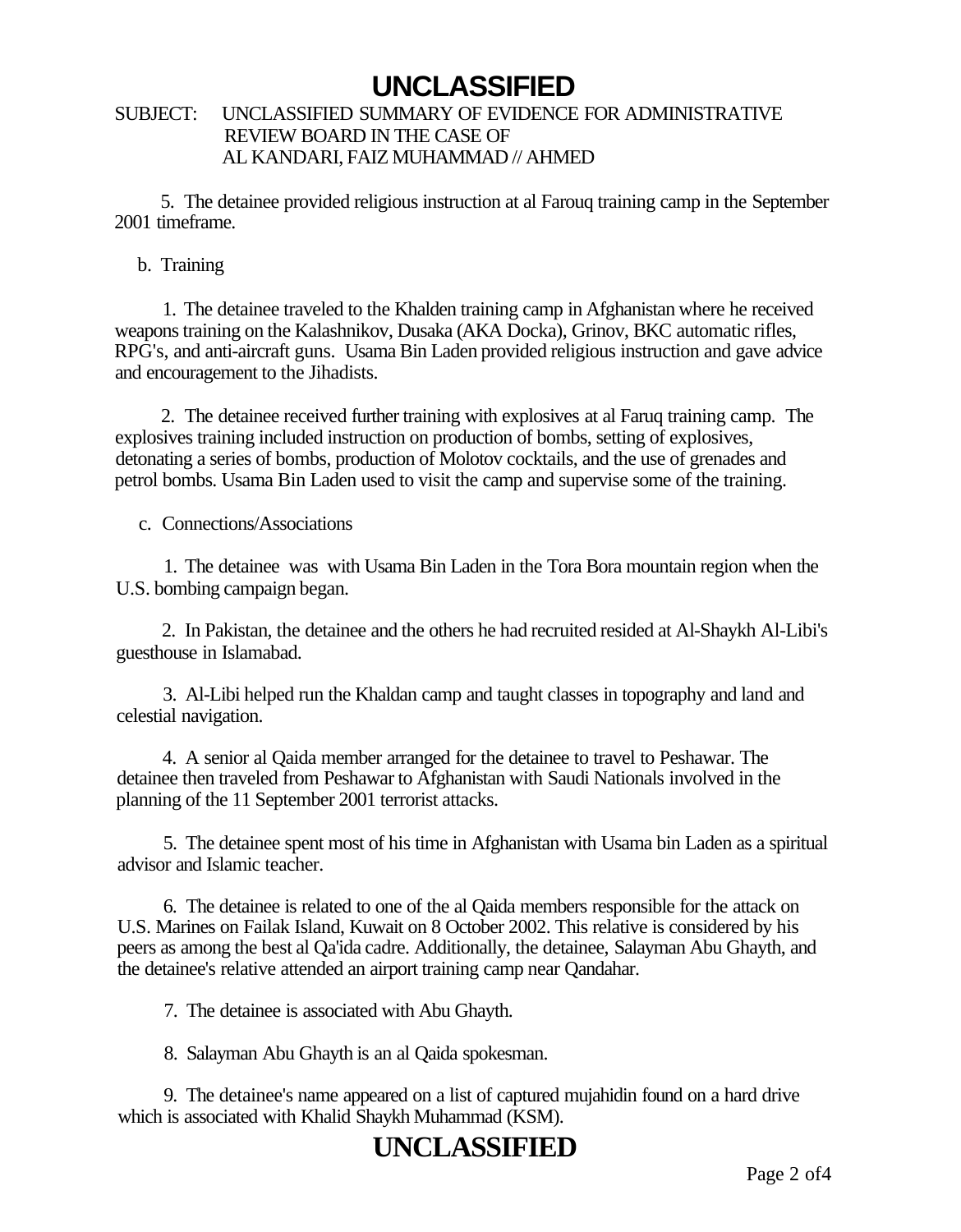#### SUBJECT: UNCLASSIFIED SUMMARY OF EVIDENCE FOR ADMINISTRATIVE REVIEW BOARD IN THE CASE OF AL KANDARI, FAIZ MUHAMMAD // AHMED

5. The detainee provided religious instruction at al Farouq training camp in the September 2001 timeframe.

#### b. Training

1. The detainee traveled to the Khalden training camp in Afghanistan where he received weapons training on the Kalashnikov, Dusaka (AKA Docka), Grinov, BKC automatic rifles, RPG's, and anti-aircraft guns. Usama Bin Laden provided religious instruction and gave advice and encouragement to the Jihadists.

2. The detainee received further training with explosives at al Faruq training camp. The explosives training included instruction on production of bombs, setting of explosives, detonating a series of bombs, production of Molotov cocktails, and the use of grenades and petrol bombs. Usama Bin Laden used to visit the camp and supervise some of the training.

c. Connections/Associations

1. The detainee was with Usama Bin Laden in the Tora Bora mountain region when the U.S. bombing campaign began.

2. In Pakistan, the detainee and the others he had recruited resided at Al-Shaykh Al-Libi's guesthouse in Islamabad.

3. Al-Libi helped run the Khaldan camp and taught classes in topography and land and celestial navigation.

4. A senior al Qaida member arranged for the detainee to travel to Peshawar. The detainee then traveled from Peshawar to Afghanistan with Saudi Nationals involved in the planning of the 11 September 2001 terrorist attacks.

5. The detainee spent most of his time in Afghanistan with Usama bin Laden as a spiritual advisor and Islamic teacher.

6. The detainee is related to one of the al Qaida members responsible for the attack on U.S. Marines on Failak Island, Kuwait on 8 October 2002. This relative is considered by his peers as among the best al Qa'ida cadre. Additionally, the detainee, Salayman Abu Ghayth, and the detainee's relative attended an airport training camp near Qandahar.

7. The detainee is associated with Abu Ghayth.

8. Salayman Abu Ghayth is an al Qaida spokesman.

9. The detainee's name appeared on a list of captured mujahidin found on a hard drive which is associated with Khalid Shaykh Muhammad (KSM).

# **UNCLASSIFIED**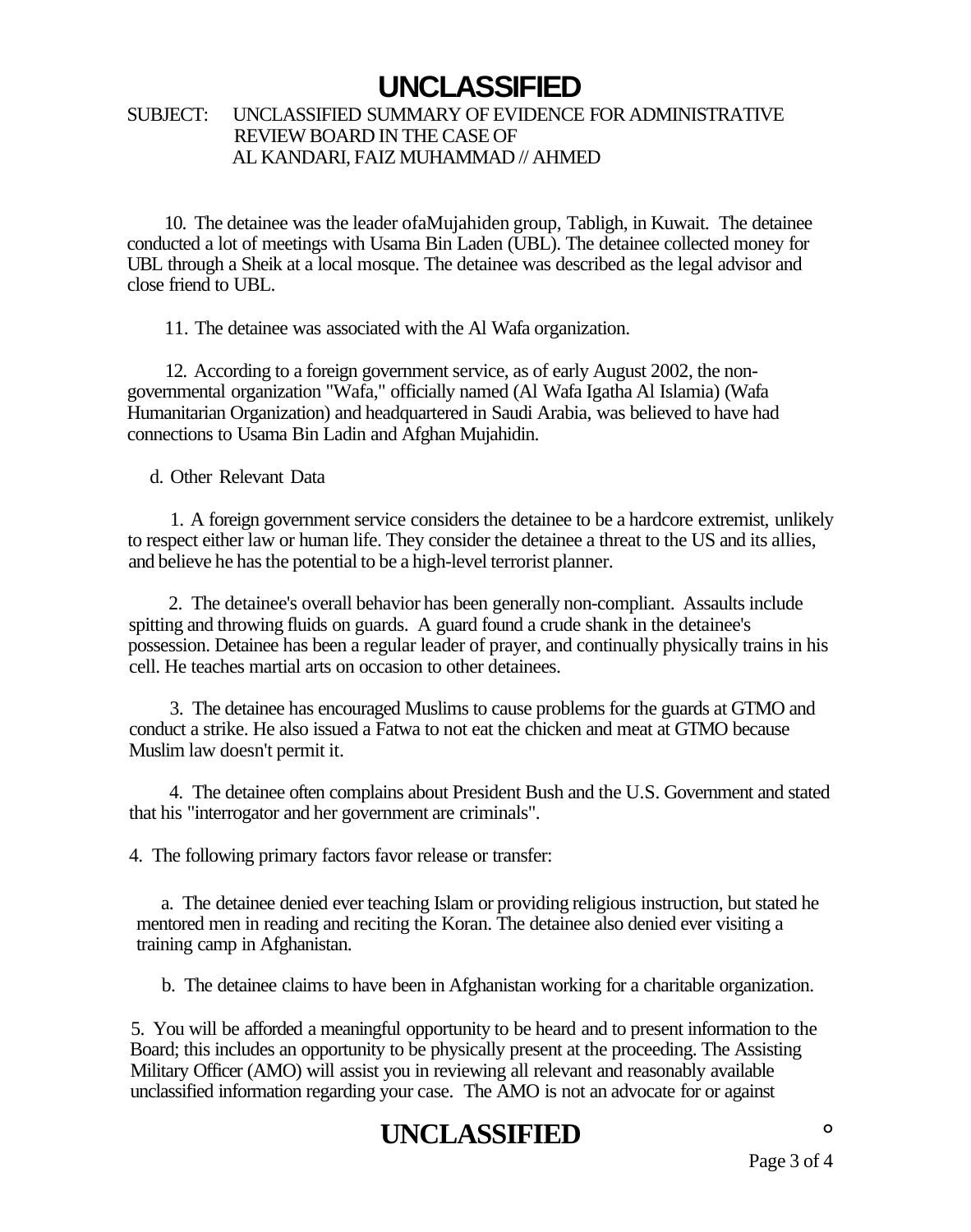#### SUBJECT: UNCLASSIFIED SUMMARY OF EVIDENCE FOR ADMINISTRATIVE REVIEW BOARD IN THE CASE OF AL KANDARI, FAIZ MUHAMMAD // AHMED

10. The detainee was the leader ofaMujahiden group, Tabligh, in Kuwait. The detainee conducted a lot of meetings with Usama Bin Laden (UBL). The detainee collected money for UBL through a Sheik at a local mosque. The detainee was described as the legal advisor and close friend to UBL.

11. The detainee was associated with the Al Wafa organization.

12. According to a foreign government service, as of early August 2002, the nongovernmental organization "Wafa," officially named (Al Wafa Igatha Al Islamia) (Wafa Humanitarian Organization) and headquartered in Saudi Arabia, was believed to have had connections to Usama Bin Ladin and Afghan Mujahidin.

d. Other Relevant Data

1. A foreign government service considers the detainee to be a hardcore extremist, unlikely to respect either law or human life. They consider the detainee a threat to the US and its allies, and believe he has the potential to be a high-level terrorist planner.

2. The detainee's overall behavior has been generally non-compliant. Assaults include spitting and throwing fluids on guards. A guard found a crude shank in the detainee's possession. Detainee has been a regular leader of prayer, and continually physically trains in his cell. He teaches martial arts on occasion to other detainees.

3. The detainee has encouraged Muslims to cause problems for the guards at GTMO and conduct a strike. He also issued a Fatwa to not eat the chicken and meat at GTMO because Muslim law doesn't permit it.

4. The detainee often complains about President Bush and the U.S. Government and stated that his "interrogator and her government are criminals".

4. The following primary factors favor release or transfer:

a. The detainee denied ever teaching Islam or providing religious instruction, but stated he mentored men in reading and reciting the Koran. The detainee also denied ever visiting a training camp in Afghanistan.

b. The detainee claims to have been in Afghanistan working for a charitable organization.

5. You will be afforded a meaningful opportunity to be heard and to present information to the Board; this includes an opportunity to be physically present at the proceeding. The Assisting Military Officer (AMO) will assist you in reviewing all relevant and reasonably available unclassified information regarding your case. The AMO is not an advocate for or against

## **UNCLASSIFIED °**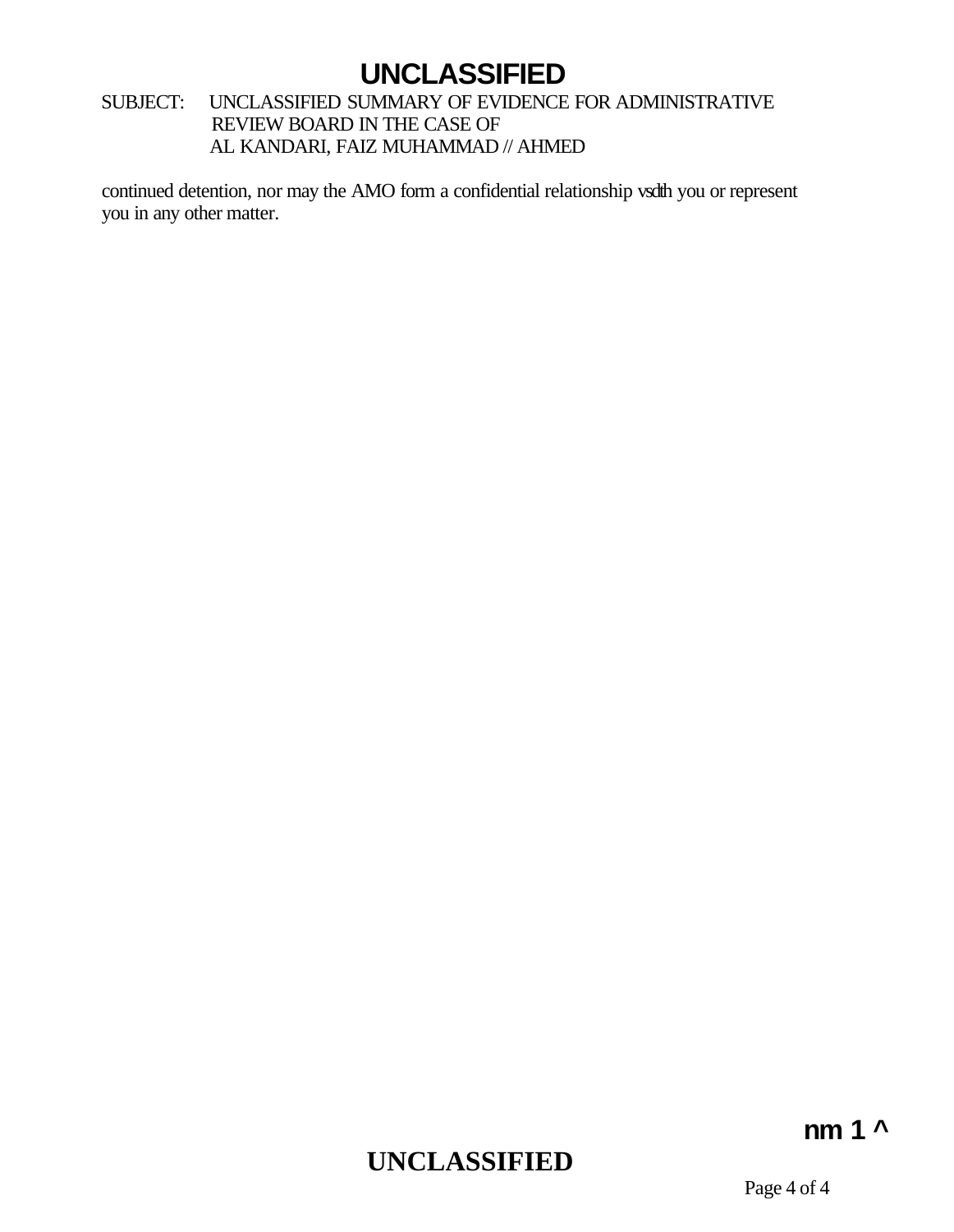#### SUBJECT: UNCLASSIFIED SUMMARY OF EVIDENCE FOR ADMINISTRATIVE REVIEW BOARD IN THE CASE OF AL KANDARI, FAIZ MUHAMMAD // AHMED

continued detention, nor may the AMO form a confidential relationship vsdth you or represent you in any other matter.

# **UNCLASSIFIED**

### **nm 1 ^**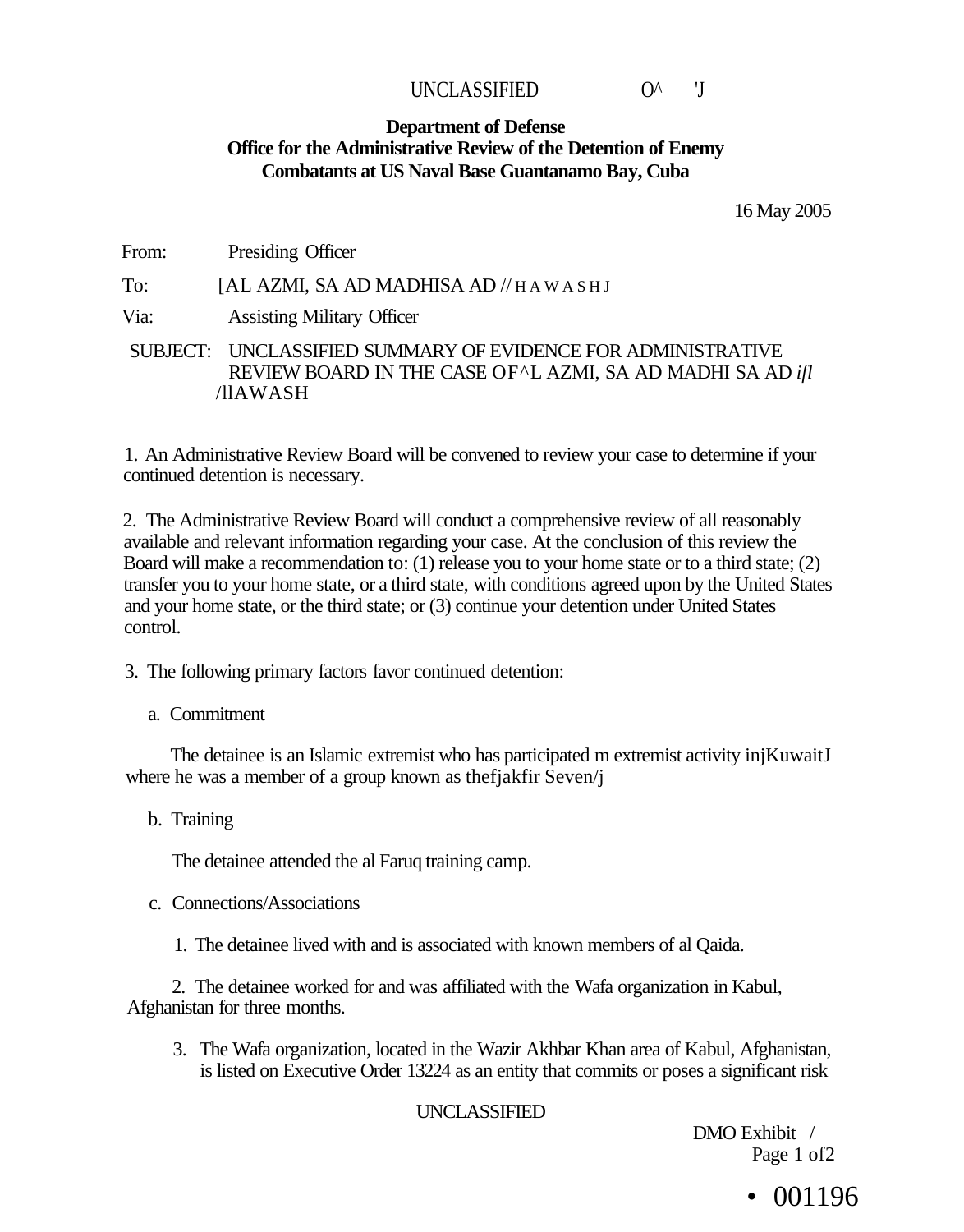### UNCLASSIFIED O^ 'J

#### **Department of Defense Office for the Administrative Review of the Detention of Enemy Combatants at US Naval Base Guantanamo Bay, Cuba**

16 May 2005

From: Presiding Officer To: [AL AZMI, SA AD MADHISA AD // HAWASH J Via: Assisting Military Officer SUBJECT: UNCLASSIFIED SUMMARY OF EVIDENCE FOR ADMINISTRATIVE REVIEW BOARD IN THE CASE OF^L AZMI, SA AD MADHI SA AD *ifl*  /llAWASH

1. An Administrative Review Board will be convened to review your case to determine if your continued detention is necessary.

2. The Administrative Review Board will conduct a comprehensive review of all reasonably available and relevant information regarding your case. At the conclusion of this review the Board will make a recommendation to: (1) release you to your home state or to a third state; (2) transfer you to your home state, or a third state, with conditions agreed upon by the United States and your home state, or the third state; or (3) continue your detention under United States control.

3. The following primary factors favor continued detention:

#### a. Commitment

The detainee is an Islamic extremist who has participated m extremist activity injKuwaitJ where he was a member of a group known as thefjakfir Seven/j

b. Training

The detainee attended the al Faruq training camp.

- c. Connections/Associations
	- 1. The detainee lived with and is associated with known members of al Qaida.

2. The detainee worked for and was affiliated with the Wafa organization in Kabul, Afghanistan for three months.

3. The Wafa organization, located in the Wazir Akhbar Khan area of Kabul, Afghanistan, is listed on Executive Order 13224 as an entity that commits or poses a significant risk

#### UNCLASSIFIED

DMO Exhibit / Page 1 of2

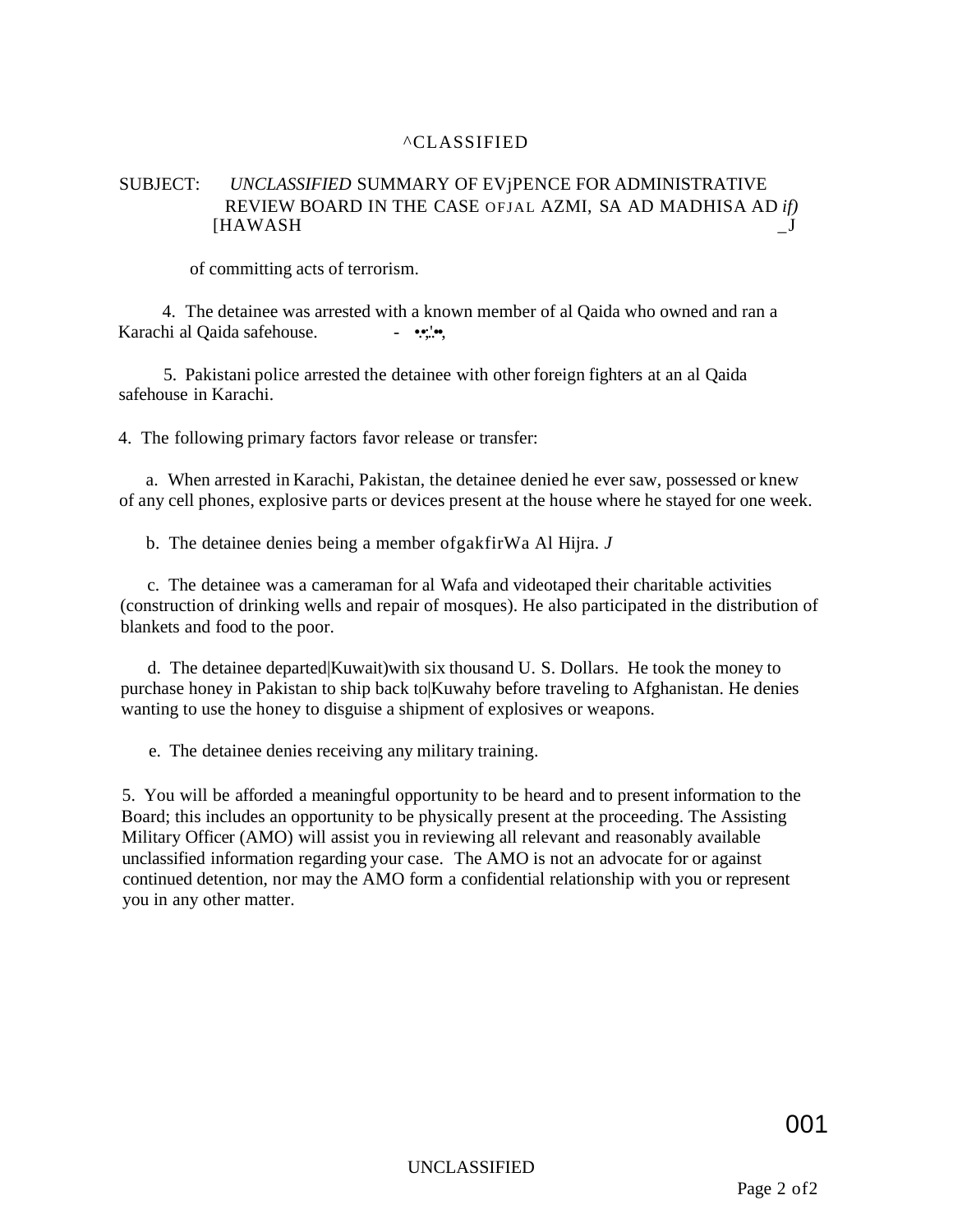#### ^CLASSIFIED

#### SUBJECT: *UNCLASSIFIED* SUMMARY OF EVjPENCE FOR ADMINISTRATIVE REVIEW BOARD IN THE CASE OFJAL AZMI, SA AD MADHISA AD *if)*  [HAWASH \_J

of committing acts of terrorism.

4. The detainee was arrested with a known member of al Qaida who owned and ran a Karachi al Qaida safehouse. - •••;.!••,

5. Pakistani police arrested the detainee with other foreign fighters at an al Qaida safehouse in Karachi.

4. The following primary factors favor release or transfer:

a. When arrested in Karachi, Pakistan, the detainee denied he ever saw, possessed or knew of any cell phones, explosive parts or devices present at the house where he stayed for one week.

b. The detainee denies being a member ofgakfirWa Al Hijra. *J* 

c. The detainee was a cameraman for al Wafa and videotaped their charitable activities (construction of drinking wells and repair of mosques). He also participated in the distribution of blankets and food to the poor.

d. The detainee departed|Kuwait)with six thousand U. S. Dollars. He took the money to purchase honey in Pakistan to ship back to|Kuwahy before traveling to Afghanistan. He denies wanting to use the honey to disguise a shipment of explosives or weapons.

e. The detainee denies receiving any military training.

5. You will be afforded a meaningful opportunity to be heard and to present information to the Board; this includes an opportunity to be physically present at the proceeding. The Assisting Military Officer (AMO) will assist you in reviewing all relevant and reasonably available unclassified information regarding your case. The AMO is not an advocate for or against continued detention, nor may the AMO form a confidential relationship with you or represent you in any other matter.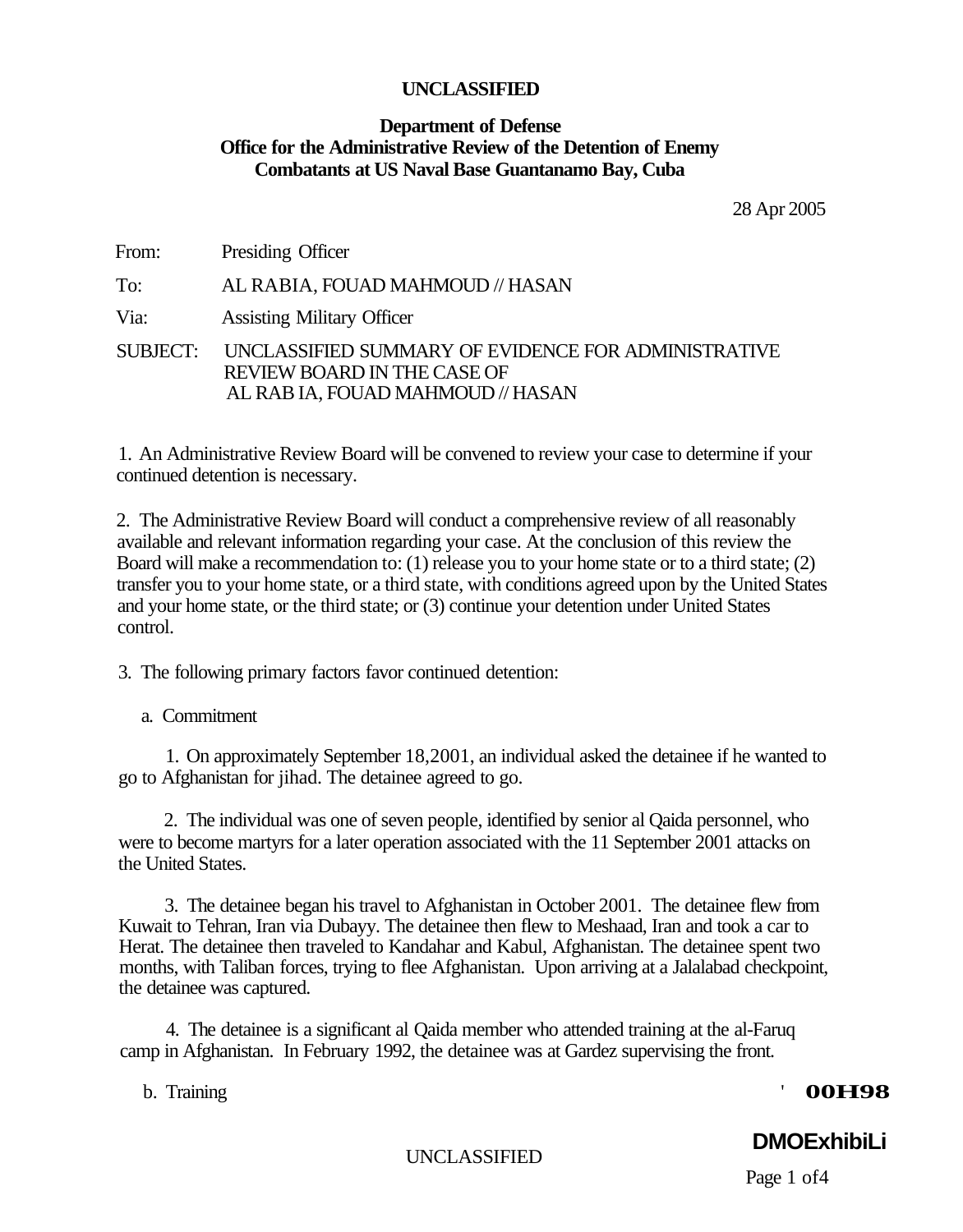# **Department of Defense Office for the Administrative Review of the Detention of Enemy Combatants at US Naval Base Guantanamo Bay, Cuba**

28 Apr 2005

From: Presiding Officer

To: AL RABIA, FOUAD MAHMOUD // HASAN

Via: Assisting Military Officer

SUBJECT: UNCLASSIFIED SUMMARY OF EVIDENCE FOR ADMINISTRATIVE REVIEW BOARD IN THE CASE OF AL RAB IA, FOUAD MAHMOUD // HASAN

1. An Administrative Review Board will be convened to review your case to determine if your continued detention is necessary.

2. The Administrative Review Board will conduct a comprehensive review of all reasonably available and relevant information regarding your case. At the conclusion of this review the Board will make a recommendation to: (1) release you to your home state or to a third state; (2) transfer you to your home state, or a third state, with conditions agreed upon by the United States and your home state, or the third state; or (3) continue your detention under United States control.

3. The following primary factors favor continued detention:

a. Commitment

1. On approximately September 18,2001, an individual asked the detainee if he wanted to go to Afghanistan for jihad. The detainee agreed to go.

2. The individual was one of seven people, identified by senior al Qaida personnel, who were to become martyrs for a later operation associated with the 11 September 2001 attacks on the United States.

3. The detainee began his travel to Afghanistan in October 2001. The detainee flew from Kuwait to Tehran, Iran via Dubayy. The detainee then flew to Meshaad, Iran and took a car to Herat. The detainee then traveled to Kandahar and Kabul, Afghanistan. The detainee spent two months, with Taliban forces, trying to flee Afghanistan. Upon arriving at a Jalalabad checkpoint, the detainee was captured.

4. The detainee is a significant al Qaida member who attended training at the al-Faruq camp in Afghanistan. In February 1992, the detainee was at Gardez supervising the front.

# b. Training ' **00H98**

**DMOExhibiLi**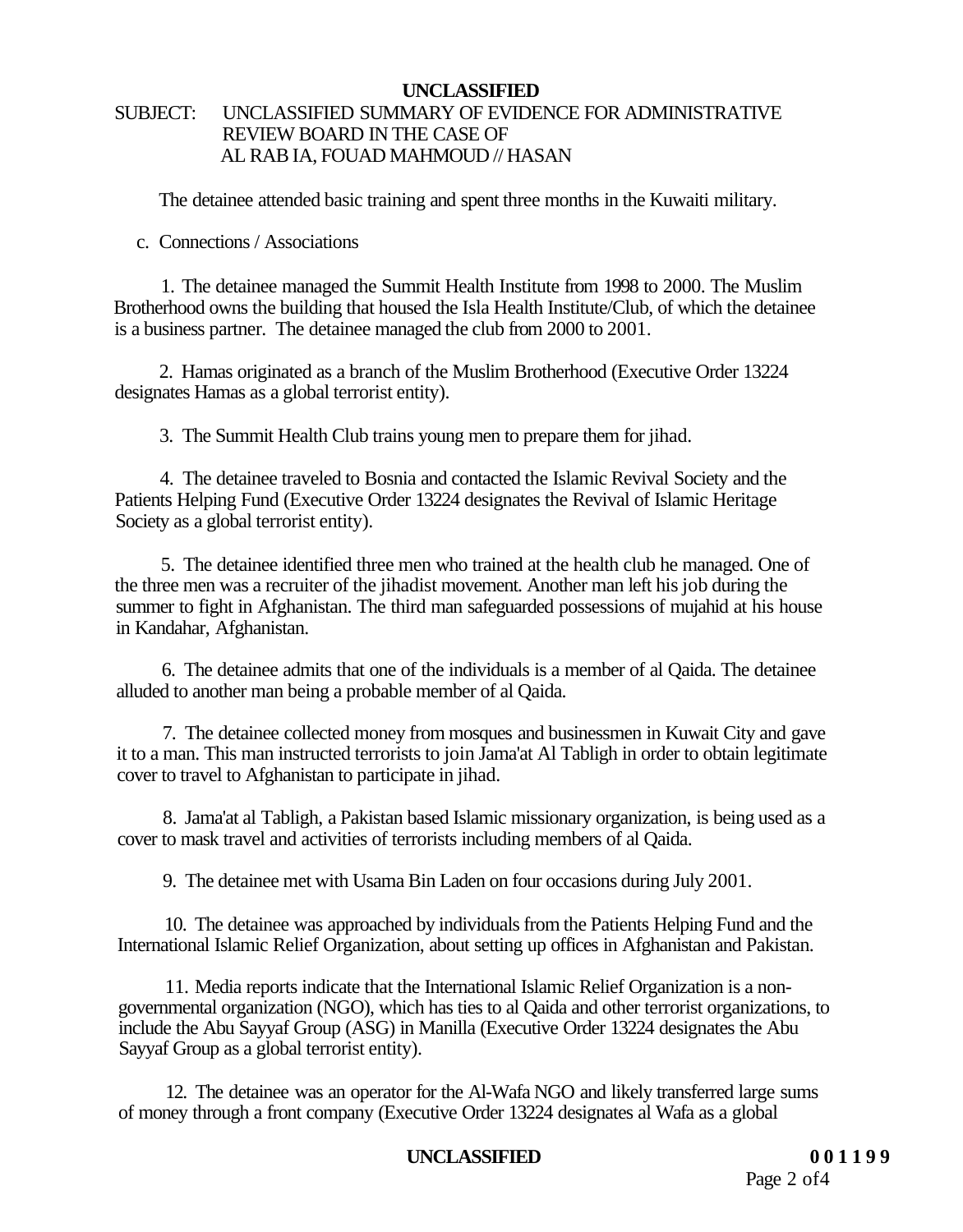# SUBJECT: UNCLASSIFIED SUMMARY OF EVIDENCE FOR ADMINISTRATIVE REVIEW BOARD IN THE CASE OF AL RAB IA, FOUAD MAHMOUD // HASAN

The detainee attended basic training and spent three months in the Kuwaiti military.

c. Connections / Associations

1. The detainee managed the Summit Health Institute from 1998 to 2000. The Muslim Brotherhood owns the building that housed the Isla Health Institute/Club, of which the detainee is a business partner. The detainee managed the club from 2000 to 2001.

2. Hamas originated as a branch of the Muslim Brotherhood (Executive Order 13224 designates Hamas as a global terrorist entity).

3. The Summit Health Club trains young men to prepare them for jihad.

4. The detainee traveled to Bosnia and contacted the Islamic Revival Society and the Patients Helping Fund (Executive Order 13224 designates the Revival of Islamic Heritage Society as a global terrorist entity).

5. The detainee identified three men who trained at the health club he managed. One of the three men was a recruiter of the jihadist movement. Another man left his job during the summer to fight in Afghanistan. The third man safeguarded possessions of mujahid at his house in Kandahar, Afghanistan.

6. The detainee admits that one of the individuals is a member of al Qaida. The detainee alluded to another man being a probable member of al Qaida.

7. The detainee collected money from mosques and businessmen in Kuwait City and gave it to a man. This man instructed terrorists to join Jama'at Al Tabligh in order to obtain legitimate cover to travel to Afghanistan to participate in jihad.

8. Jama'at al Tabligh, a Pakistan based Islamic missionary organization, is being used as a cover to mask travel and activities of terrorists including members of al Qaida.

9. The detainee met with Usama Bin Laden on four occasions during July 2001.

10. The detainee was approached by individuals from the Patients Helping Fund and the International Islamic Relief Organization, about setting up offices in Afghanistan and Pakistan.

11. Media reports indicate that the International Islamic Relief Organization is a nongovernmental organization (NGO), which has ties to al Qaida and other terrorist organizations, to include the Abu Sayyaf Group (ASG) in Manilla (Executive Order 13224 designates the Abu Sayyaf Group as a global terrorist entity).

12. The detainee was an operator for the Al-Wafa NGO and likely transferred large sums of money through a front company (Executive Order 13224 designates al Wafa as a global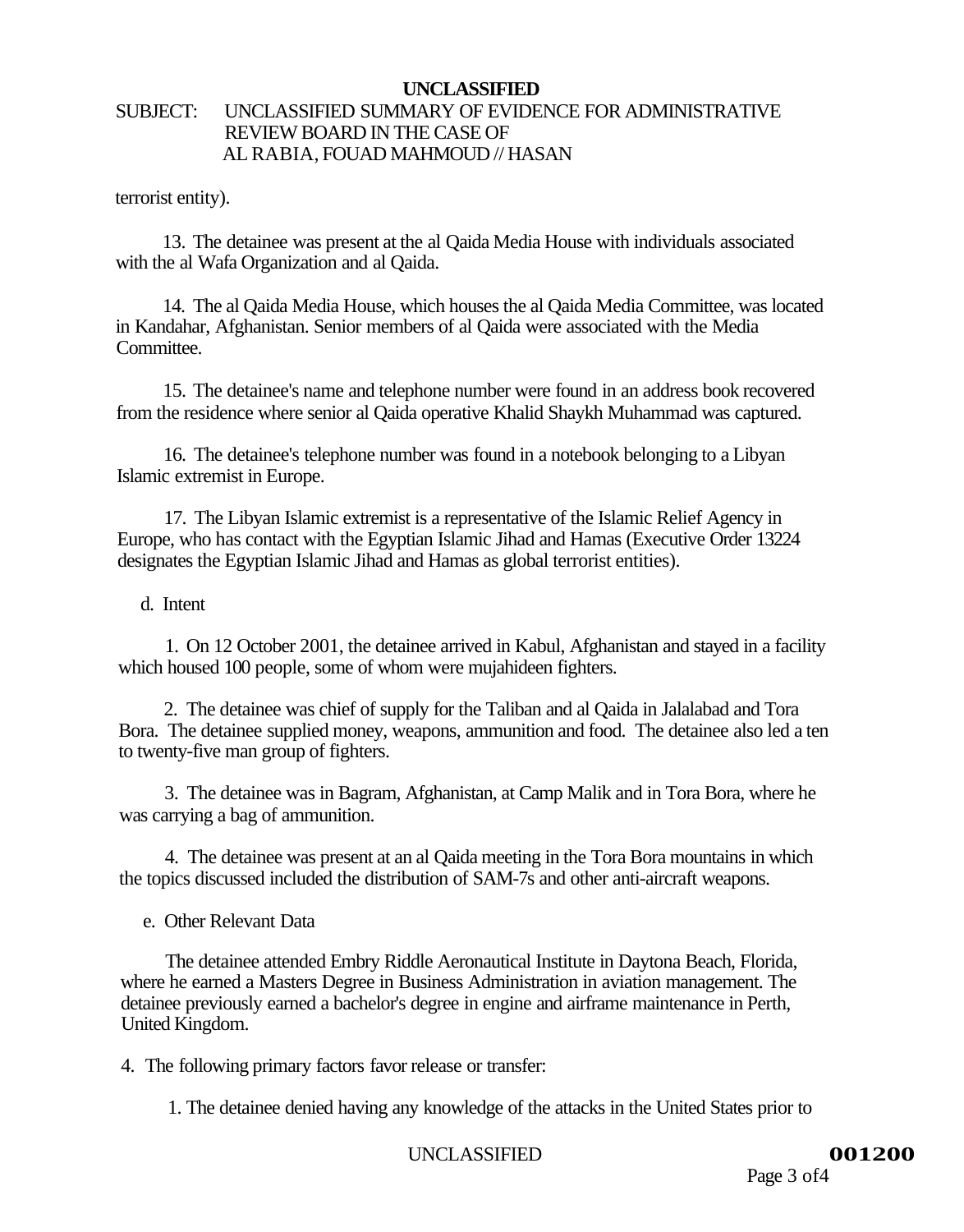# SUBJECT: UNCLASSIFIED SUMMARY OF EVIDENCE FOR ADMINISTRATIVE REVIEW BOARD IN THE CASE OF AL RABIA, FOUAD MAHMOUD // HASAN

terrorist entity).

13. The detainee was present at the al Qaida Media House with individuals associated with the al Wafa Organization and al Qaida.

14. The al Qaida Media House, which houses the al Qaida Media Committee, was located in Kandahar, Afghanistan. Senior members of al Qaida were associated with the Media Committee.

15. The detainee's name and telephone number were found in an address book recovered from the residence where senior al Qaida operative Khalid Shaykh Muhammad was captured.

16. The detainee's telephone number was found in a notebook belonging to a Libyan Islamic extremist in Europe.

17. The Libyan Islamic extremist is a representative of the Islamic Relief Agency in Europe, who has contact with the Egyptian Islamic Jihad and Hamas (Executive Order 13224 designates the Egyptian Islamic Jihad and Hamas as global terrorist entities).

d. Intent

1. On 12 October 2001, the detainee arrived in Kabul, Afghanistan and stayed in a facility which housed 100 people, some of whom were mujahideen fighters.

2. The detainee was chief of supply for the Taliban and al Qaida in Jalalabad and Tora Bora. The detainee supplied money, weapons, ammunition and food. The detainee also led a ten to twenty-five man group of fighters.

3. The detainee was in Bagram, Afghanistan, at Camp Malik and in Tora Bora, where he was carrying a bag of ammunition.

4. The detainee was present at an al Qaida meeting in the Tora Bora mountains in which the topics discussed included the distribution of SAM-7s and other anti-aircraft weapons.

e. Other Relevant Data

The detainee attended Embry Riddle Aeronautical Institute in Daytona Beach, Florida, where he earned a Masters Degree in Business Administration in aviation management. The detainee previously earned a bachelor's degree in engine and airframe maintenance in Perth, United Kingdom.

4. The following primary factors favor release or transfer:

1. The detainee denied having any knowledge of the attacks in the United States prior to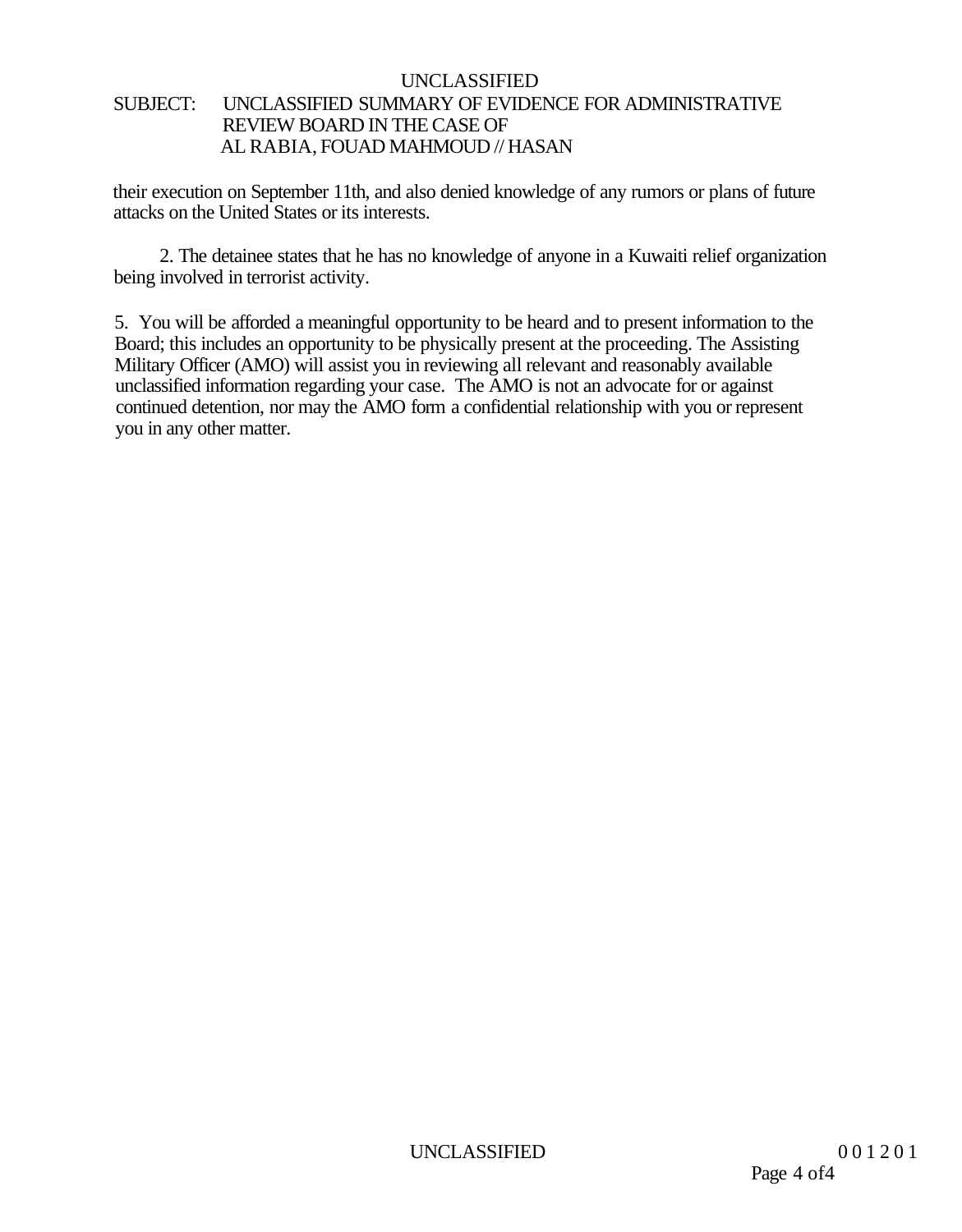# UNCLASSIFIED SUBJECT: UNCLASSIFIED SUMMARY OF EVIDENCE FOR ADMINISTRATIVE REVIEW BOARD IN THE CASE OF AL RABIA, FOUAD MAHMOUD // HASAN

their execution on September 11th, and also denied knowledge of any rumors or plans of future attacks on the United States or its interests.

2. The detainee states that he has no knowledge of anyone in a Kuwaiti relief organization being involved in terrorist activity.

5. You will be afforded a meaningful opportunity to be heard and to present information to the Board; this includes an opportunity to be physically present at the proceeding. The Assisting Military Officer (AMO) will assist you in reviewing all relevant and reasonably available unclassified information regarding your case. The AMO is not an advocate for or against continued detention, nor may the AMO form a confidential relationship with you or represent you in any other matter.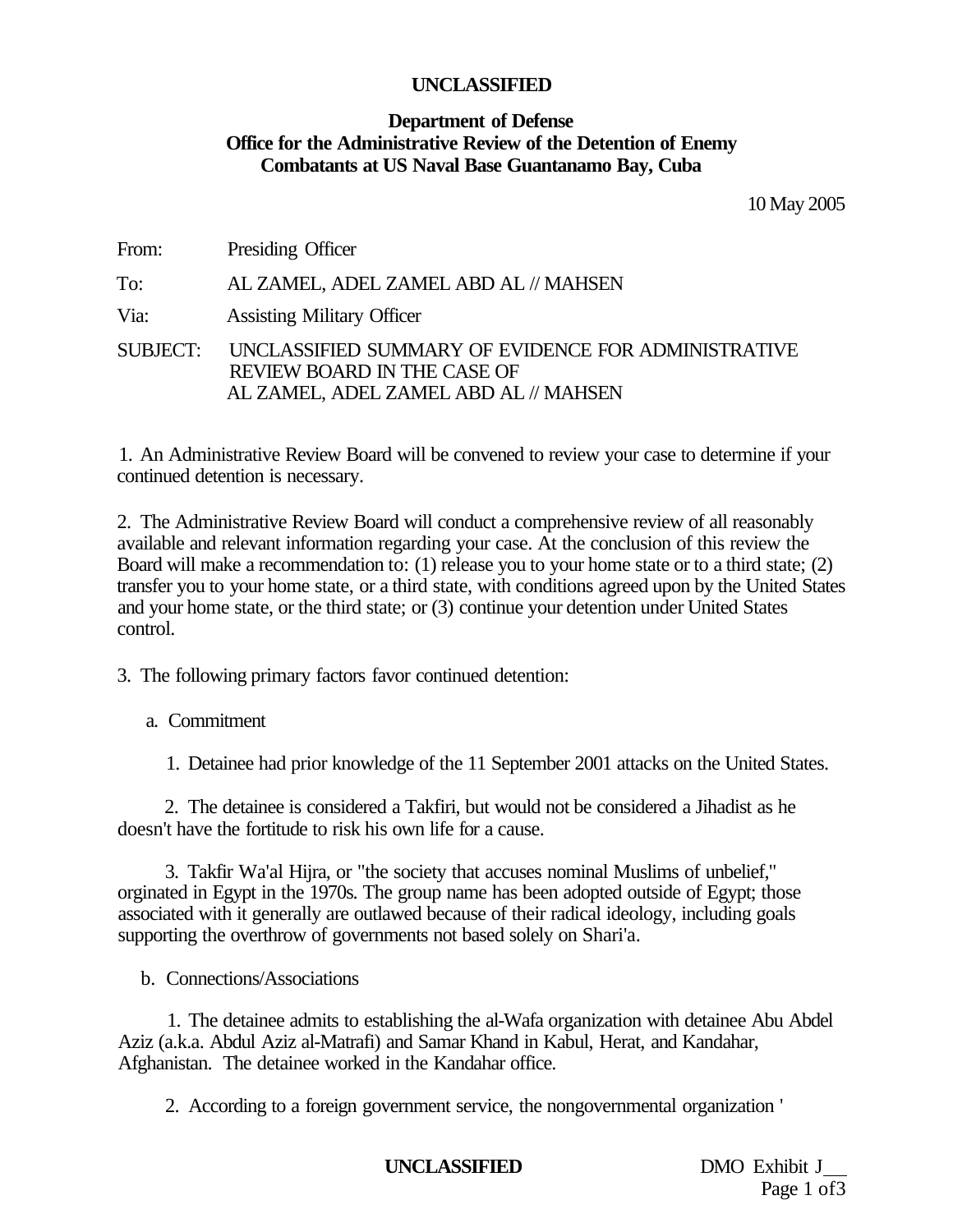# **Department of Defense Office for the Administrative Review of the Detention of Enemy Combatants at US Naval Base Guantanamo Bay, Cuba**

10 May 2005

From: Presiding Officer To: AL ZAMEL, ADEL ZAMEL ABD AL // MAHSEN Via: Assisting Military Officer SUBJECT: UNCLASSIFIED SUMMARY OF EVIDENCE FOR ADMINISTRATIVE REVIEW BOARD IN THE CASE OF AL ZAMEL, ADEL ZAMEL ABD AL // MAHSEN

1. An Administrative Review Board will be convened to review your case to determine if your continued detention is necessary.

2. The Administrative Review Board will conduct a comprehensive review of all reasonably available and relevant information regarding your case. At the conclusion of this review the Board will make a recommendation to: (1) release you to your home state or to a third state; (2) transfer you to your home state, or a third state, with conditions agreed upon by the United States and your home state, or the third state; or (3) continue your detention under United States control.

3. The following primary factors favor continued detention:

a. Commitment

1. Detainee had prior knowledge of the 11 September 2001 attacks on the United States.

2. The detainee is considered a Takfiri, but would not be considered a Jihadist as he doesn't have the fortitude to risk his own life for a cause.

3. Takfir Wa'al Hijra, or "the society that accuses nominal Muslims of unbelief," orginated in Egypt in the 1970s. The group name has been adopted outside of Egypt; those associated with it generally are outlawed because of their radical ideology, including goals supporting the overthrow of governments not based solely on Shari'a.

b. Connections/Associations

1. The detainee admits to establishing the al-Wafa organization with detainee Abu Abdel Aziz (a.k.a. Abdul Aziz al-Matrafi) and Samar Khand in Kabul, Herat, and Kandahar, Afghanistan. The detainee worked in the Kandahar office.

2. According to a foreign government service, the nongovernmental organization '

# **UNCLASSIFIED** DMO Exhibit J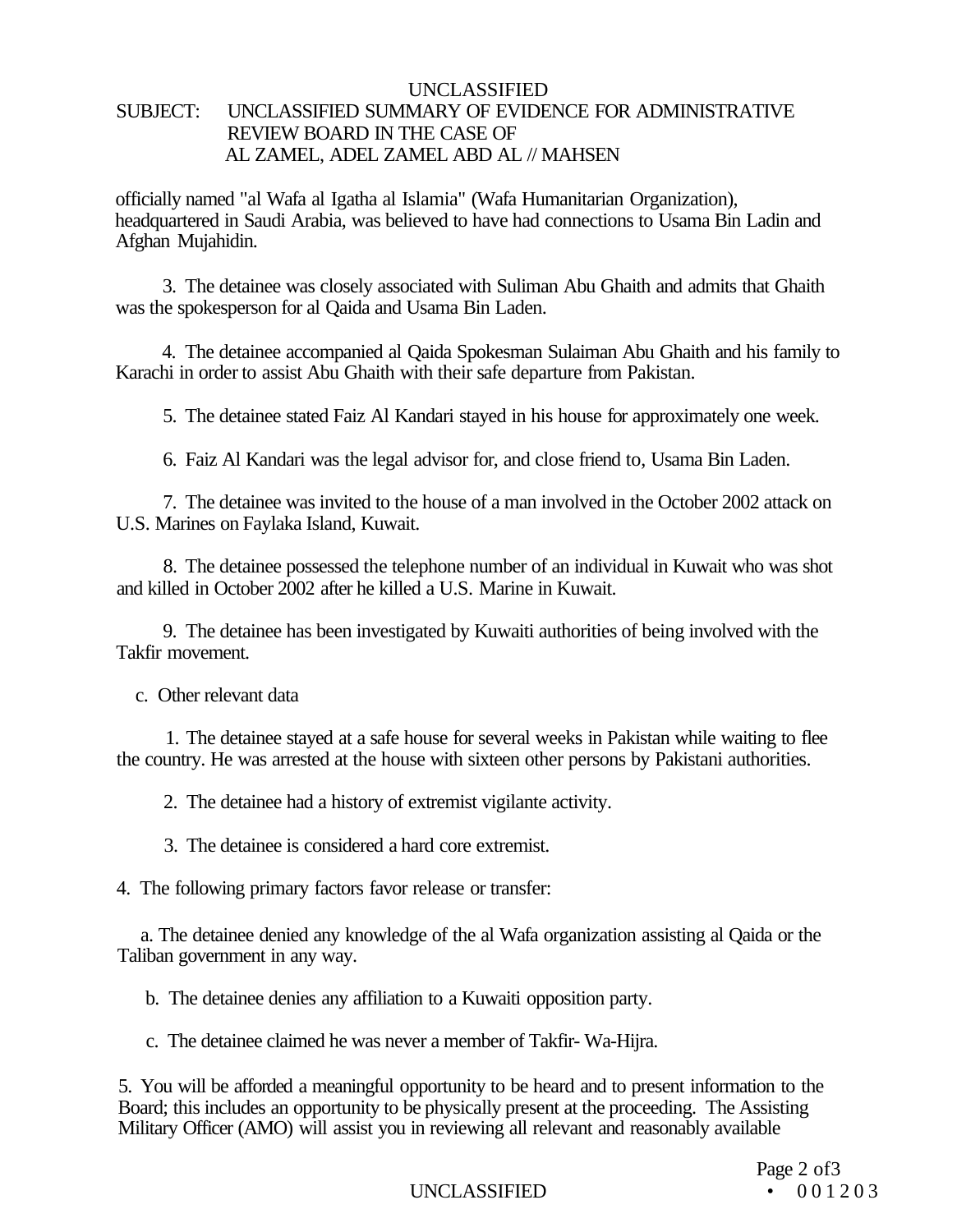# UNCLASSIFIED SUBJECT: UNCLASSIFIED SUMMARY OF EVIDENCE FOR ADMINISTRATIVE REVIEW BOARD IN THE CASE OF AL ZAMEL, ADEL ZAMEL ABD AL // MAHSEN

officially named "al Wafa al Igatha al Islamia" (Wafa Humanitarian Organization), headquartered in Saudi Arabia, was believed to have had connections to Usama Bin Ladin and Afghan Mujahidin.

3. The detainee was closely associated with Suliman Abu Ghaith and admits that Ghaith was the spokesperson for al Qaida and Usama Bin Laden.

4. The detainee accompanied al Qaida Spokesman Sulaiman Abu Ghaith and his family to Karachi in order to assist Abu Ghaith with their safe departure from Pakistan.

5. The detainee stated Faiz Al Kandari stayed in his house for approximately one week.

6. Faiz Al Kandari was the legal advisor for, and close friend to, Usama Bin Laden.

7. The detainee was invited to the house of a man involved in the October 2002 attack on U.S. Marines on Faylaka Island, Kuwait.

8. The detainee possessed the telephone number of an individual in Kuwait who was shot and killed in October 2002 after he killed a U.S. Marine in Kuwait.

9. The detainee has been investigated by Kuwaiti authorities of being involved with the Takfir movement.

c. Other relevant data

1. The detainee stayed at a safe house for several weeks in Pakistan while waiting to flee the country. He was arrested at the house with sixteen other persons by Pakistani authorities.

2. The detainee had a history of extremist vigilante activity.

3. The detainee is considered a hard core extremist.

4. The following primary factors favor release or transfer:

a. The detainee denied any knowledge of the al Wafa organization assisting al Qaida or the Taliban government in any way.

b. The detainee denies any affiliation to a Kuwaiti opposition party.

c. The detainee claimed he was never a member of Takfir- Wa-Hijra.

5. You will be afforded a meaningful opportunity to be heard and to present information to the Board; this includes an opportunity to be physically present at the proceeding. The Assisting Military Officer (AMO) will assist you in reviewing all relevant and reasonably available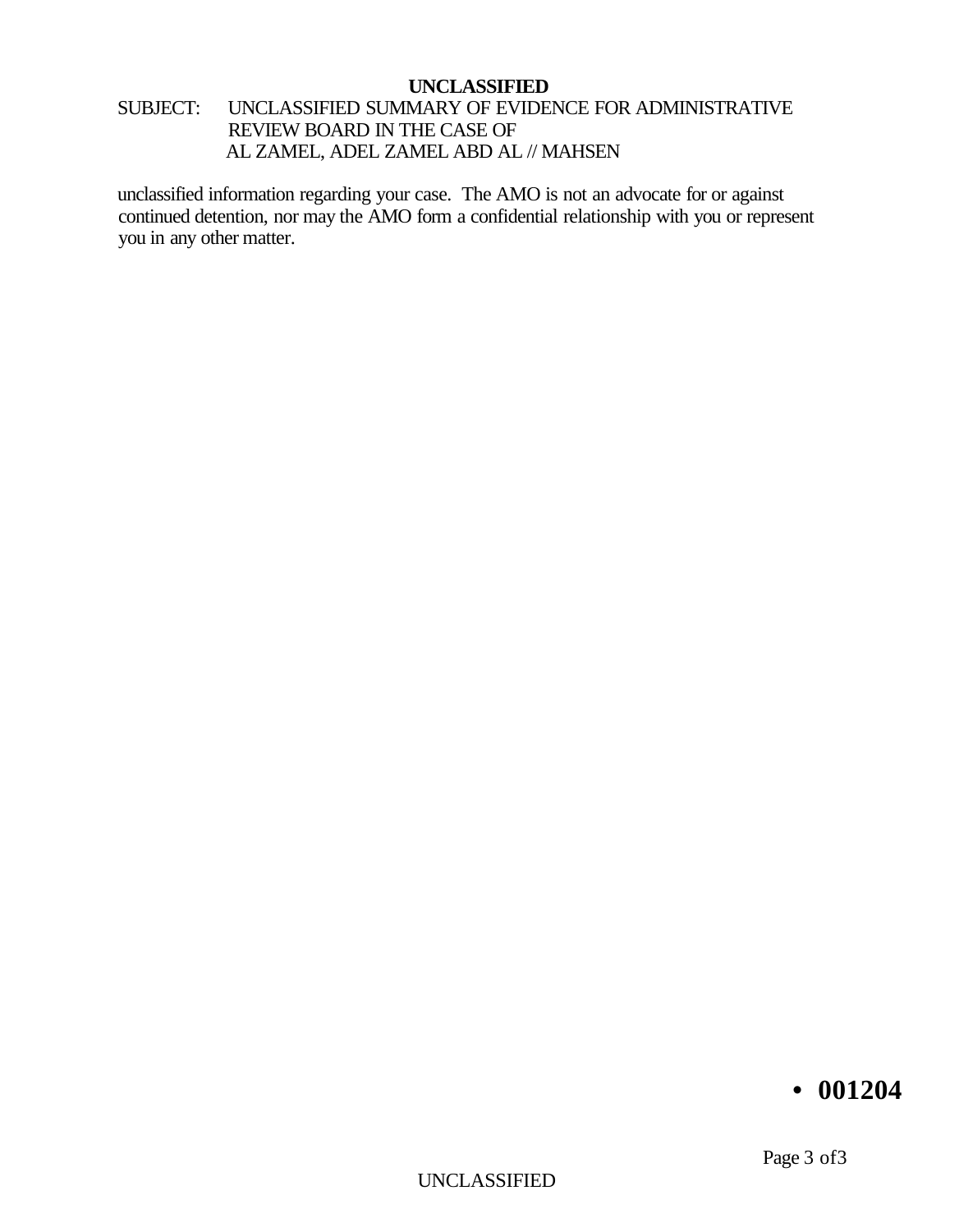# SUBJECT: UNCLASSIFIED SUMMARY OF EVIDENCE FOR ADMINISTRATIVE REVIEW BOARD IN THE CASE OF AL ZAMEL, ADEL ZAMEL ABD AL // MAHSEN

unclassified information regarding your case. The AMO is not an advocate for or against continued detention, nor may the AMO form a confidential relationship with you or represent you in any other matter.

# **• 001204**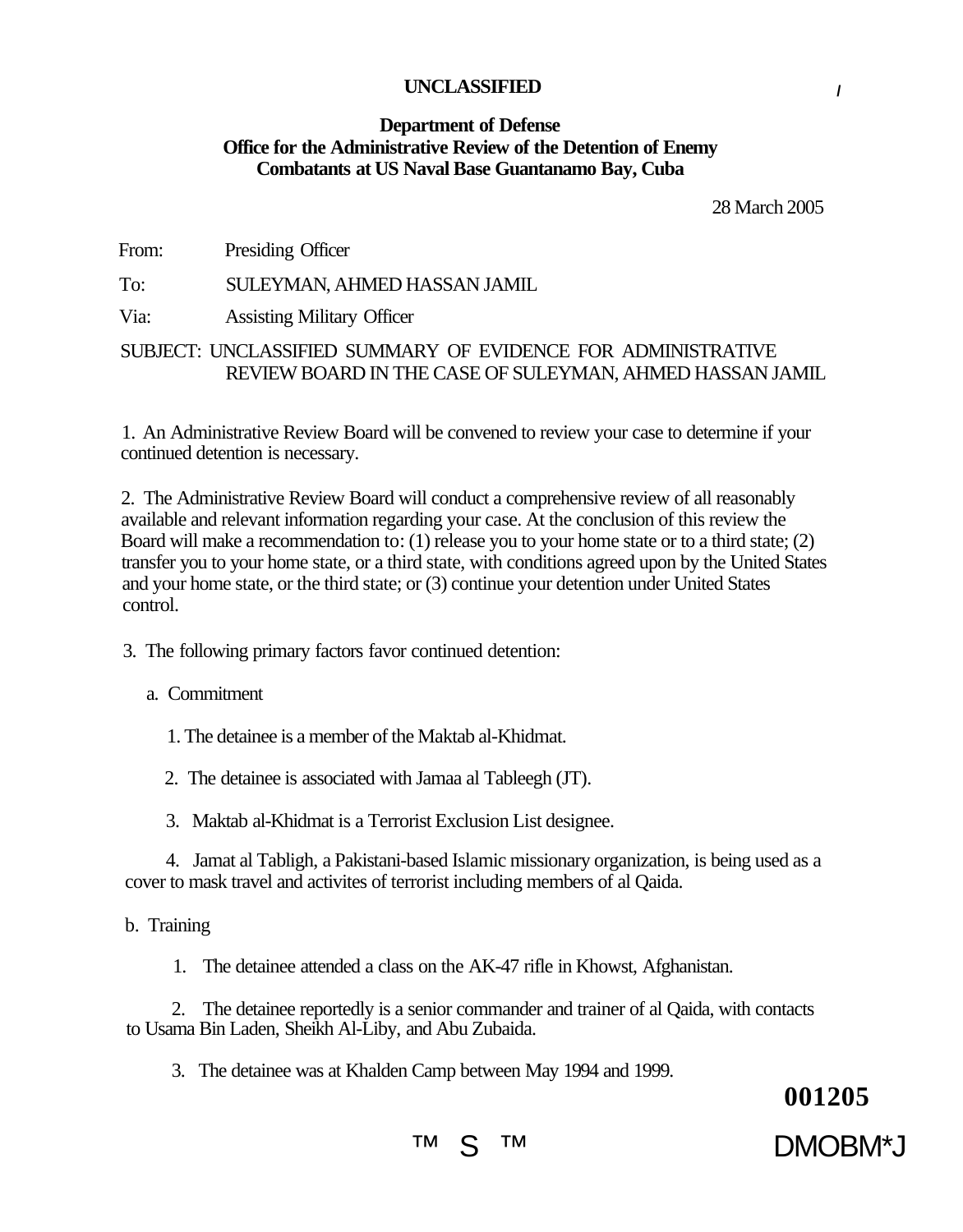#### **Department of Defense Office for the Administrative Review of the Detention of Enemy Combatants at US Naval Base Guantanamo Bay, Cuba**

28 March 2005

From: Presiding Officer

To: SULEYMAN, AHMED HASSAN JAMIL

Via: Assisting Military Officer

## SUBJECT: UNCLASSIFIED SUMMARY OF EVIDENCE FOR ADMINISTRATIVE REVIEW BOARD IN THE CASE OF SULEYMAN, AHMED HASSAN JAMIL

1. An Administrative Review Board will be convened to review your case to determine if your continued detention is necessary.

2. The Administrative Review Board will conduct a comprehensive review of all reasonably available and relevant information regarding your case. At the conclusion of this review the Board will make a recommendation to: (1) release you to your home state or to a third state; (2) transfer you to your home state, or a third state, with conditions agreed upon by the United States and your home state, or the third state; or (3) continue your detention under United States control.

3. The following primary factors favor continued detention:

a. Commitment

1. The detainee is a member of the Maktab al-Khidmat.

2. The detainee is associated with Jamaa al Tableegh (JT).

3. Maktab al-Khidmat is a Terrorist Exclusion List designee.

4. Jamat al Tabligh, a Pakistani-based Islamic missionary organization, is being used as a cover to mask travel and activites of terrorist including members of al Qaida.

b. Training

1. The detainee attended a class on the AK-47 rifle in Khowst, Afghanistan.

2. The detainee reportedly is a senior commander and trainer of al Qaida, with contacts to Usama Bin Laden, Sheikh Al-Liby, and Abu Zubaida.

3. The detainee was at Khalden Camp between May 1994 and 1999.

**001205** 

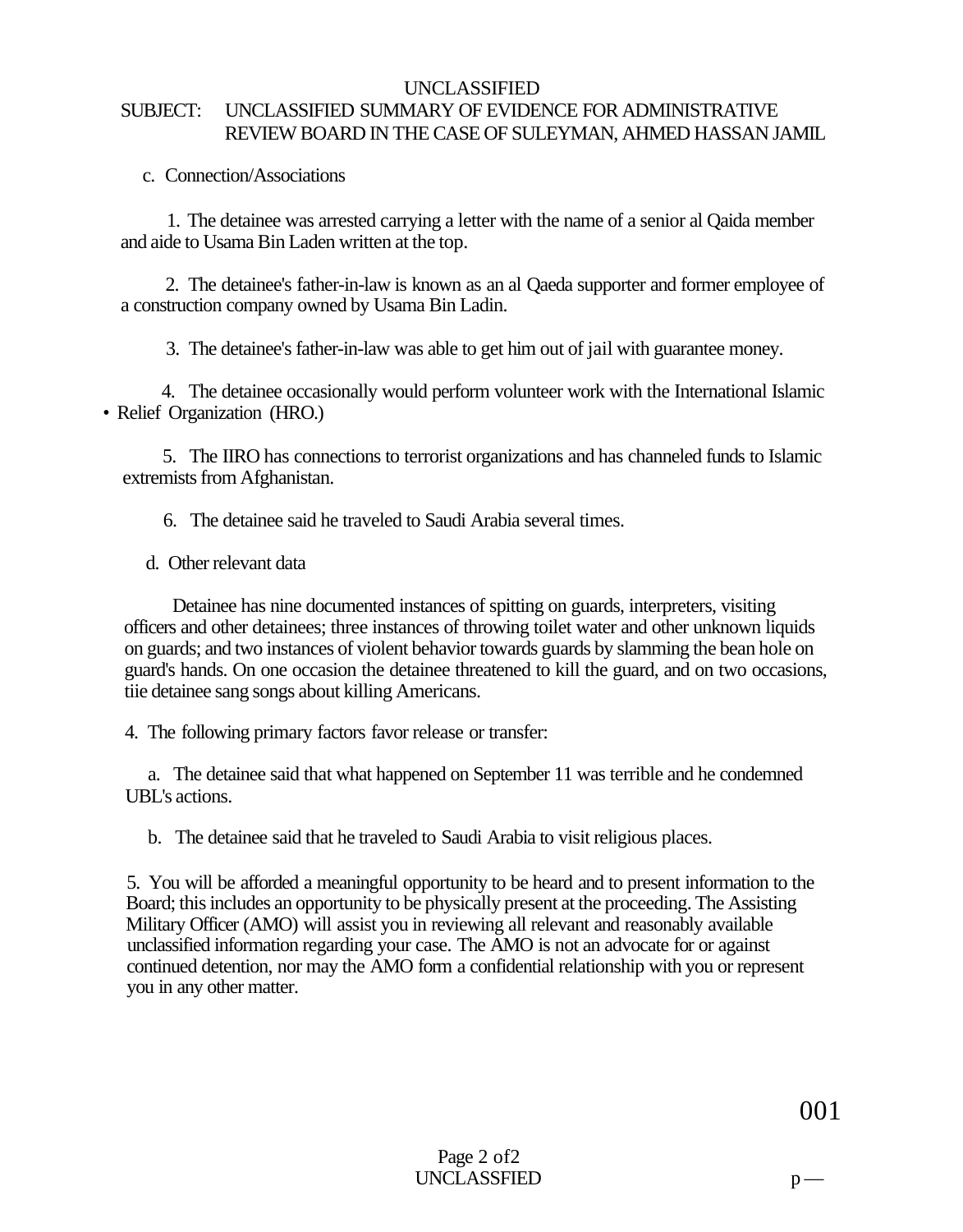# UNCLASSIFIED SUBJECT: UNCLASSIFIED SUMMARY OF EVIDENCE FOR ADMINISTRATIVE REVIEW BOARD IN THE CASE OF SULEYMAN, AHMED HASSAN JAMIL

c. Connection/Associations

1. The detainee was arrested carrying a letter with the name of a senior al Qaida member and aide to Usama Bin Laden written at the top.

2. The detainee's father-in-law is known as an al Qaeda supporter and former employee of a construction company owned by Usama Bin Ladin.

3. The detainee's father-in-law was able to get him out of jail with guarantee money.

4. The detainee occasionally would perform volunteer work with the International Islamic • Relief Organization (HRO.)

5. The IIRO has connections to terrorist organizations and has channeled funds to Islamic extremists from Afghanistan.

6. The detainee said he traveled to Saudi Arabia several times.

d. Other relevant data

Detainee has nine documented instances of spitting on guards, interpreters, visiting officers and other detainees; three instances of throwing toilet water and other unknown liquids on guards; and two instances of violent behavior towards guards by slamming the bean hole on guard's hands. On one occasion the detainee threatened to kill the guard, and on two occasions, tiie detainee sang songs about killing Americans.

4. The following primary factors favor release or transfer:

a. The detainee said that what happened on September 11 was terrible and he condemned UBL's actions.

b. The detainee said that he traveled to Saudi Arabia to visit religious places.

5. You will be afforded a meaningful opportunity to be heard and to present information to the Board; this includes an opportunity to be physically present at the proceeding. The Assisting Military Officer (AMO) will assist you in reviewing all relevant and reasonably available unclassified information regarding your case. The AMO is not an advocate for or against continued detention, nor may the AMO form a confidential relationship with you or represent you in any other matter.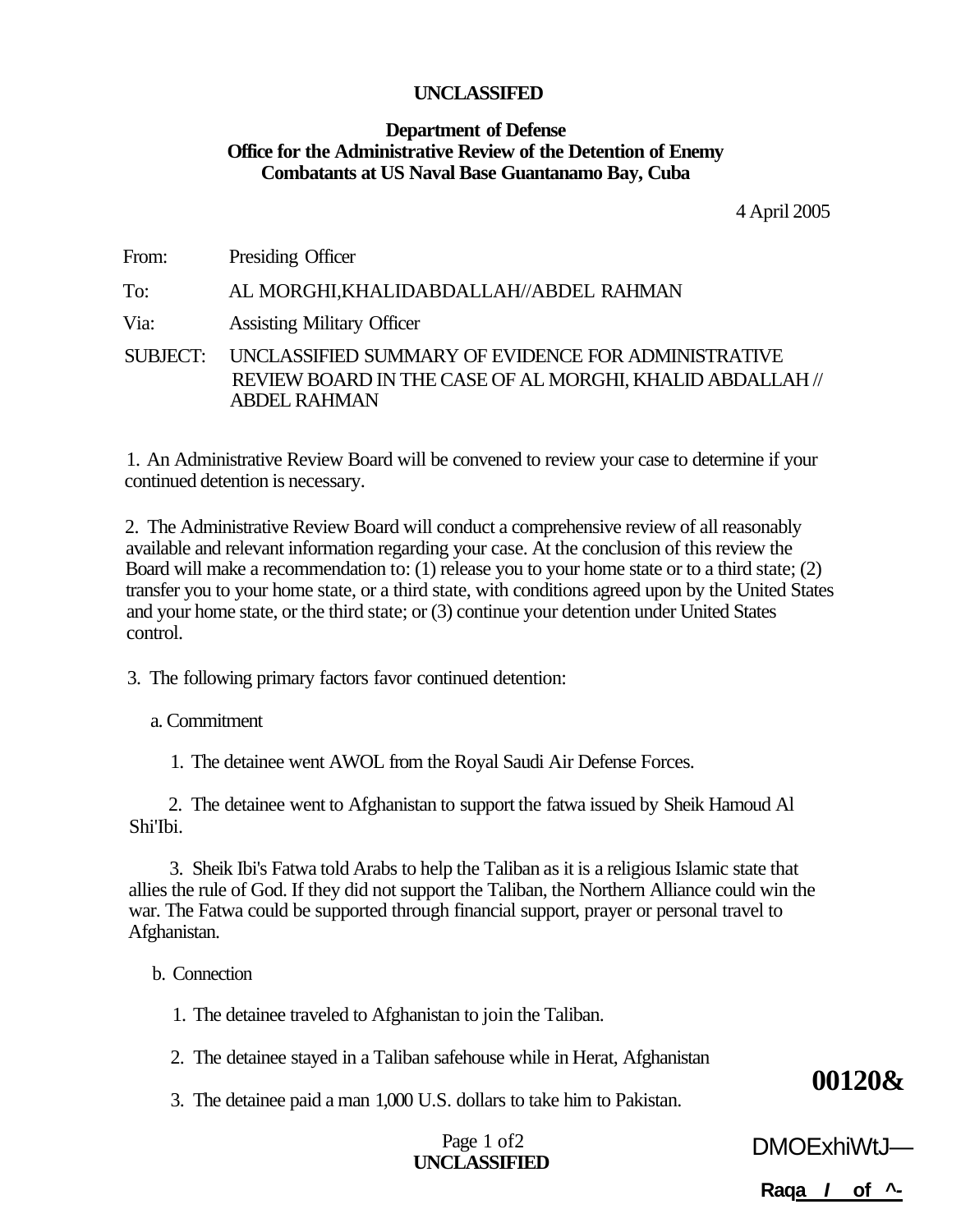# **Department of Defense Office for the Administrative Review of the Detention of Enemy Combatants at US Naval Base Guantanamo Bay, Cuba**

4 April 2005

| From:    | Presiding Officer                                                                                                                       |
|----------|-----------------------------------------------------------------------------------------------------------------------------------------|
| To:      | AL MORGHI, KHALIDABDALLAH//ABDEL RAHMAN                                                                                                 |
| Via:     | <b>Assisting Military Officer</b>                                                                                                       |
| SUBJECT: | UNCLASSIFIED SUMMARY OF EVIDENCE FOR ADMINISTRATIVE<br>REVIEW BOARD IN THE CASE OF AL MORGHI, KHALID ABDALLAH //<br><b>ABDEL RAHMAN</b> |

1. An Administrative Review Board will be convened to review your case to determine if your continued detention is necessary.

2. The Administrative Review Board will conduct a comprehensive review of all reasonably available and relevant information regarding your case. At the conclusion of this review the Board will make a recommendation to: (1) release you to your home state or to a third state; (2) transfer you to your home state, or a third state, with conditions agreed upon by the United States and your home state, or the third state; or (3) continue your detention under United States control.

3. The following primary factors favor continued detention:

a. Commitment

1. The detainee went AWOL from the Royal Saudi Air Defense Forces.

2. The detainee went to Afghanistan to support the fatwa issued by Sheik Hamoud Al Shi'Ibi.

3. Sheik Ibi's Fatwa told Arabs to help the Taliban as it is a religious Islamic state that allies the rule of God. If they did not support the Taliban, the Northern Alliance could win the war. The Fatwa could be supported through financial support, prayer or personal travel to Afghanistan.

b. Connection

1. The detainee traveled to Afghanistan to join the Taliban.

2. The detainee stayed in a Taliban safehouse while in Herat, Afghanistan

3. The detainee paid a man 1,000 U.S. dollars to take him to Pakistan.

# Page 1 of2 **UNCLASSIFIED**

**00120&** 

**Raqa I of ^-**

DMOExhiWtJ—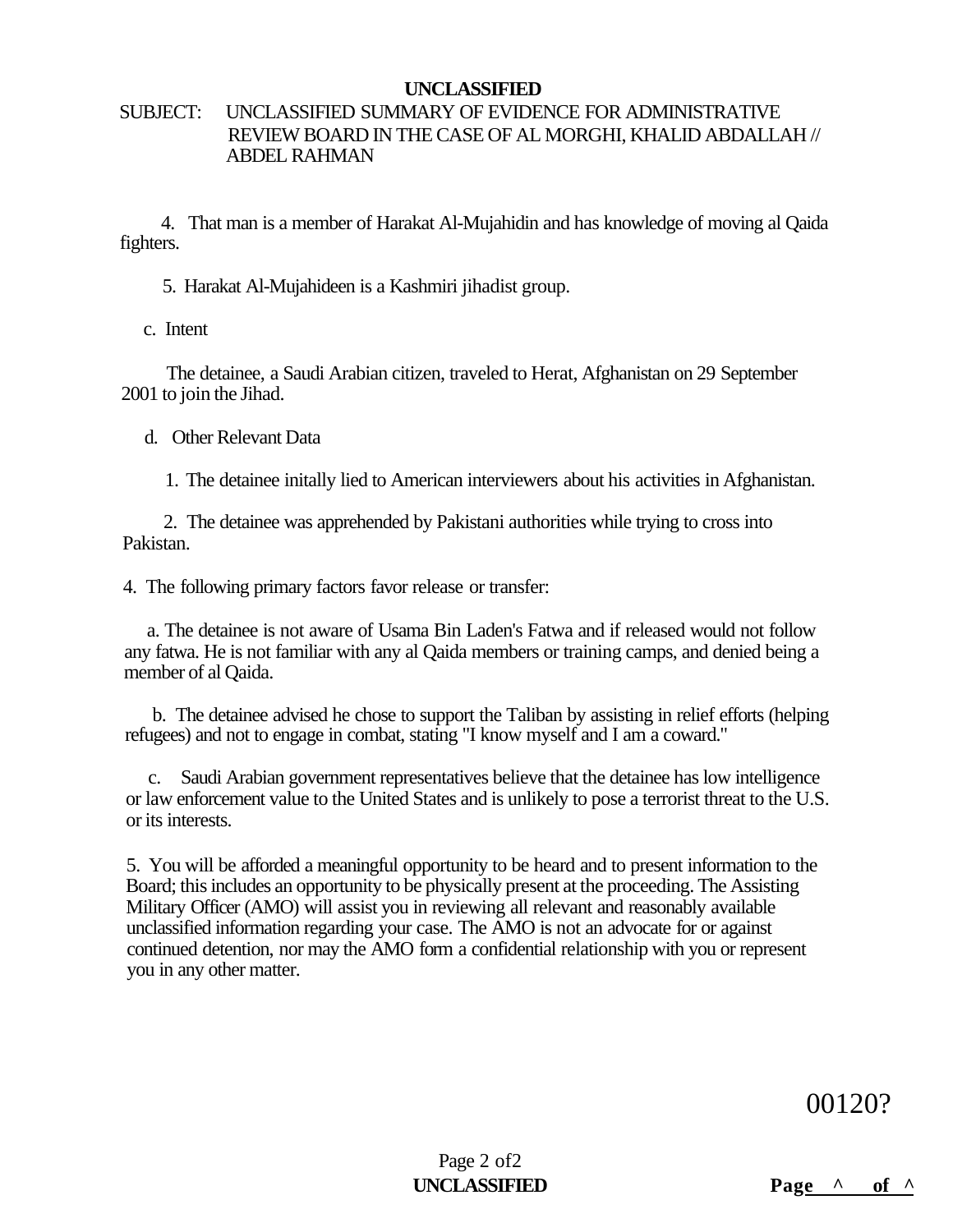# SUBJECT: UNCLASSIFIED SUMMARY OF EVIDENCE FOR ADMINISTRATIVE REVIEW BOARD IN THE CASE OF AL MORGHI, KHALID ABDALLAH // ABDEL RAHMAN

4. That man is a member of Harakat Al-Mujahidin and has knowledge of moving al Qaida fighters.

5. Harakat Al-Mujahideen is a Kashmiri jihadist group.

c. Intent

The detainee, a Saudi Arabian citizen, traveled to Herat, Afghanistan on 29 September 2001 to join the Jihad.

d. Other Relevant Data

1. The detainee initally lied to American interviewers about his activities in Afghanistan.

2. The detainee was apprehended by Pakistani authorities while trying to cross into Pakistan.

4. The following primary factors favor release or transfer:

a. The detainee is not aware of Usama Bin Laden's Fatwa and if released would not follow any fatwa. He is not familiar with any al Qaida members or training camps, and denied being a member of al Qaida.

b. The detainee advised he chose to support the Taliban by assisting in relief efforts (helping refugees) and not to engage in combat, stating "I know myself and I am a coward."

c. Saudi Arabian government representatives believe that the detainee has low intelligence or law enforcement value to the United States and is unlikely to pose a terrorist threat to the U.S. or its interests.

5. You will be afforded a meaningful opportunity to be heard and to present information to the Board; this includes an opportunity to be physically present at the proceeding. The Assisting Military Officer (AMO) will assist you in reviewing all relevant and reasonably available unclassified information regarding your case. The AMO is not an advocate for or against continued detention, nor may the AMO form a confidential relationship with you or represent you in any other matter.

00120?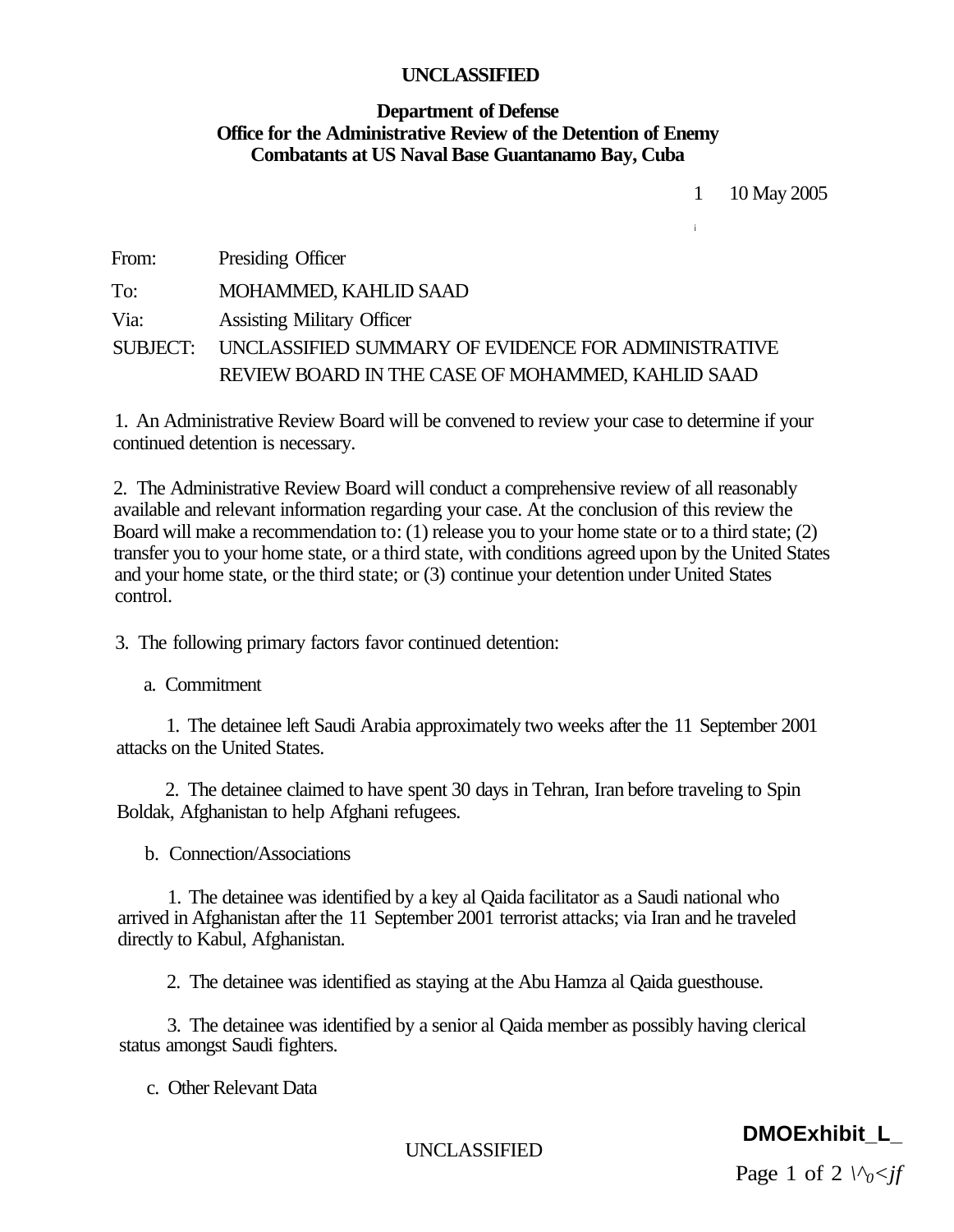# **Department of Defense Office for the Administrative Review of the Detention of Enemy Combatants at US Naval Base Guantanamo Bay, Cuba**

1 10 May 2005

**i** 

| From: | Presiding Officer                                            |
|-------|--------------------------------------------------------------|
| To:   | MOHAMMED, KAHLID SAAD                                        |
| Via:  | <b>Assisting Military Officer</b>                            |
|       | SUBJECT: UNCLASSIFIED SUMMARY OF EVIDENCE FOR ADMINISTRATIVE |
|       | REVIEW BOARD IN THE CASE OF MOHAMMED, KAHLID SAAD            |

1. An Administrative Review Board will be convened to review your case to determine if your continued detention is necessary.

2. The Administrative Review Board will conduct a comprehensive review of all reasonably available and relevant information regarding your case. At the conclusion of this review the Board will make a recommendation to: (1) release you to your home state or to a third state; (2) transfer you to your home state, or a third state, with conditions agreed upon by the United States and your home state, or the third state; or (3) continue your detention under United States control.

3. The following primary factors favor continued detention:

a. Commitment

1. The detainee left Saudi Arabia approximately two weeks after the 11 September 2001 attacks on the United States.

2. The detainee claimed to have spent 30 days in Tehran, Iran before traveling to Spin Boldak, Afghanistan to help Afghani refugees.

b. Connection/Associations

1. The detainee was identified by a key al Qaida facilitator as a Saudi national who arrived in Afghanistan after the 11 September 2001 terrorist attacks; via Iran and he traveled directly to Kabul, Afghanistan.

2. The detainee was identified as staying at the Abu Hamza al Qaida guesthouse.

3. The detainee was identified by a senior al Qaida member as possibly having clerical status amongst Saudi fighters.

c. Other Relevant Data

UNCLASSIFIED

# **DMOExhibit\_L\_**

Page 1 of 2  $\sqrt{\frac{6}{}}$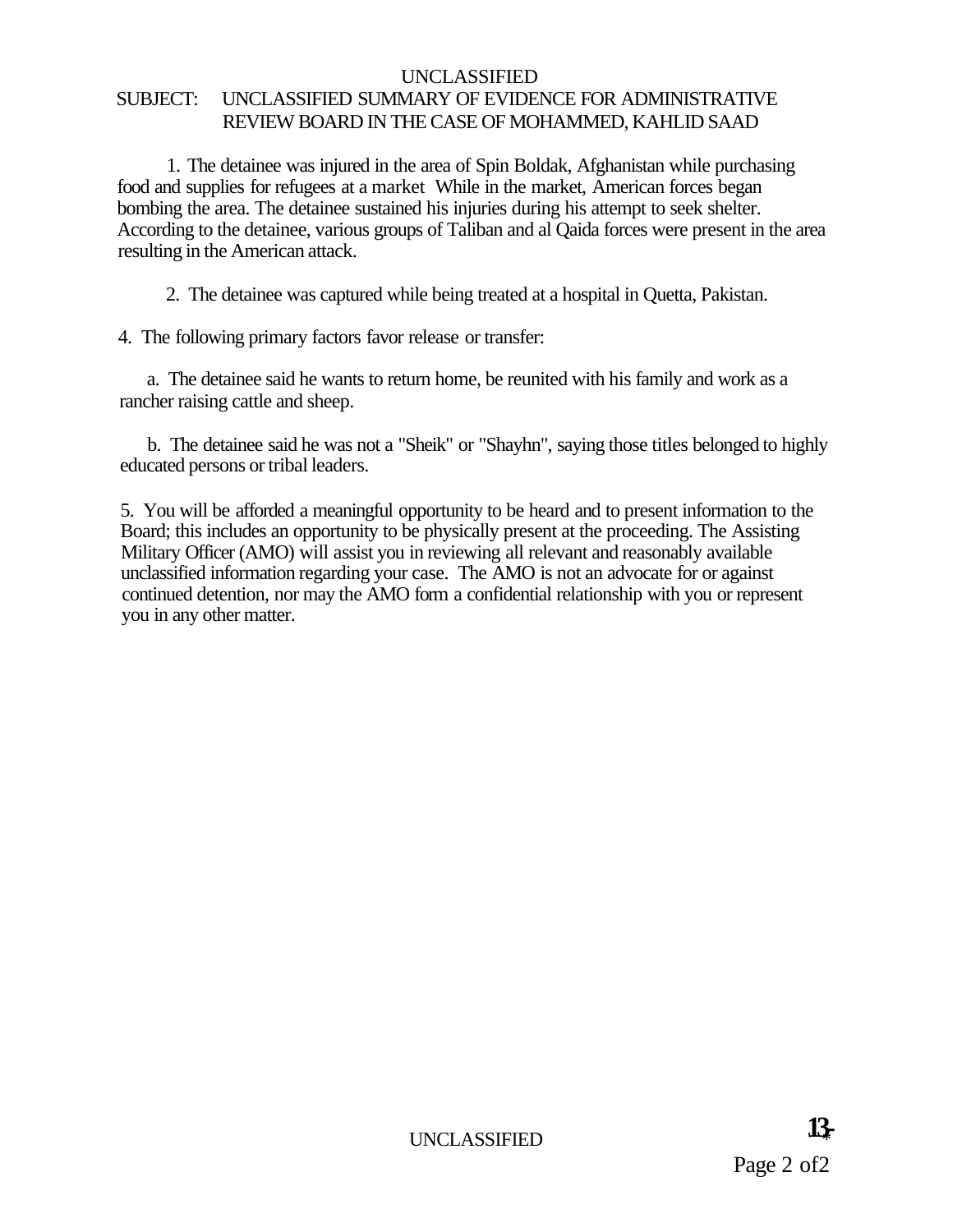# UNCLASSIFIED SUBJECT: UNCLASSIFIED SUMMARY OF EVIDENCE FOR ADMINISTRATIVE REVIEW BOARD IN THE CASE OF MOHAMMED, KAHLID SAAD

1. The detainee was injured in the area of Spin Boldak, Afghanistan while purchasing food and supplies for refugees at a market While in the market, American forces began bombing the area. The detainee sustained his injuries during his attempt to seek shelter. According to the detainee, various groups of Taliban and al Qaida forces were present in the area resulting in the American attack.

2. The detainee was captured while being treated at a hospital in Quetta, Pakistan.

4. The following primary factors favor release or transfer:

a. The detainee said he wants to return home, be reunited with his family and work as a rancher raising cattle and sheep.

b. The detainee said he was not a "Sheik" or "Shayhn", saying those titles belonged to highly educated persons or tribal leaders.

5. You will be afforded a meaningful opportunity to be heard and to present information to the Board; this includes an opportunity to be physically present at the proceeding. The Assisting Military Officer (AMO) will assist you in reviewing all relevant and reasonably available unclassified information regarding your case. The AMO is not an advocate for or against continued detention, nor may the AMO form a confidential relationship with you or represent you in any other matter.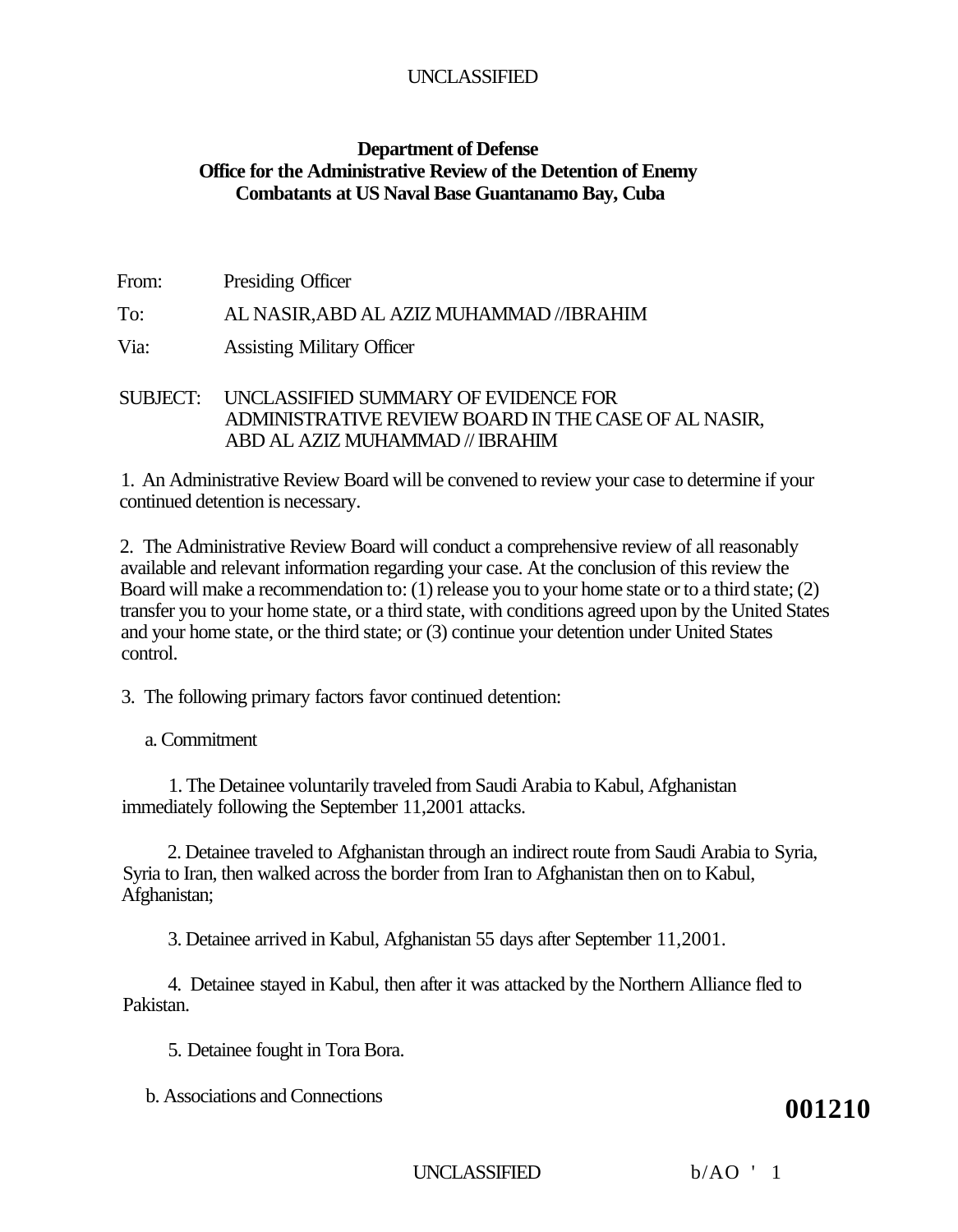# **Department of Defense Office for the Administrative Review of the Detention of Enemy Combatants at US Naval Base Guantanamo Bay, Cuba**

| From: | Presiding Officer                        |
|-------|------------------------------------------|
| To:   | AL NASIR, ABD AL AZIZ MUHAMMAD //IBRAHIM |
| Via:  | <b>Assisting Military Officer</b>        |

# SUBJECT: UNCLASSIFIED SUMMARY OF EVIDENCE FOR ADMINISTRATIVE REVIEW BOARD IN THE CASE OF AL NASIR, ABD AL AZIZ MUHAMMAD // IBRAHIM

1. An Administrative Review Board will be convened to review your case to determine if your continued detention is necessary.

2. The Administrative Review Board will conduct a comprehensive review of all reasonably available and relevant information regarding your case. At the conclusion of this review the Board will make a recommendation to: (1) release you to your home state or to a third state; (2) transfer you to your home state, or a third state, with conditions agreed upon by the United States and your home state, or the third state; or (3) continue your detention under United States control.

3. The following primary factors favor continued detention:

a. Commitment

1. The Detainee voluntarily traveled from Saudi Arabia to Kabul, Afghanistan immediately following the September 11,2001 attacks.

2. Detainee traveled to Afghanistan through an indirect route from Saudi Arabia to Syria, Syria to Iran, then walked across the border from Iran to Afghanistan then on to Kabul, Afghanistan;

3. Detainee arrived in Kabul, Afghanistan 55 days after September 11,2001.

4. Detainee stayed in Kabul, then after it was attacked by the Northern Alliance fled to Pakistan.

5. Detainee fought in Tora Bora.

b. Associations and Connections **001210** 

UNCLASSIFIED b/AO ' 1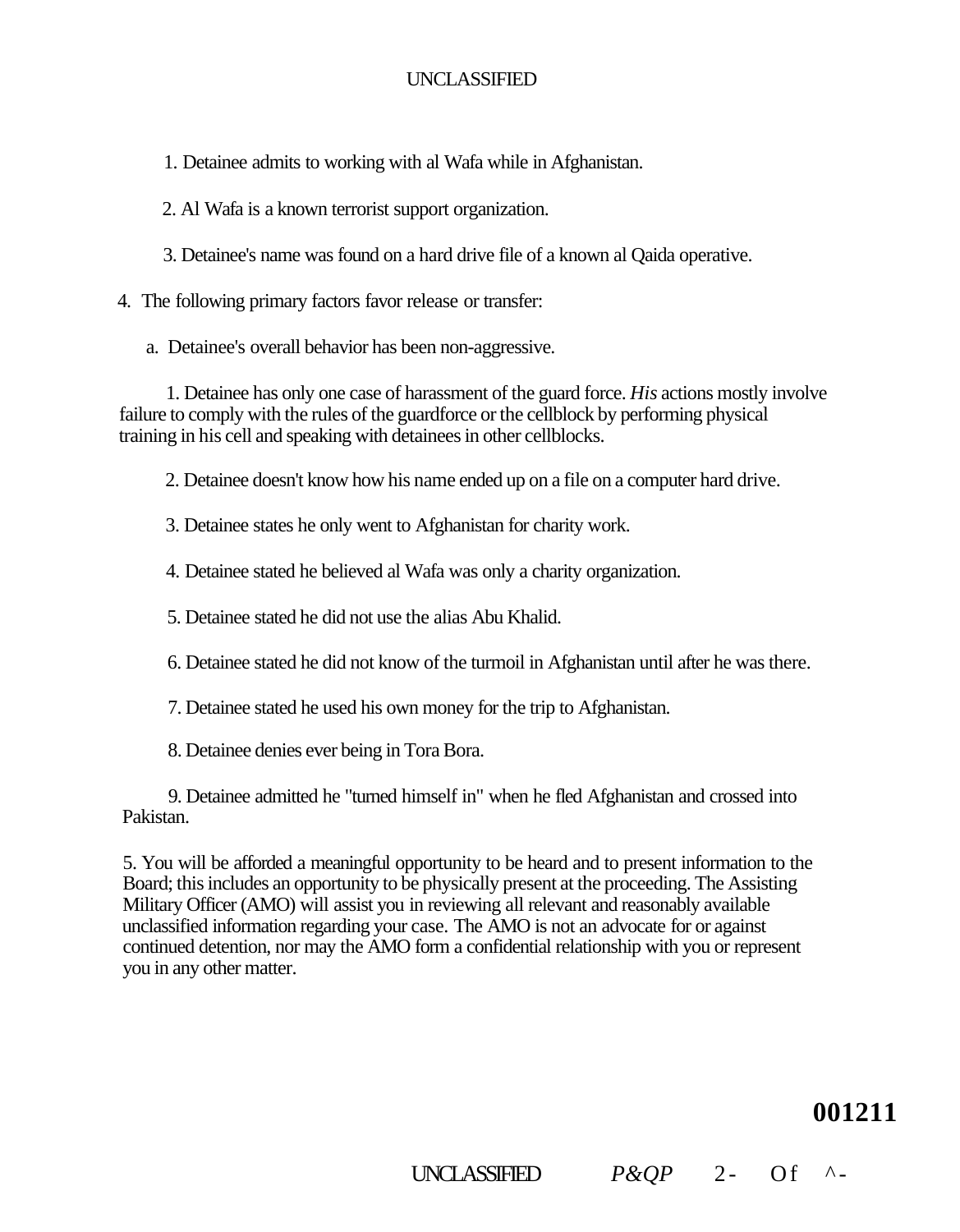- 1. Detainee admits to working with al Wafa while in Afghanistan.
- 2. Al Wafa is a known terrorist support organization.
- 3. Detainee's name was found on a hard drive file of a known al Qaida operative.
- 4. The following primary factors favor release or transfer:
	- a. Detainee's overall behavior has been non-aggressive.

1. Detainee has only one case of harassment of the guard force. *His* actions mostly involve failure to comply with the rules of the guardforce or the cellblock by performing physical training in his cell and speaking with detainees in other cellblocks.

2. Detainee doesn't know how his name ended up on a file on a computer hard drive.

3. Detainee states he only went to Afghanistan for charity work.

- 4. Detainee stated he believed al Wafa was only a charity organization.
- 5. Detainee stated he did not use the alias Abu Khalid.
- 6. Detainee stated he did not know of the turmoil in Afghanistan until after he was there.
- 7. Detainee stated he used his own money for the trip to Afghanistan.
- 8. Detainee denies ever being in Tora Bora.

9. Detainee admitted he "turned himself in" when he fled Afghanistan and crossed into Pakistan.

5. You will be afforded a meaningful opportunity to be heard and to present information to the Board; this includes an opportunity to be physically present at the proceeding. The Assisting Military Officer (AMO) will assist you in reviewing all relevant and reasonably available unclassified information regarding your case. The AMO is not an advocate for or against continued detention, nor may the AMO form a confidential relationship with you or represent you in any other matter.

**001211** 

# UNCLASSIFIED  $P\&OP$  2- Of ^-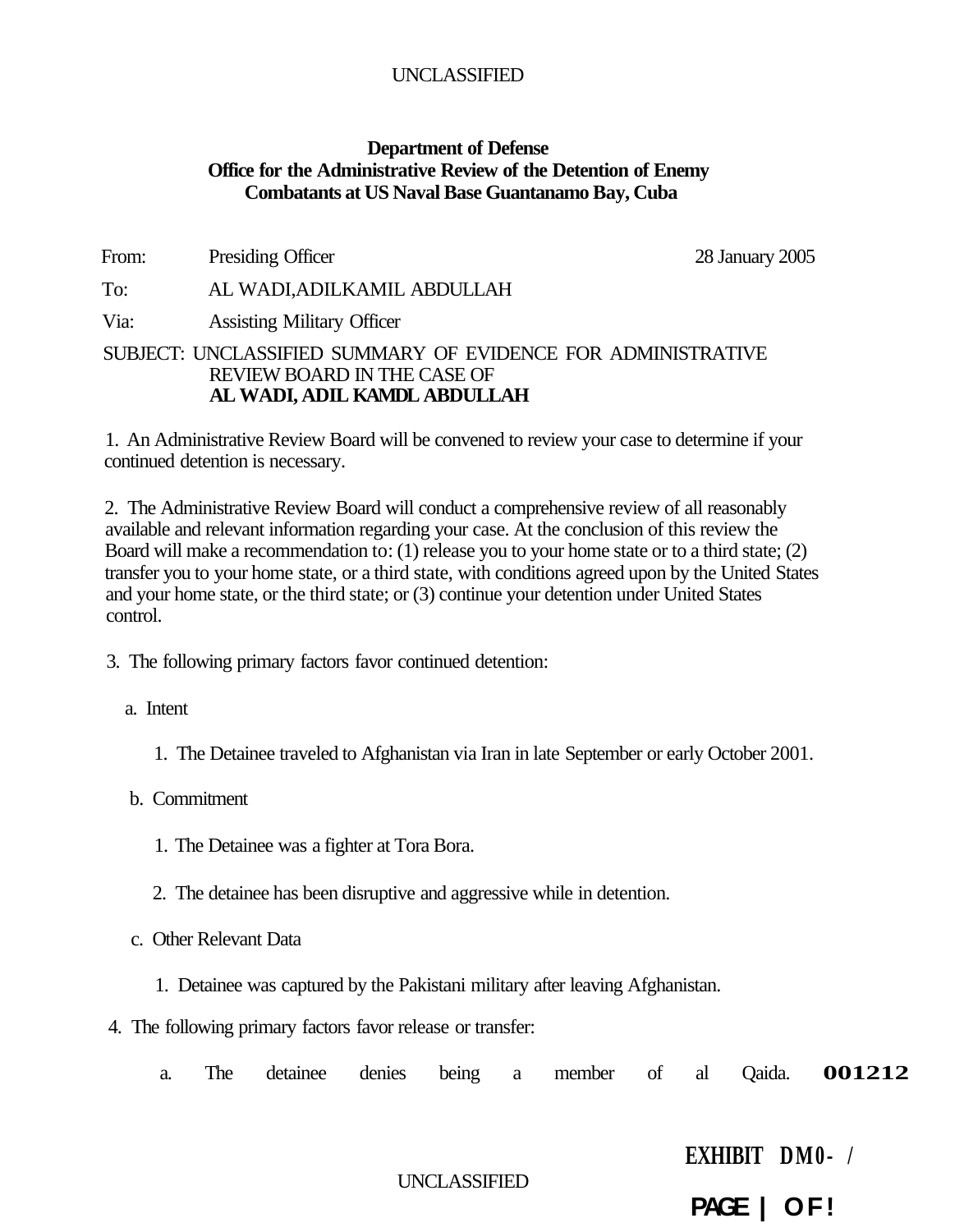#### **Department of Defense Office for the Administrative Review of the Detention of Enemy Combatants at US Naval Base Guantanamo Bay, Cuba**

From: Presiding Officer 28 January 2005

To: AL WADI,ADILKAMIL ABDULLAH

Via: Assisting Military Officer

#### SUBJECT: UNCLASSIFIED SUMMARY OF EVIDENCE FOR ADMINISTRATIVE REVIEW BOARD IN THE CASE OF **AL WADI, ADIL KAMDL ABDULLAH**

1. An Administrative Review Board will be convened to review your case to determine if your continued detention is necessary.

2. The Administrative Review Board will conduct a comprehensive review of all reasonably available and relevant information regarding your case. At the conclusion of this review the Board will make a recommendation to: (1) release you to your home state or to a third state; (2) transfer you to your home state, or a third state, with conditions agreed upon by the United States and your home state, or the third state; or (3) continue your detention under United States control.

3. The following primary factors favor continued detention:

a. Intent

1. The Detainee traveled to Afghanistan via Iran in late September or early October 2001.

b. Commitment

- 1. The Detainee was a fighter at Tora Bora.
- 2. The detainee has been disruptive and aggressive while in detention.
- c. Other Relevant Data
	- 1. Detainee was captured by the Pakistani military after leaving Afghanistan.
- 4. The following primary factors favor release or transfer:
	- a. The detainee denies being a member of al Qaida. **001212**

**EXHIBIT DM0- /** 

**PAGE | OF!**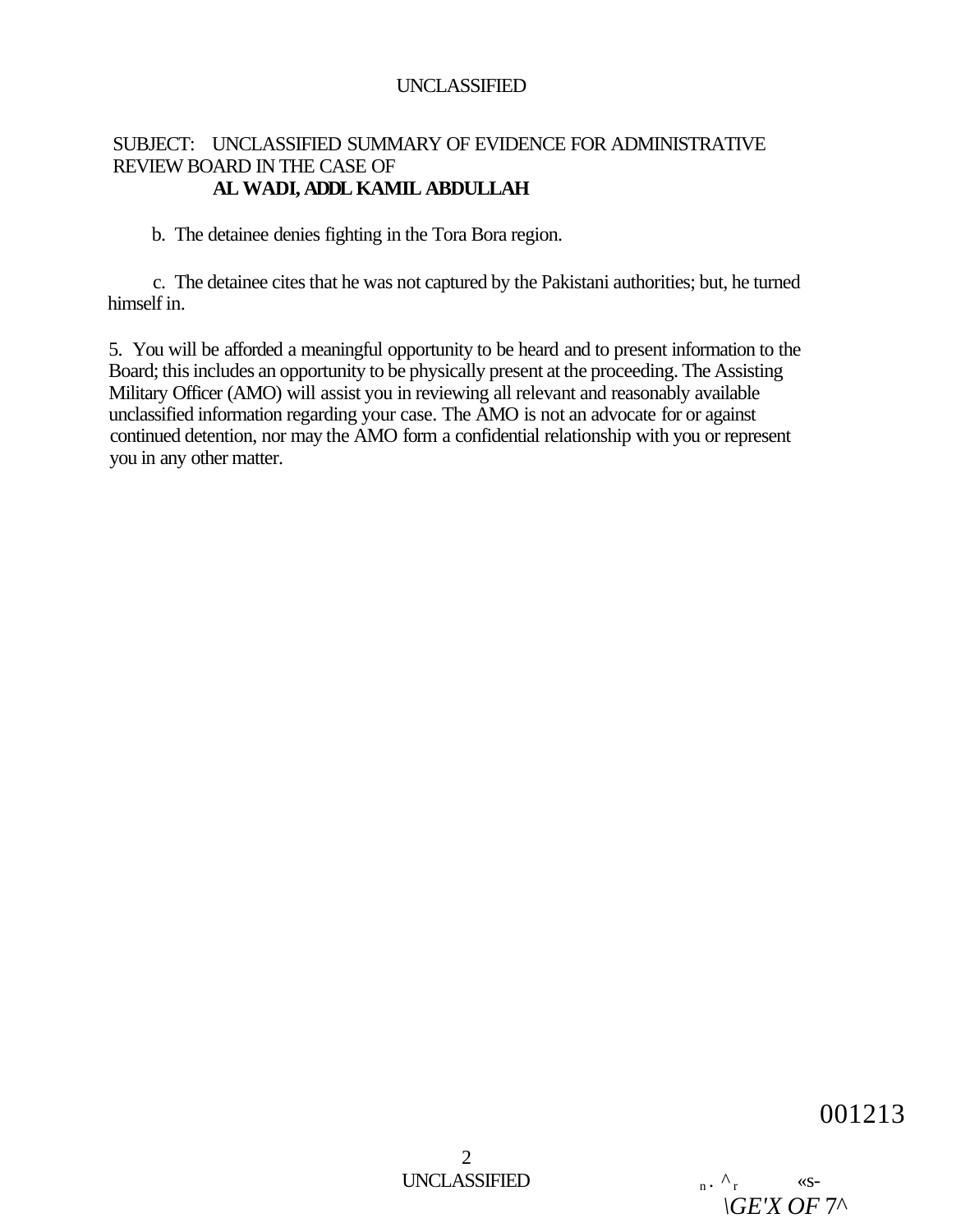# SUBJECT: UNCLASSIFIED SUMMARY OF EVIDENCE FOR ADMINISTRATIVE REVIEW BOARD IN THE CASE OF **AL WADI, ADDL KAMIL ABDULLAH**

b. The detainee denies fighting in the Tora Bora region.

c. The detainee cites that he was not captured by the Pakistani authorities; but, he turned himself in.

5. You will be afforded a meaningful opportunity to be heard and to present information to the Board; this includes an opportunity to be physically present at the proceeding. The Assisting Military Officer (AMO) will assist you in reviewing all relevant and reasonably available unclassified information regarding your case. The AMO is not an advocate for or against continued detention, nor may the AMO form a confidential relationship with you or represent you in any other matter.

001213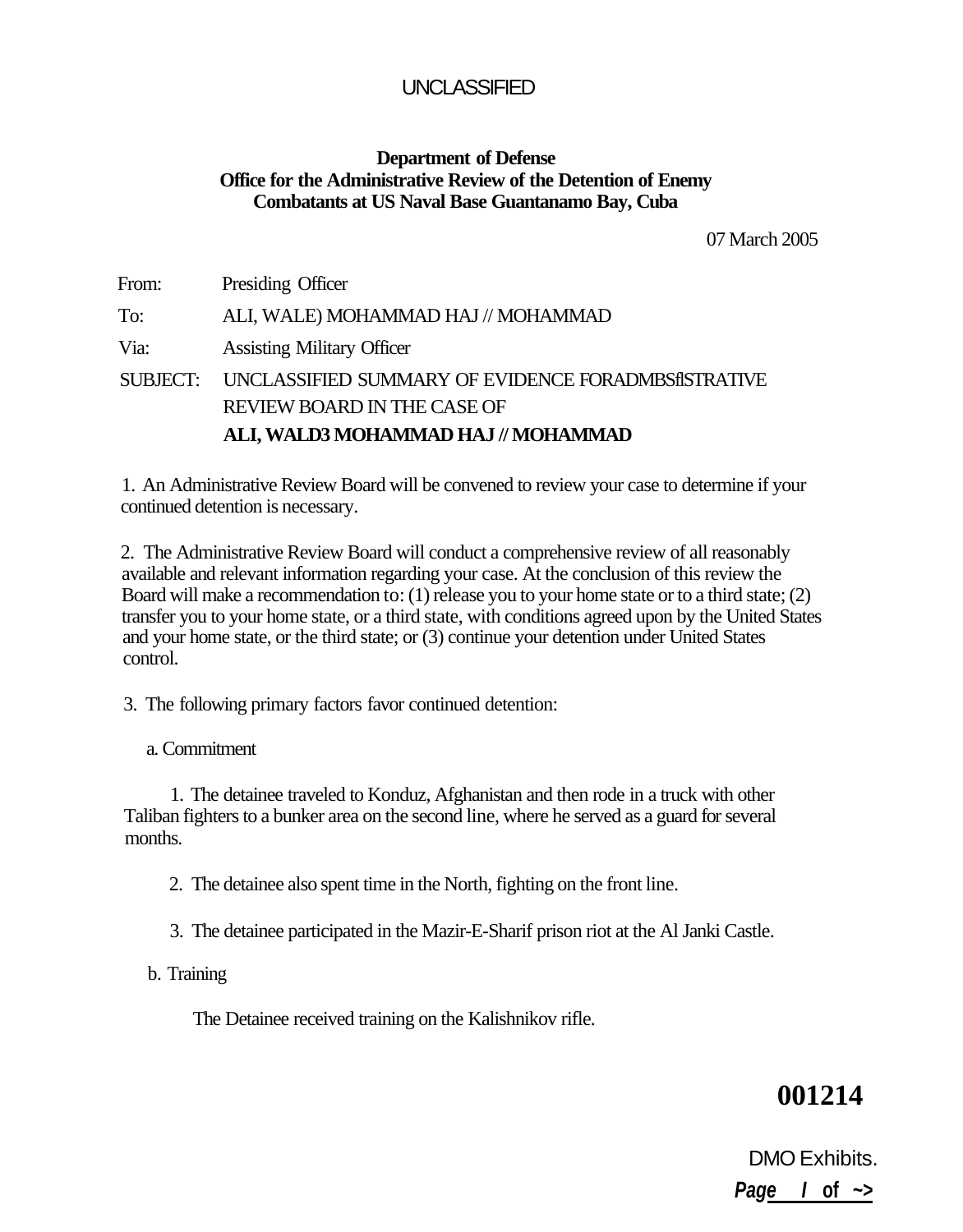# **Department of Defense Office for the Administrative Review of the Detention of Enemy Combatants at US Naval Base Guantanamo Bay, Cuba**

07 March 2005

From: Presiding Officer To: ALI, WALE) MOHAMMAD HAJ // MOHAMMAD Via: Assisting Military Officer SUBJECT: UNCLASSIFIED SUMMARY OF EVIDENCE FORADMBSflSTRATIVE REVIEW BOARD IN THE CASE OF **ALI, WALD3 MOHAMMAD HAJ // MOHAMMAD** 

1. An Administrative Review Board will be convened to review your case to determine if your continued detention is necessary.

2. The Administrative Review Board will conduct a comprehensive review of all reasonably available and relevant information regarding your case. At the conclusion of this review the Board will make a recommendation to: (1) release you to your home state or to a third state; (2) transfer you to your home state, or a third state, with conditions agreed upon by the United States and your home state, or the third state; or (3) continue your detention under United States control.

3. The following primary factors favor continued detention:

a. Commitment

1. The detainee traveled to Konduz, Afghanistan and then rode in a truck with other Taliban fighters to a bunker area on the second line, where he served as a guard for several months.

2. The detainee also spent time in the North, fighting on the front line.

- 3. The detainee participated in the Mazir-E-Sharif prison riot at the Al Janki Castle.
- b. Training

The Detainee received training on the Kalishnikov rifle.

# **001214**

DMO Exhibits. **Page I of ~>**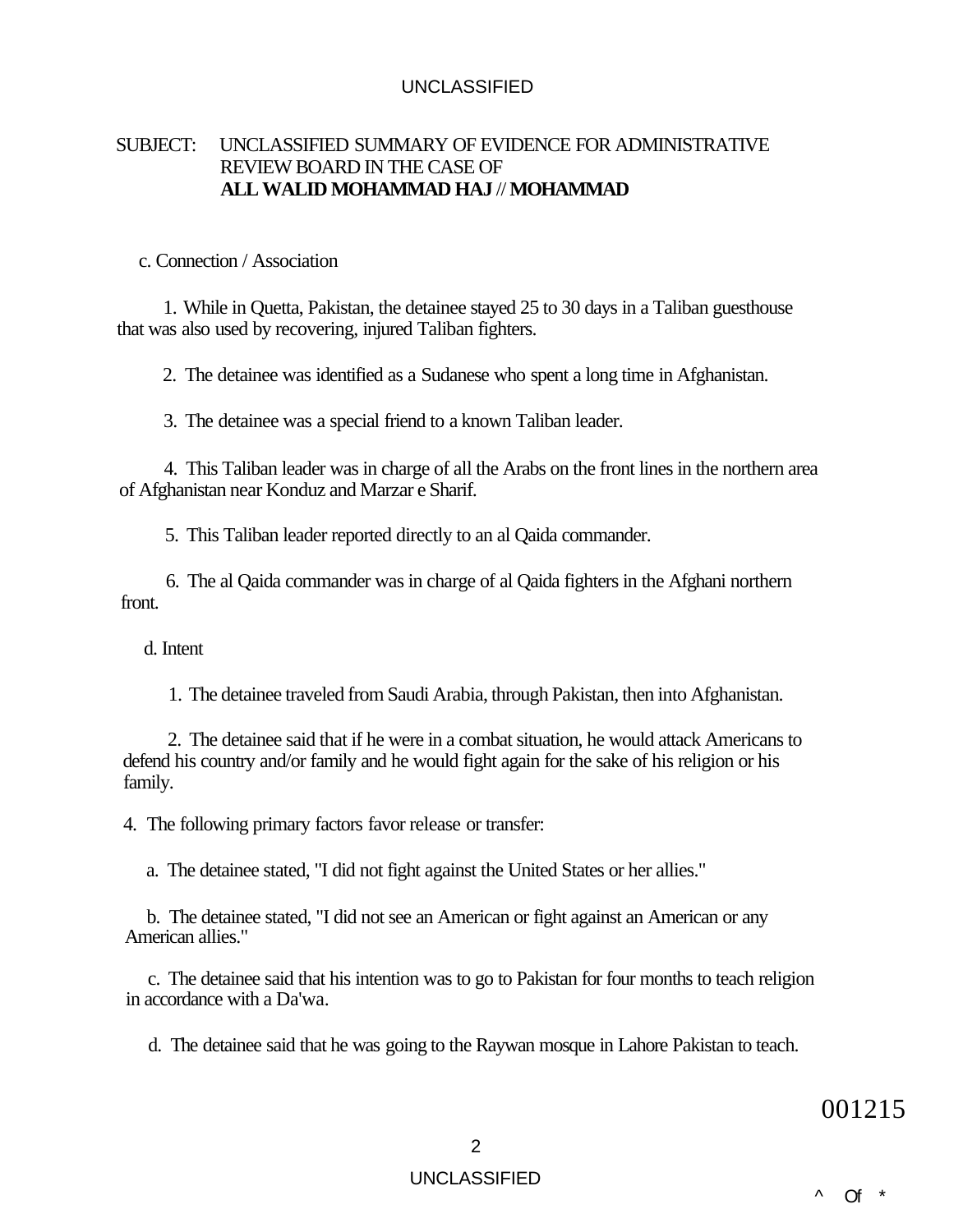## SUBJECT: UNCLASSIFIED SUMMARY OF EVIDENCE FOR ADMINISTRATIVE REVIEW BOARD IN THE CASE OF **ALL WALID MOHAMMAD HAJ** // **MOHAMMAD**

#### c. Connection / Association

1. While in Quetta, Pakistan, the detainee stayed 25 to 30 days in a Taliban guesthouse that was also used by recovering, injured Taliban fighters.

2. The detainee was identified as a Sudanese who spent a long time in Afghanistan.

3. The detainee was a special friend to a known Taliban leader.

4. This Taliban leader was in charge of all the Arabs on the front lines in the northern area of Afghanistan near Konduz and Marzar e Sharif.

5. This Taliban leader reported directly to an al Qaida commander.

6. The al Qaida commander was in charge of al Qaida fighters in the Afghani northern front.

d. Intent

1. The detainee traveled from Saudi Arabia, through Pakistan, then into Afghanistan.

2. The detainee said that if he were in a combat situation, he would attack Americans to defend his country and/or family and he would fight again for the sake of his religion or his family.

4. The following primary factors favor release or transfer:

a. The detainee stated, "I did not fight against the United States or her allies."

b. The detainee stated, "I did not see an American or fight against an American or any American allies."

c. The detainee said that his intention was to go to Pakistan for four months to teach religion in accordance with a Da'wa.

d. The detainee said that he was going to the Raywan mosque in Lahore Pakistan to teach.

001215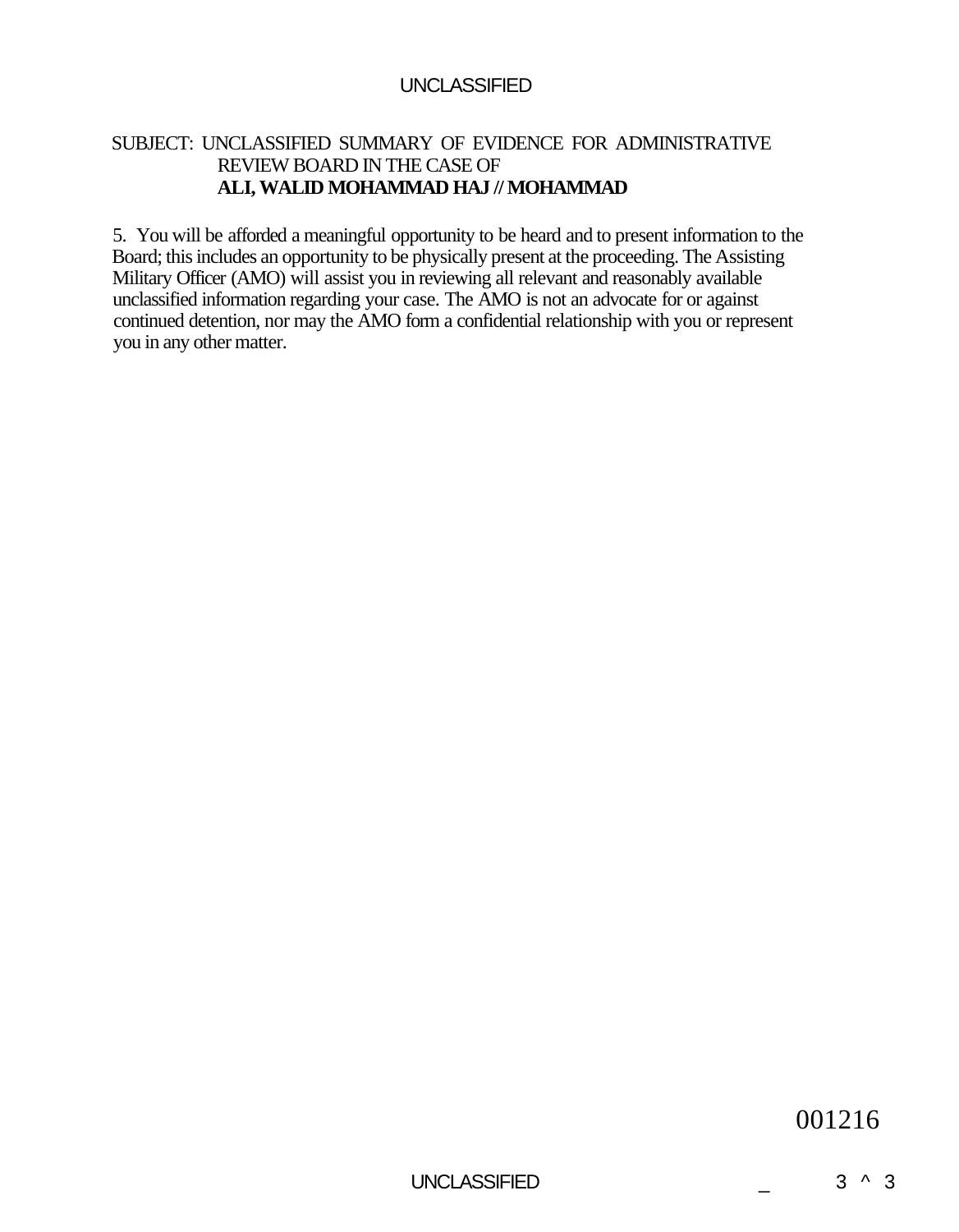# SUBJECT: UNCLASSIFIED SUMMARY OF EVIDENCE FOR ADMINISTRATIVE REVIEW BOARD IN THE CASE OF **ALI, WALID MOHAMMAD HAJ // MOHAMMAD**

5. You will be afforded a meaningful opportunity to be heard and to present information to the Board; this includes an opportunity to be physically present at the proceeding. The Assisting Military Officer (AMO) will assist you in reviewing all relevant and reasonably available unclassified information regarding your case. The AMO is not an advocate for or against continued detention, nor may the AMO form a confidential relationship with you or represent you in any other matter.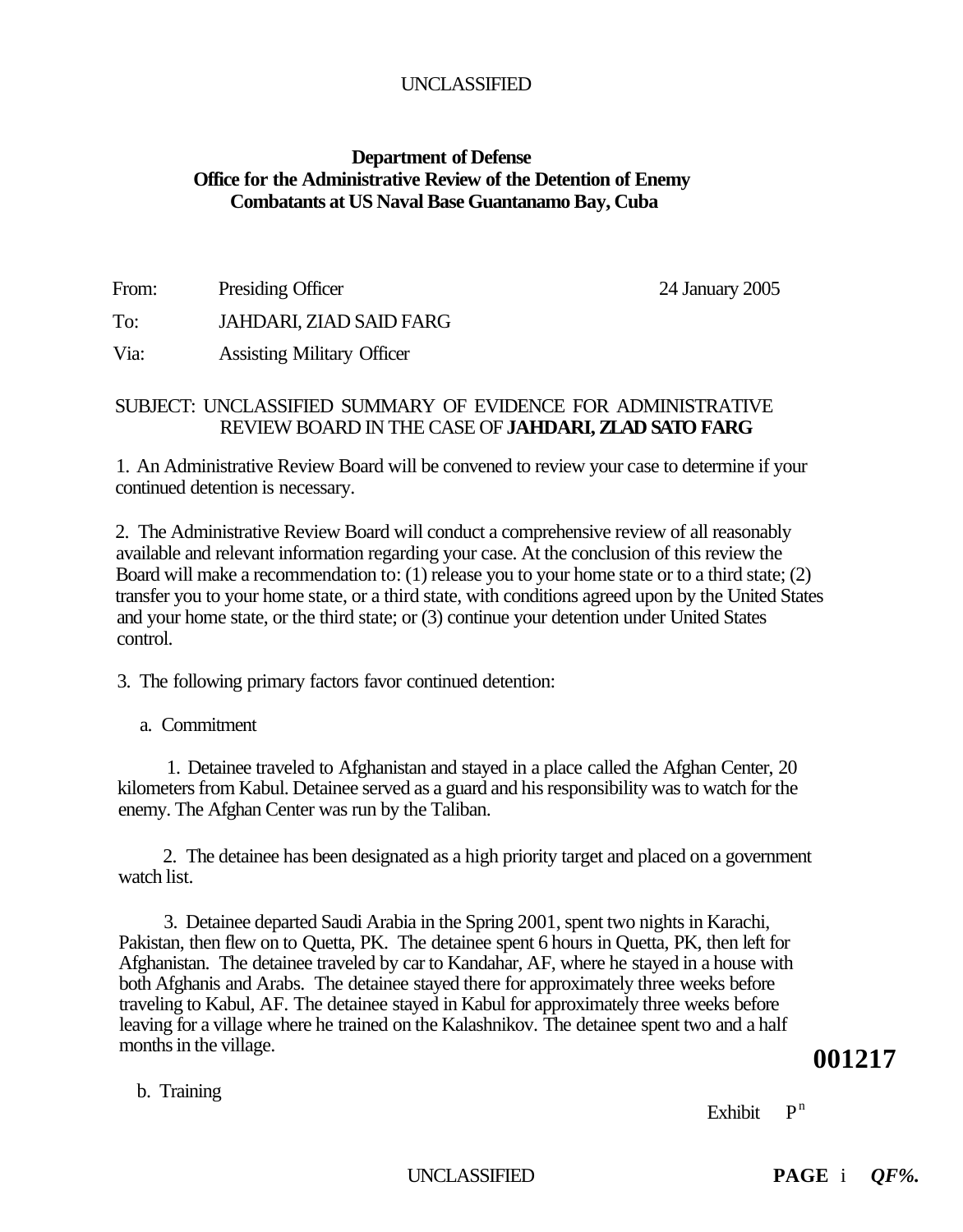# **Department of Defense Office for the Administrative Review of the Detention of Enemy Combatants at US Naval Base Guantanamo Bay, Cuba**

From: Presiding Officer 24 January 2005

To: JAHDARI, ZIAD SAID FARG

Via: Assisting Military Officer

# SUBJECT: UNCLASSIFIED SUMMARY OF EVIDENCE FOR ADMINISTRATIVE REVIEW BOARD IN THE CASE OF **JAHDARI, ZLAD SATO FARG**

1. An Administrative Review Board will be convened to review your case to determine if your continued detention is necessary.

2. The Administrative Review Board will conduct a comprehensive review of all reasonably available and relevant information regarding your case. At the conclusion of this review the Board will make a recommendation to: (1) release you to your home state or to a third state; (2) transfer you to your home state, or a third state, with conditions agreed upon by the United States and your home state, or the third state; or (3) continue your detention under United States control.

3. The following primary factors favor continued detention:

a. Commitment

1. Detainee traveled to Afghanistan and stayed in a place called the Afghan Center, 20 kilometers from Kabul. Detainee served as a guard and his responsibility was to watch for the enemy. The Afghan Center was run by the Taliban.

2. The detainee has been designated as a high priority target and placed on a government watch list.

3. Detainee departed Saudi Arabia in the Spring 2001, spent two nights in Karachi, Pakistan, then flew on to Quetta, PK. The detainee spent 6 hours in Quetta, PK, then left for Afghanistan. The detainee traveled by car to Kandahar, AF, where he stayed in a house with both Afghanis and Arabs. The detainee stayed there for approximately three weeks before traveling to Kabul, AF. The detainee stayed in Kabul for approximately three weeks before leaving for a village where he trained on the Kalashnikov. The detainee spent two and a half months in the village.

b. Training

Exhibit  $P^n$ 

**001217**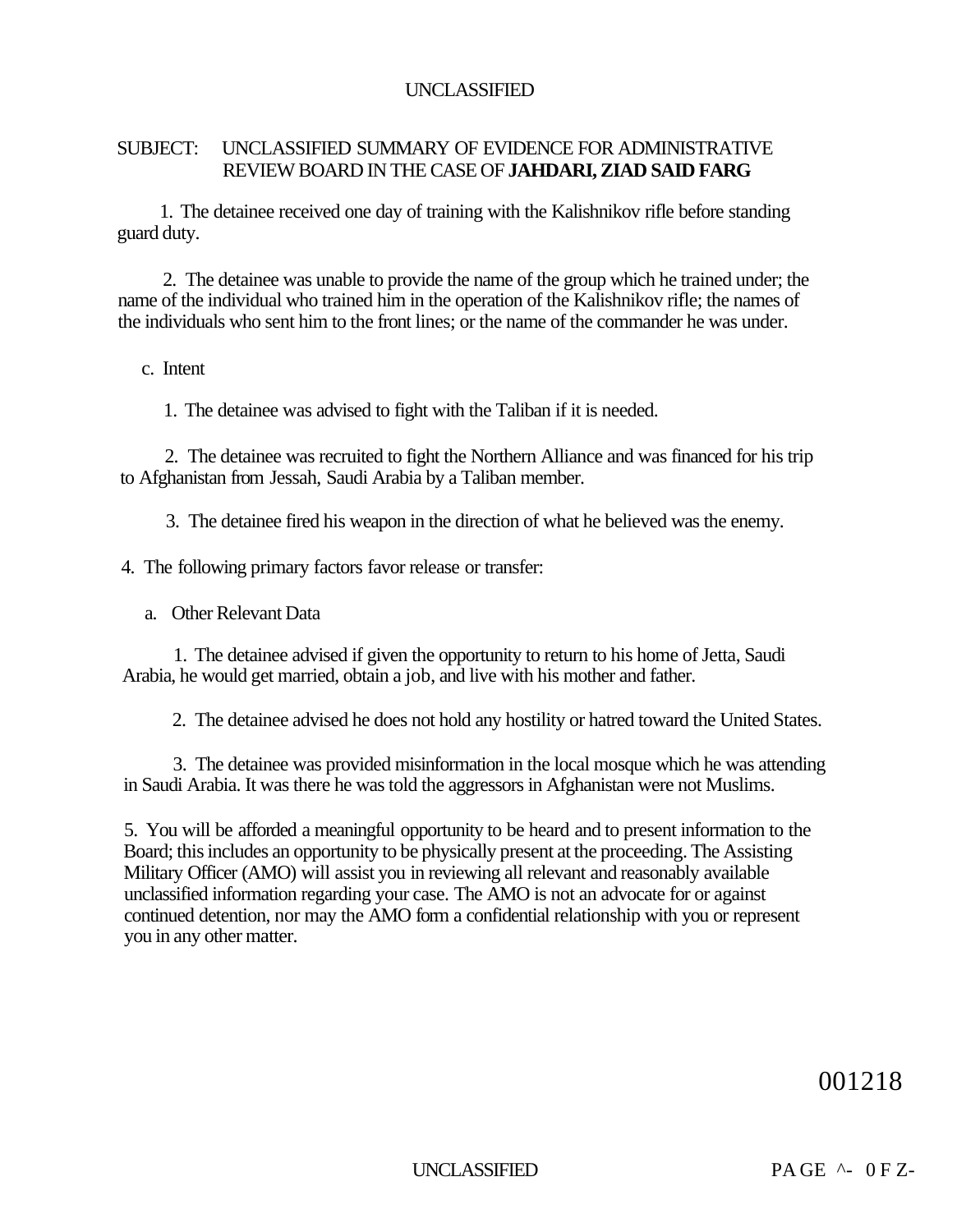## SUBJECT: UNCLASSIFIED SUMMARY OF EVIDENCE FOR ADMINISTRATIVE REVIEW BOARD IN THE CASE OF **JAHDARI, ZIAD SAID FARG**

1. The detainee received one day of training with the Kalishnikov rifle before standing guard duty.

2. The detainee was unable to provide the name of the group which he trained under; the name of the individual who trained him in the operation of the Kalishnikov rifle; the names of the individuals who sent him to the front lines; or the name of the commander he was under.

#### c. Intent

1. The detainee was advised to fight with the Taliban if it is needed.

2. The detainee was recruited to fight the Northern Alliance and was financed for his trip to Afghanistan from Jessah, Saudi Arabia by a Taliban member.

3. The detainee fired his weapon in the direction of what he believed was the enemy.

4. The following primary factors favor release or transfer:

a. Other Relevant Data

1. The detainee advised if given the opportunity to return to his home of Jetta, Saudi Arabia, he would get married, obtain a job, and live with his mother and father.

2. The detainee advised he does not hold any hostility or hatred toward the United States.

3. The detainee was provided misinformation in the local mosque which he was attending in Saudi Arabia. It was there he was told the aggressors in Afghanistan were not Muslims.

5. You will be afforded a meaningful opportunity to be heard and to present information to the Board; this includes an opportunity to be physically present at the proceeding. The Assisting Military Officer (AMO) will assist you in reviewing all relevant and reasonably available unclassified information regarding your case. The AMO is not an advocate for or against continued detention, nor may the AMO form a confidential relationship with you or represent you in any other matter.

001218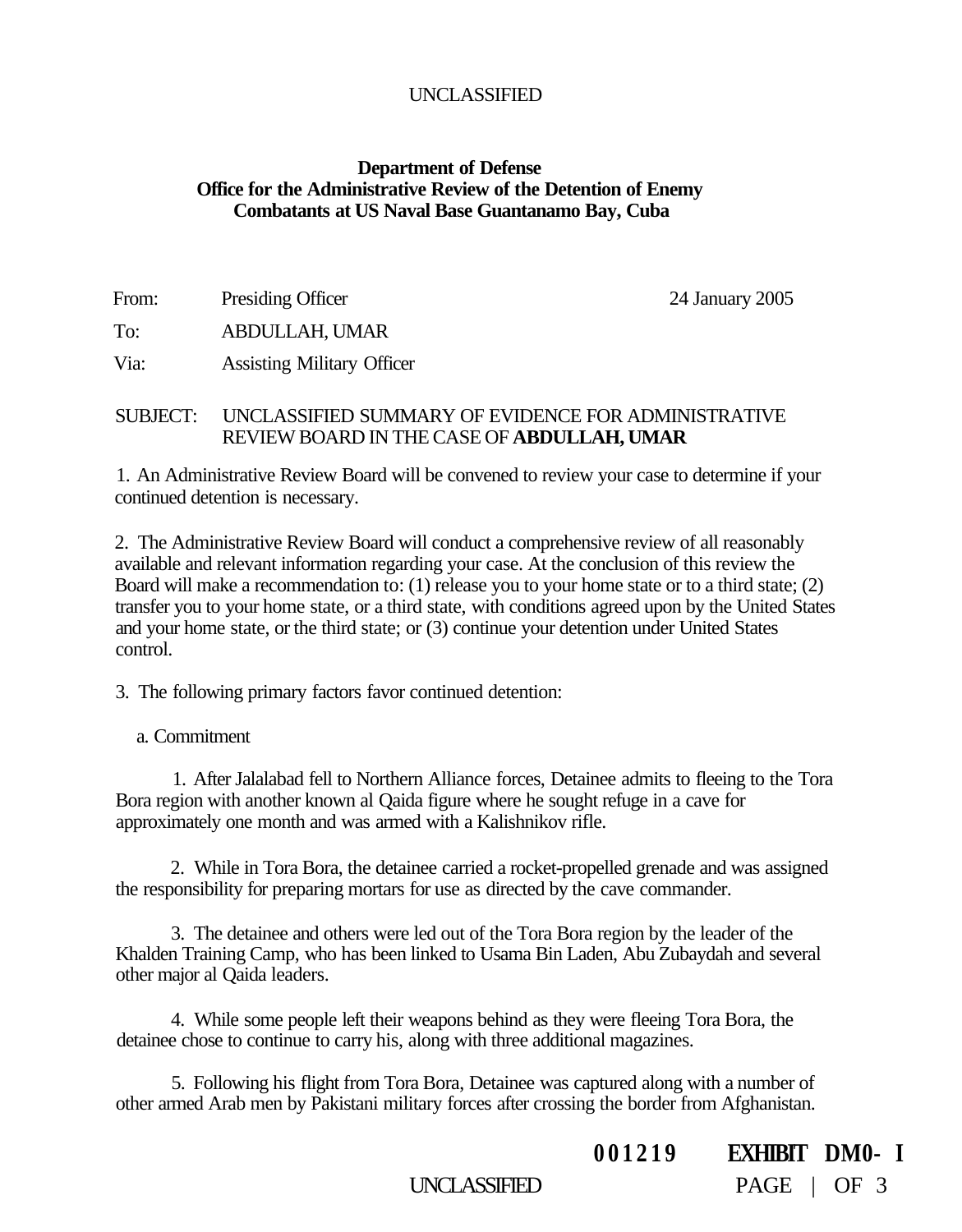# **Department of Defense Office for the Administrative Review of the Detention of Enemy Combatants at US Naval Base Guantanamo Bay, Cuba**

| From: | <b>Presiding Officer</b>          | 24 January 2005 |
|-------|-----------------------------------|-----------------|
| To:   | ABDULLAH, UMAR                    |                 |
| Via:  | <b>Assisting Military Officer</b> |                 |

#### SUBJECT: UNCLASSIFIED SUMMARY OF EVIDENCE FOR ADMINISTRATIVE REVIEW BOARD IN THE CASE OF **ABDULLAH, UMAR**

1. An Administrative Review Board will be convened to review your case to determine if your continued detention is necessary.

2. The Administrative Review Board will conduct a comprehensive review of all reasonably available and relevant information regarding your case. At the conclusion of this review the Board will make a recommendation to: (1) release you to your home state or to a third state; (2) transfer you to your home state, or a third state, with conditions agreed upon by the United States and your home state, or the third state; or (3) continue your detention under United States control.

3. The following primary factors favor continued detention:

a. Commitment

1. After Jalalabad fell to Northern Alliance forces, Detainee admits to fleeing to the Tora Bora region with another known al Qaida figure where he sought refuge in a cave for approximately one month and was armed with a Kalishnikov rifle.

2. While in Tora Bora, the detainee carried a rocket-propelled grenade and was assigned the responsibility for preparing mortars for use as directed by the cave commander.

3. The detainee and others were led out of the Tora Bora region by the leader of the Khalden Training Camp, who has been linked to Usama Bin Laden, Abu Zubaydah and several other major al Qaida leaders.

4. While some people left their weapons behind as they were fleeing Tora Bora, the detainee chose to continue to carry his, along with three additional magazines.

5. Following his flight from Tora Bora, Detainee was captured along with a number of other armed Arab men by Pakistani military forces after crossing the border from Afghanistan.

**00121 9 EXHIBIT DM0- I** 

UNCLASSIFIED PAGE | OF 3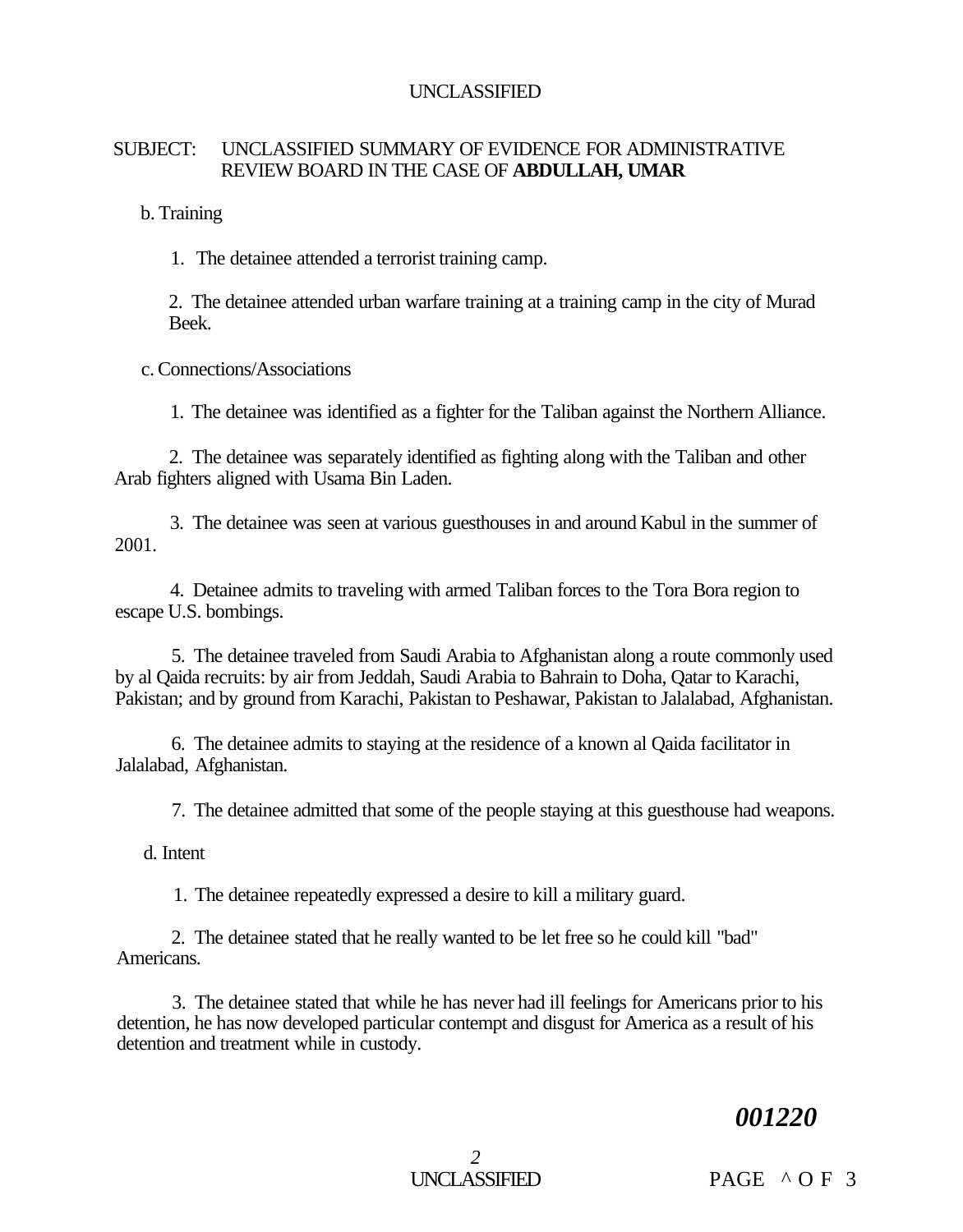# SUBJECT: UNCLASSIFIED SUMMARY OF EVIDENCE FOR ADMINISTRATIVE REVIEW BOARD IN THE CASE OF **ABDULLAH, UMAR**

b. Training

1. The detainee attended a terrorist training camp.

2. The detainee attended urban warfare training at a training camp in the city of Murad Beek.

c. Connections/Associations

1. The detainee was identified as a fighter for the Taliban against the Northern Alliance.

2. The detainee was separately identified as fighting along with the Taliban and other Arab fighters aligned with Usama Bin Laden.

3. The detainee was seen at various guesthouses in and around Kabul in the summer of 2001.

4. Detainee admits to traveling with armed Taliban forces to the Tora Bora region to escape U.S. bombings.

5. The detainee traveled from Saudi Arabia to Afghanistan along a route commonly used by al Qaida recruits: by air from Jeddah, Saudi Arabia to Bahrain to Doha, Qatar to Karachi, Pakistan; and by ground from Karachi, Pakistan to Peshawar, Pakistan to Jalalabad, Afghanistan.

6. The detainee admits to staying at the residence of a known al Qaida facilitator in Jalalabad, Afghanistan.

7. The detainee admitted that some of the people staying at this guesthouse had weapons.

d. Intent

1. The detainee repeatedly expressed a desire to kill a military guard.

2. The detainee stated that he really wanted to be let free so he could kill "bad" Americans.

3. The detainee stated that while he has never had ill feelings for Americans prior to his detention, he has now developed particular contempt and disgust for America as a result of his detention and treatment while in custody.

# *001220*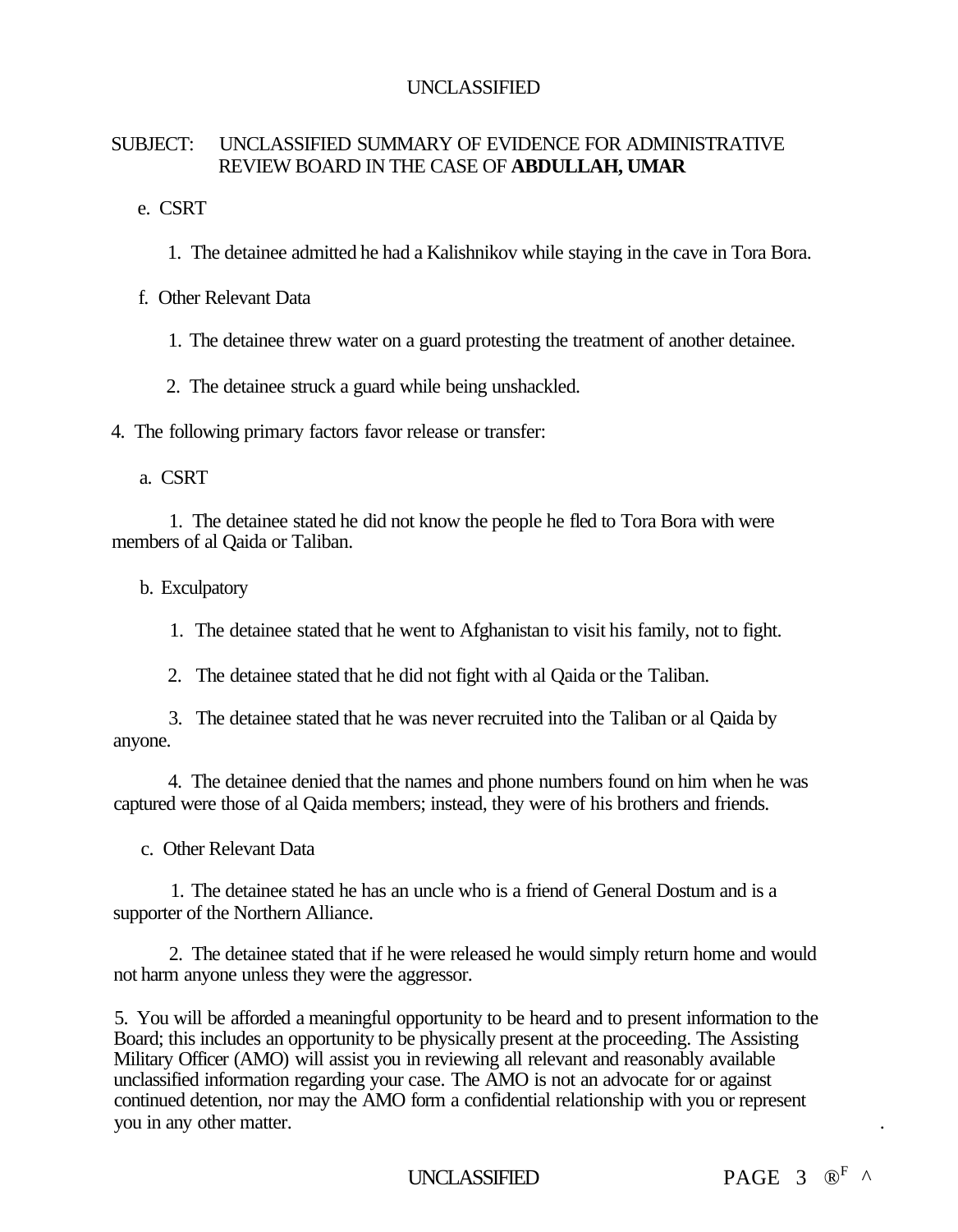# SUBJECT: UNCLASSIFIED SUMMARY OF EVIDENCE FOR ADMINISTRATIVE REVIEW BOARD IN THE CASE OF **ABDULLAH, UMAR**

e. CSRT

1. The detainee admitted he had a Kalishnikov while staying in the cave in Tora Bora.

f. Other Relevant Data

1. The detainee threw water on a guard protesting the treatment of another detainee.

2. The detainee struck a guard while being unshackled.

4. The following primary factors favor release or transfer:

a. CSRT

1. The detainee stated he did not know the people he fled to Tora Bora with were members of al Qaida or Taliban.

b. Exculpatory

1. The detainee stated that he went to Afghanistan to visit his family, not to fight.

2. The detainee stated that he did not fight with al Qaida or the Taliban.

3. The detainee stated that he was never recruited into the Taliban or al Qaida by anyone.

4. The detainee denied that the names and phone numbers found on him when he was captured were those of al Qaida members; instead, they were of his brothers and friends.

c. Other Relevant Data

1. The detainee stated he has an uncle who is a friend of General Dostum and is a supporter of the Northern Alliance.

2. The detainee stated that if he were released he would simply return home and would not harm anyone unless they were the aggressor.

5. You will be afforded a meaningful opportunity to be heard and to present information to the Board; this includes an opportunity to be physically present at the proceeding. The Assisting Military Officer (AMO) will assist you in reviewing all relevant and reasonably available unclassified information regarding your case. The AMO is not an advocate for or against continued detention, nor may the AMO form a confidential relationship with you or represent you in any other matter. .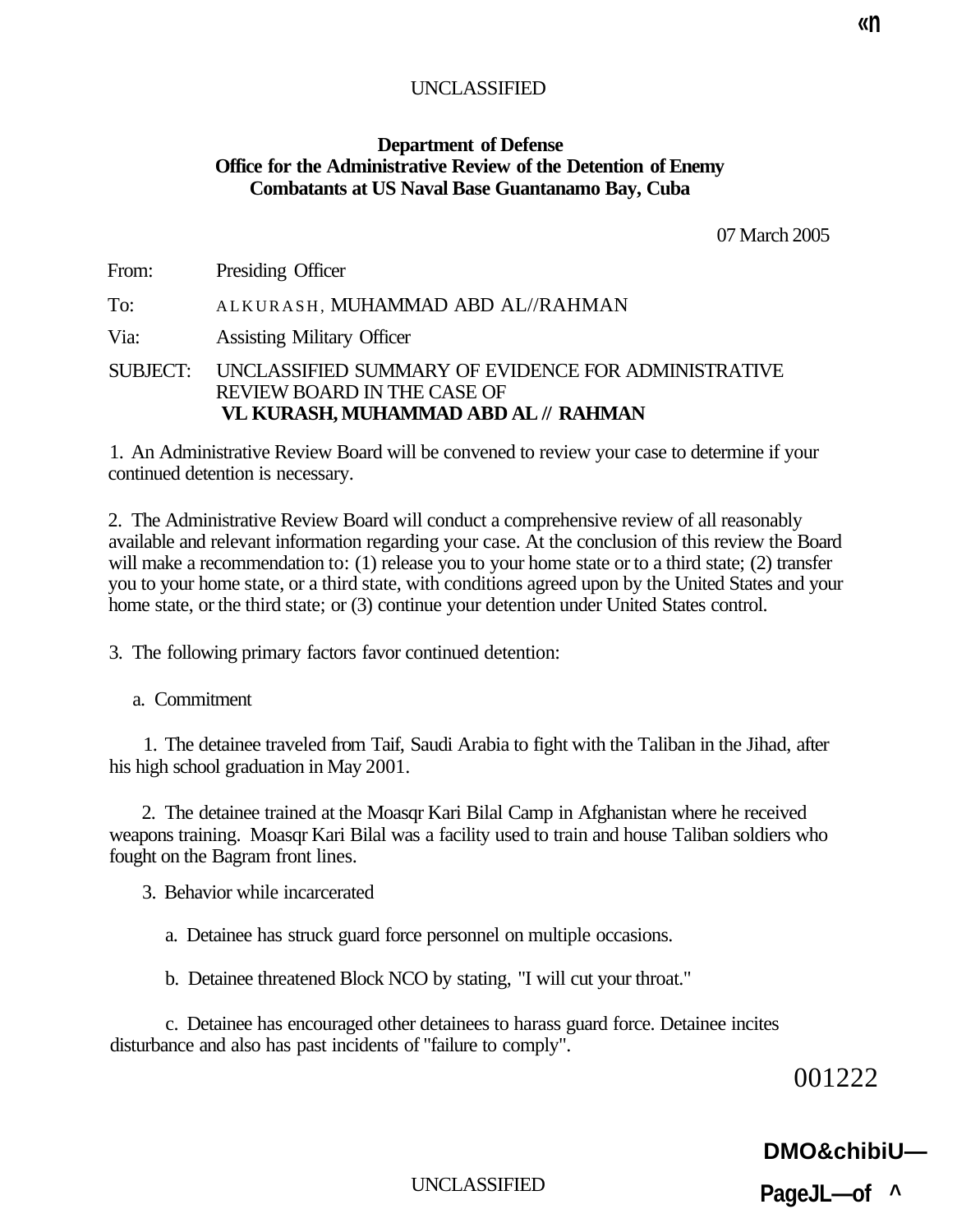# **Department of Defense Office for the Administrative Review of the Detention of Enemy Combatants at US Naval Base Guantanamo Bay, Cuba**

07 March 2005

| From:    | Presiding Officer                                                                                                          |
|----------|----------------------------------------------------------------------------------------------------------------------------|
| To:      | ALKURASH, MUHAMMAD ABD AL//RAHMAN                                                                                          |
| Via:     | <b>Assisting Military Officer</b>                                                                                          |
| SUBJECT: | UNCLASSIFIED SUMMARY OF EVIDENCE FOR ADMINISTRATIVE<br>REVIEW BOARD IN THE CASE OF<br>VL KURASH, MUHAMMAD ABD AL // RAHMAN |

1. An Administrative Review Board will be convened to review your case to determine if your continued detention is necessary.

2. The Administrative Review Board will conduct a comprehensive review of all reasonably available and relevant information regarding your case. At the conclusion of this review the Board will make a recommendation to: (1) release you to your home state or to a third state; (2) transfer you to your home state, or a third state, with conditions agreed upon by the United States and your home state, or the third state; or (3) continue your detention under United States control.

3. The following primary factors favor continued detention:

a. Commitment

1. The detainee traveled from Taif, Saudi Arabia to fight with the Taliban in the Jihad, after his high school graduation in May 2001.

2. The detainee trained at the Moasqr Kari Bilal Camp in Afghanistan where he received weapons training. Moasqr Kari Bilal was a facility used to train and house Taliban soldiers who fought on the Bagram front lines.

3. Behavior while incarcerated

a. Detainee has struck guard force personnel on multiple occasions.

b. Detainee threatened Block NCO by stating, "I will cut your throat."

c. Detainee has encouraged other detainees to harass guard force. Detainee incites disturbance and also has past incidents of "failure to comply".

001222

# **DMO&chibiU—**

UNCLASSIFIED

**PageJL—of ^**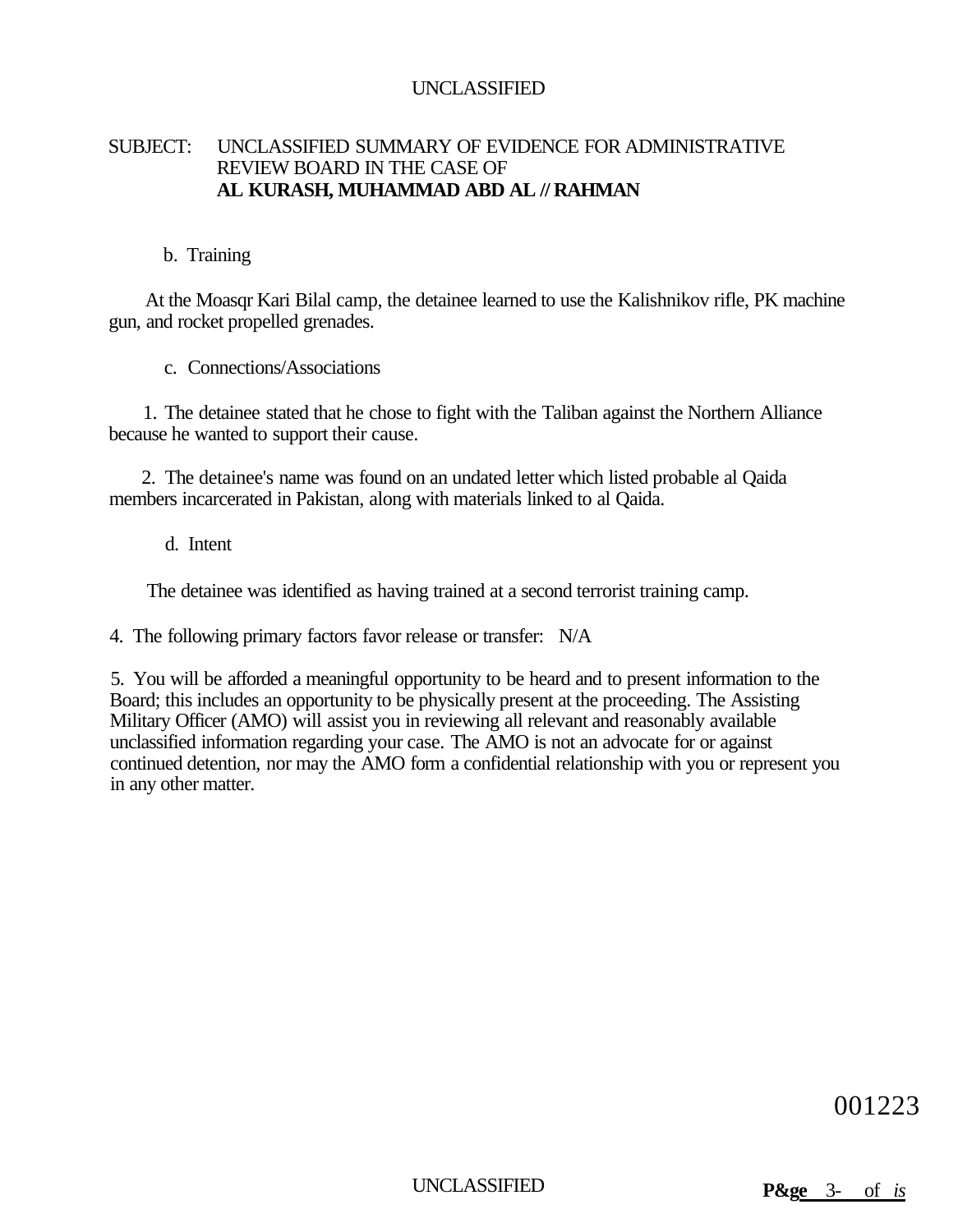## SUBJECT: UNCLASSIFIED SUMMARY OF EVIDENCE FOR ADMINISTRATIVE REVIEW BOARD IN THE CASE OF **AL KURASH, MUHAMMAD ABD AL // RAHMAN**

#### b. Training

At the Moasqr Kari Bilal camp, the detainee learned to use the Kalishnikov rifle, PK machine gun, and rocket propelled grenades.

c. Connections/Associations

1. The detainee stated that he chose to fight with the Taliban against the Northern Alliance because he wanted to support their cause.

2. The detainee's name was found on an undated letter which listed probable al Qaida members incarcerated in Pakistan, along with materials linked to al Qaida.

d. Intent

The detainee was identified as having trained at a second terrorist training camp.

4. The following primary factors favor release or transfer: N/A

5. You will be afforded a meaningful opportunity to be heard and to present information to the Board; this includes an opportunity to be physically present at the proceeding. The Assisting Military Officer (AMO) will assist you in reviewing all relevant and reasonably available unclassified information regarding your case. The AMO is not an advocate for or against continued detention, nor may the AMO form a confidential relationship with you or represent you in any other matter.

001223

UNCLASSIFIED **P&ge** 3- of *is*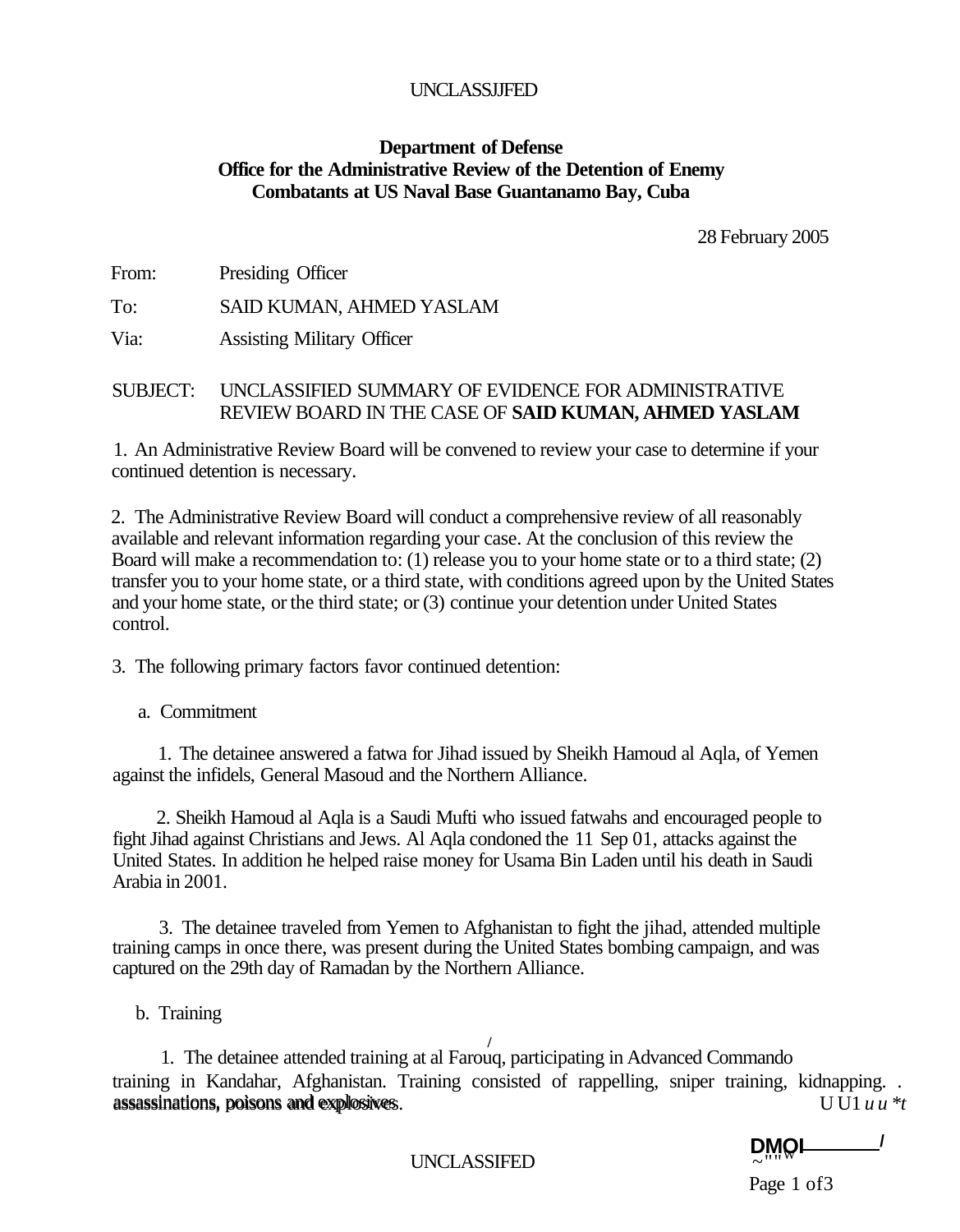#### UNCLASSJJFED

#### **Department of Defense Office for the Administrative Review of the Detention of Enemy Combatants at US Naval Base Guantanamo Bay, Cuba**

28 February 2005

From: Presiding Officer

To: SAID KUMAN, AHMED YASLAM

Via: Assisting Military Officer

## SUBJECT: UNCLASSIFIED SUMMARY OF EVIDENCE FOR ADMINISTRATIVE REVIEW BOARD IN THE CASE OF **SAID KUMAN, AHMED YASLAM**

1. An Administrative Review Board will be convened to review your case to determine if your continued detention is necessary.

2. The Administrative Review Board will conduct a comprehensive review of all reasonably available and relevant information regarding your case. At the conclusion of this review the Board will make a recommendation to: (1) release you to your home state or to a third state; (2) transfer you to your home state, or a third state, with conditions agreed upon by the United States and your home state, or the third state; or (3) continue your detention under United States control.

3. The following primary factors favor continued detention:

a. Commitment

1. The detainee answered a fatwa for Jihad issued by Sheikh Hamoud al Aqla, of Yemen against the infidels, General Masoud and the Northern Alliance.

2. Sheikh Hamoud al Aqla is a Saudi Mufti who issued fatwahs and encouraged people to fight Jihad against Christians and Jews. Al Aqla condoned the 11 Sep 01, attacks against the United States. In addition he helped raise money for Usama Bin Laden until his death in Saudi Arabia in 2001.

3. The detainee traveled from Yemen to Afghanistan to fight the jihad, attended multiple training camps in once there, was present during the United States bombing campaign, and was captured on the 29th day of Ramadan by the Northern Alliance.

b. Training

**/**  1. The detainee attended training at al Farouq, participating in Advanced Commando training in Kandahar, Afghanistan. Training consisted of rappelling, sniper training, kidnapping. . assassinations, ooisons and explosives. U U1 *u u \*t*  assassinations, poisons and explosives

**DMOI /**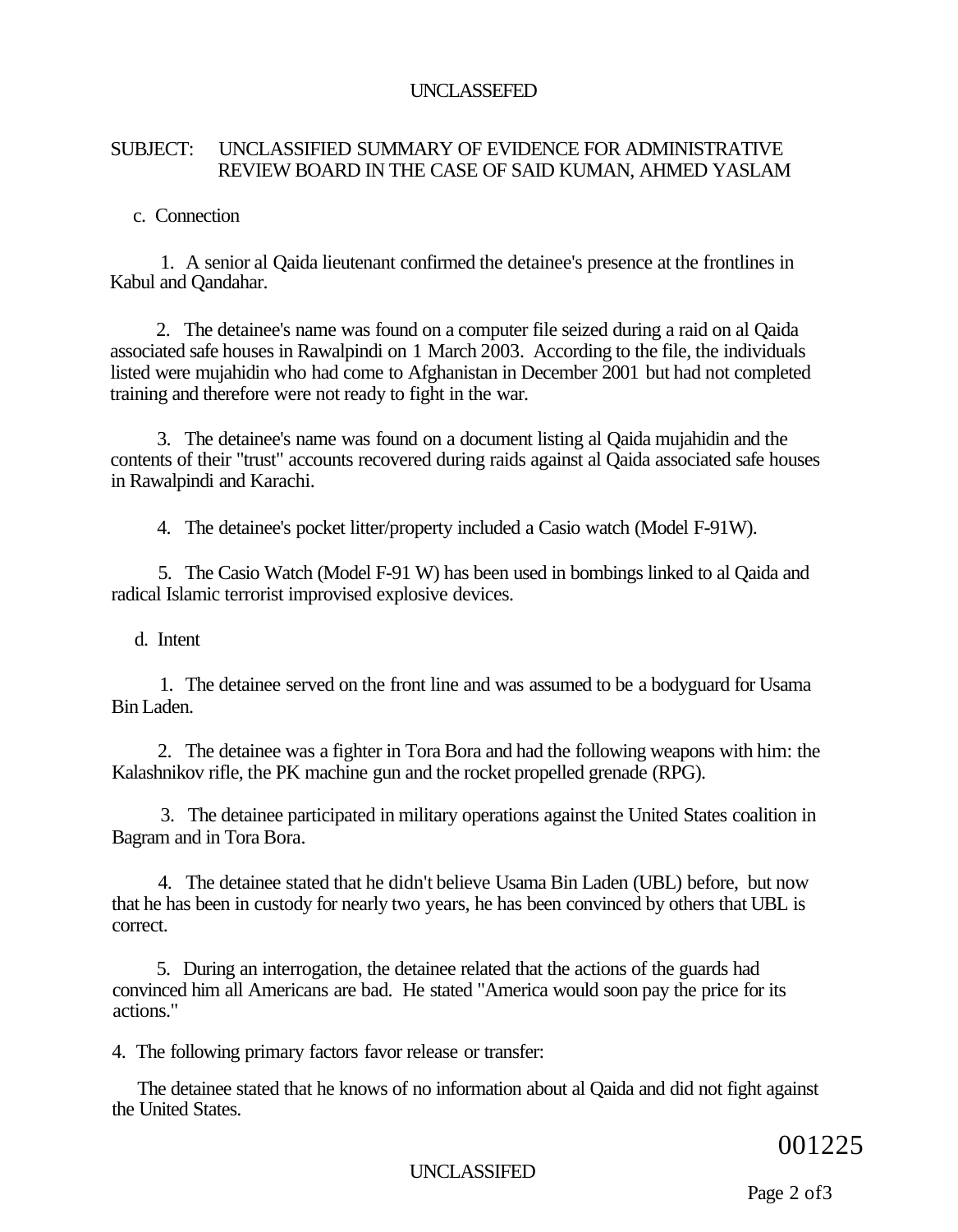## UNCLASSEFED

# SUBJECT: UNCLASSIFIED SUMMARY OF EVIDENCE FOR ADMINISTRATIVE REVIEW BOARD IN THE CASE OF SAID KUMAN, AHMED YASLAM

c. Connection

1. A senior al Qaida lieutenant confirmed the detainee's presence at the frontlines in Kabul and Qandahar.

2. The detainee's name was found on a computer file seized during a raid on al Qaida associated safe houses in Rawalpindi on 1 March 2003. According to the file, the individuals listed were mujahidin who had come to Afghanistan in December 2001 but had not completed training and therefore were not ready to fight in the war.

3. The detainee's name was found on a document listing al Qaida mujahidin and the contents of their "trust" accounts recovered during raids against al Qaida associated safe houses in Rawalpindi and Karachi.

4. The detainee's pocket litter/property included a Casio watch (Model F-91W).

5. The Casio Watch (Model F-91 W) has been used in bombings linked to al Qaida and radical Islamic terrorist improvised explosive devices.

d. Intent

1. The detainee served on the front line and was assumed to be a bodyguard for Usama Bin Laden.

2. The detainee was a fighter in Tora Bora and had the following weapons with him: the Kalashnikov rifle, the PK machine gun and the rocket propelled grenade (RPG).

3. The detainee participated in military operations against the United States coalition in Bagram and in Tora Bora.

4. The detainee stated that he didn't believe Usama Bin Laden (UBL) before, but now that he has been in custody for nearly two years, he has been convinced by others that UBL is correct.

5. During an interrogation, the detainee related that the actions of the guards had convinced him all Americans are bad. He stated "America would soon pay the price for its actions."

4. The following primary factors favor release or transfer:

The detainee stated that he knows of no information about al Qaida and did not fight against the United States.

001225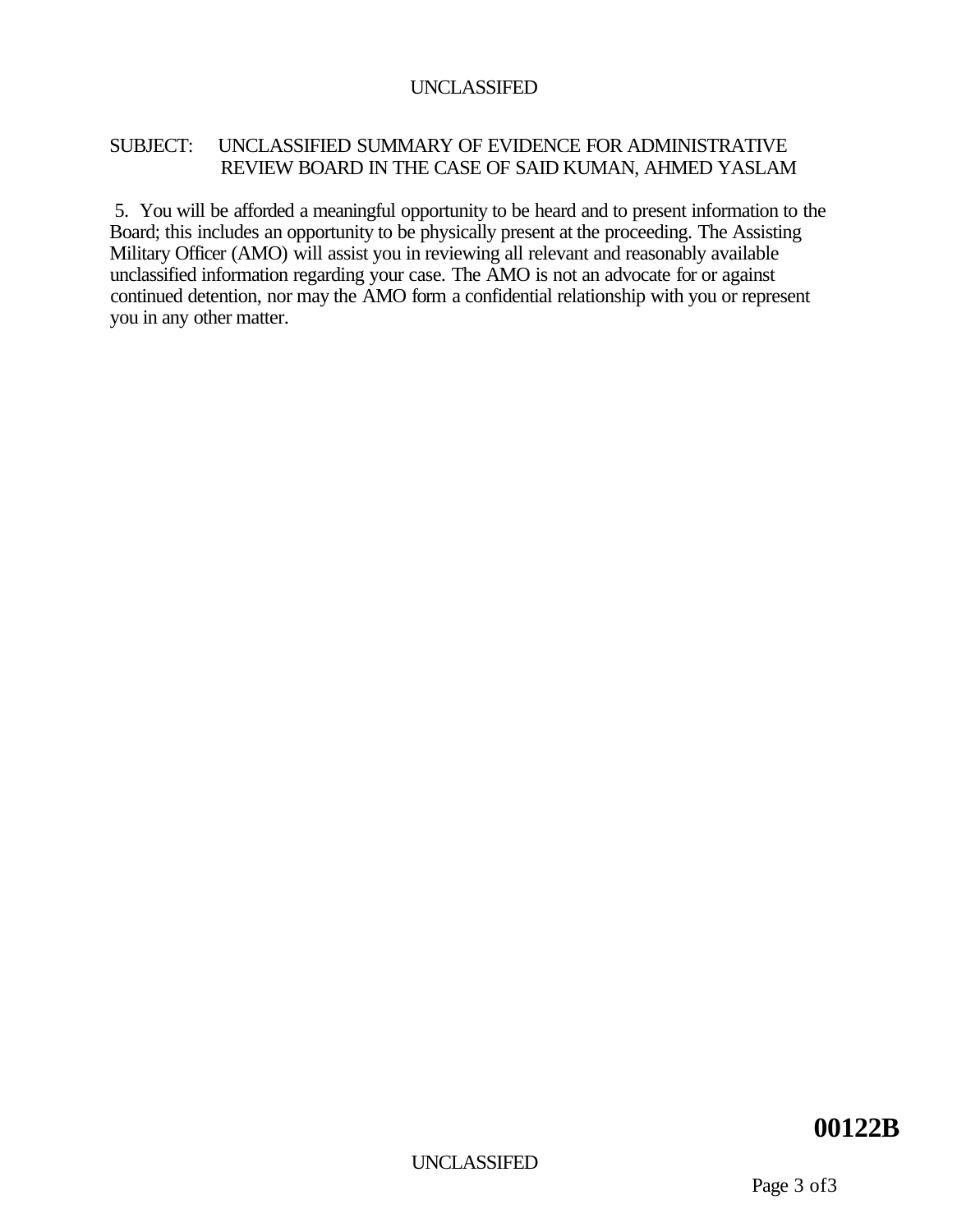# SUBJECT: UNCLASSIFIED SUMMARY OF EVIDENCE FOR ADMINISTRATIVE REVIEW BOARD IN THE CASE OF SAID KUMAN, AHMED YASLAM

5. You will be afforded a meaningful opportunity to be heard and to present information to the Board; this includes an opportunity to be physically present at the proceeding. The Assisting Military Officer (AMO) will assist you in reviewing all relevant and reasonably available unclassified information regarding your case. The AMO is not an advocate for or against continued detention, nor may the AMO form a confidential relationship with you or represent you in any other matter.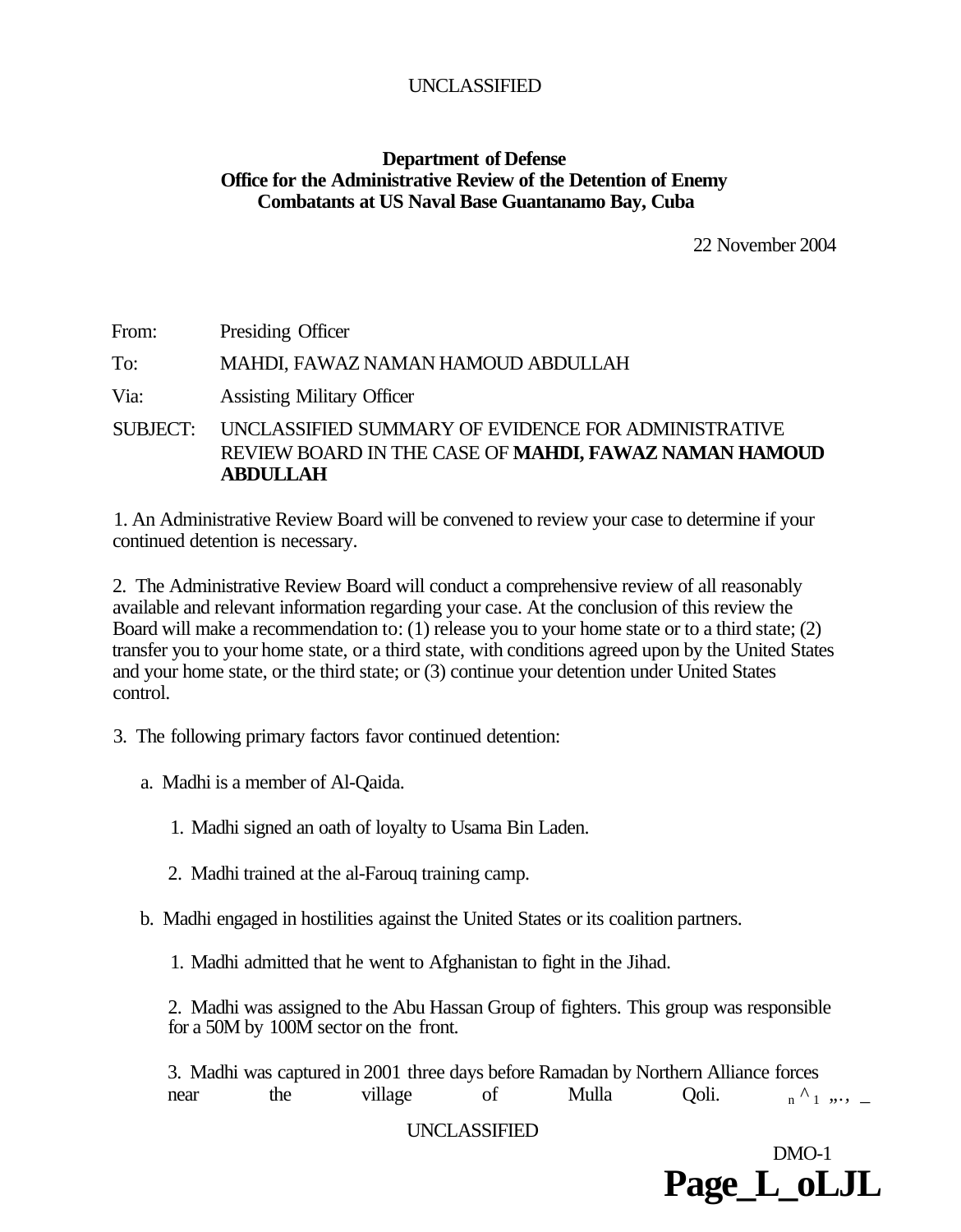# **Department of Defense Office for the Administrative Review of the Detention of Enemy Combatants at US Naval Base Guantanamo Bay, Cuba**

22 November 2004

| From:           | Presiding Officer                                                                                                        |
|-----------------|--------------------------------------------------------------------------------------------------------------------------|
| To:             | MAHDI, FAWAZ NAMAN HAMOUD ABDULLAH                                                                                       |
| Via:            | <b>Assisting Military Officer</b>                                                                                        |
| <b>SUBJECT:</b> | UNCLASSIFIED SUMMARY OF EVIDENCE FOR ADMINISTRATIVE<br>REVIEW BOARD IN THE CASE OF MAHDI, FAWAZ NAMAN HAMOUD<br>ABDULLAH |

1. An Administrative Review Board will be convened to review your case to determine if your continued detention is necessary.

2. The Administrative Review Board will conduct a comprehensive review of all reasonably available and relevant information regarding your case. At the conclusion of this review the Board will make a recommendation to: (1) release you to your home state or to a third state; (2) transfer you to your home state, or a third state, with conditions agreed upon by the United States and your home state, or the third state; or (3) continue your detention under United States control.

3. The following primary factors favor continued detention:

a. Madhi is a member of Al-Qaida.

1. Madhi signed an oath of loyalty to Usama Bin Laden.

2. Madhi trained at the al-Farouq training camp.

b. Madhi engaged in hostilities against the United States or its coalition partners.

1. Madhi admitted that he went to Afghanistan to fight in the Jihad.

2. Madhi was assigned to the Abu Hassan Group of fighters. This group was responsible for a 50M by 100M sector on the front.

3. Madhi was captured in 2001 three days before Ramadan by Northern Alliance forces near the village of Mulla Qoli.  $n^{\Lambda}$   $\ldots$ 

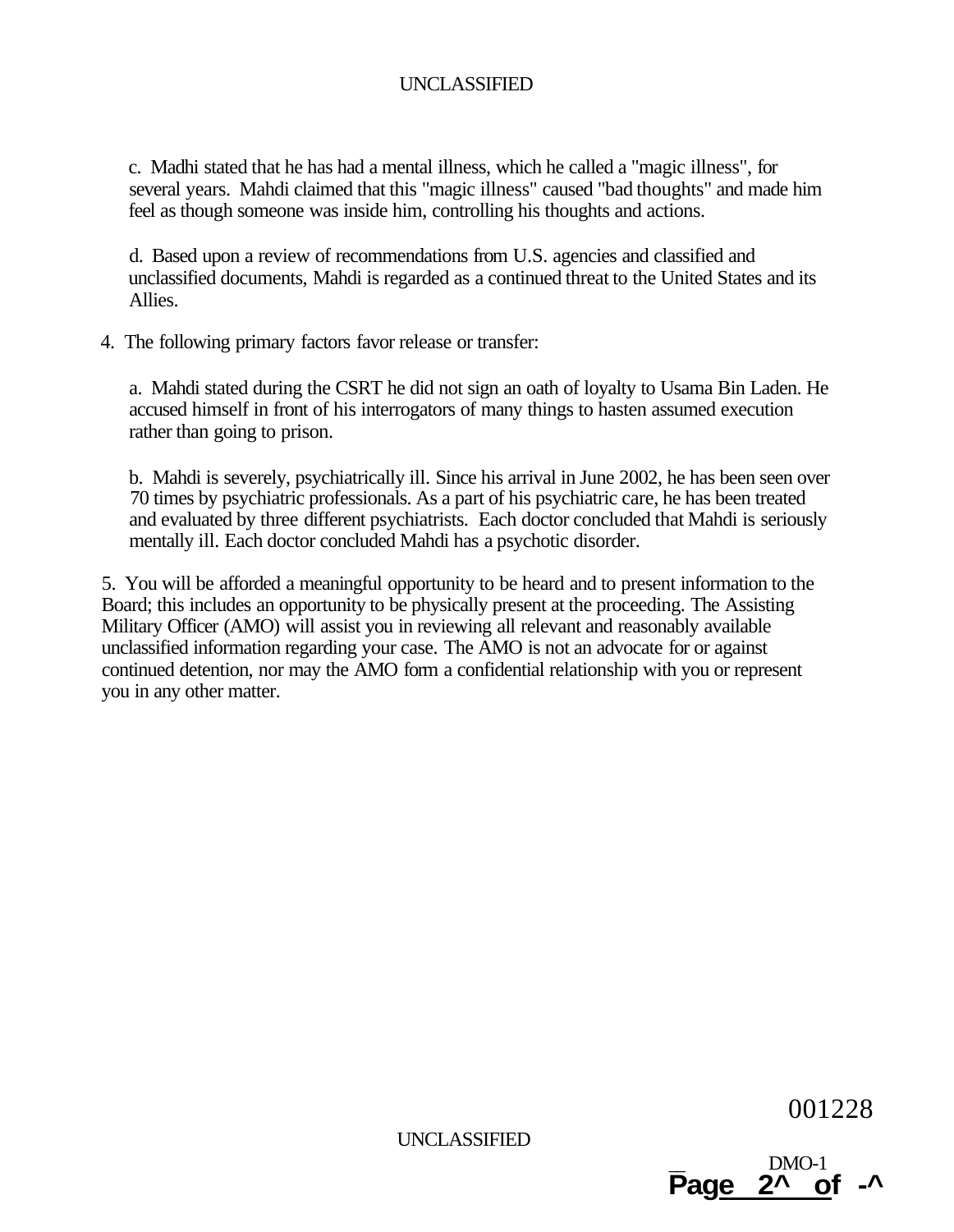c. Madhi stated that he has had a mental illness, which he called a "magic illness", for several years. Mahdi claimed that this "magic illness" caused "bad thoughts" and made him feel as though someone was inside him, controlling his thoughts and actions.

d. Based upon a review of recommendations from U.S. agencies and classified and unclassified documents, Mahdi is regarded as a continued threat to the United States and its Allies.

4. The following primary factors favor release or transfer:

a. Mahdi stated during the CSRT he did not sign an oath of loyalty to Usama Bin Laden. He accused himself in front of his interrogators of many things to hasten assumed execution rather than going to prison.

b. Mahdi is severely, psychiatrically ill. Since his arrival in June 2002, he has been seen over 70 times by psychiatric professionals. As a part of his psychiatric care, he has been treated and evaluated by three different psychiatrists. Each doctor concluded that Mahdi is seriously mentally ill. Each doctor concluded Mahdi has a psychotic disorder.

5. You will be afforded a meaningful opportunity to be heard and to present information to the Board; this includes an opportunity to be physically present at the proceeding. The Assisting Military Officer (AMO) will assist you in reviewing all relevant and reasonably available unclassified information regarding your case. The AMO is not an advocate for or against continued detention, nor may the AMO form a confidential relationship with you or represent you in any other matter.

001228

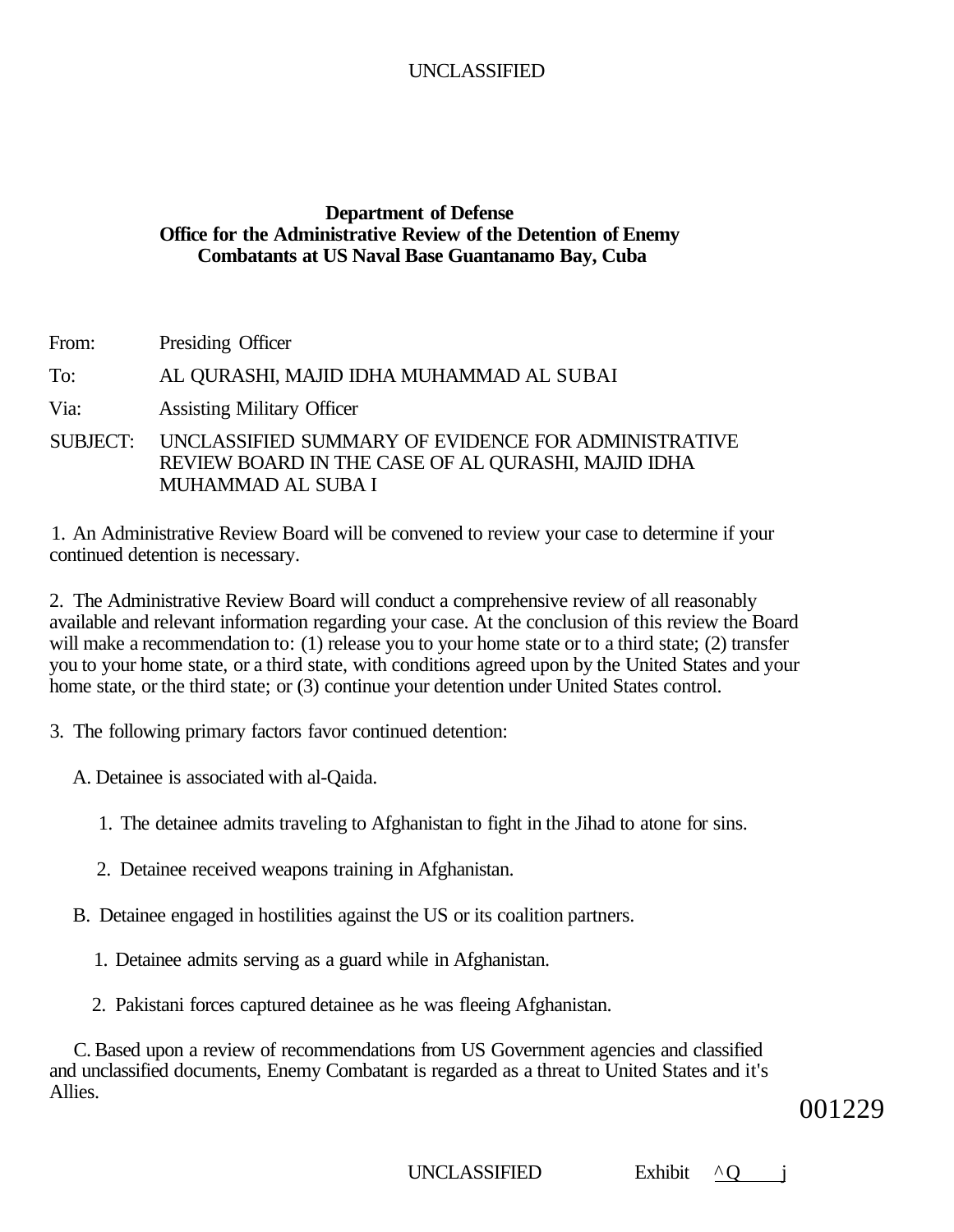# **Department of Defense Office for the Administrative Review of the Detention of Enemy Combatants at US Naval Base Guantanamo Bay, Cuba**

From: Presiding Officer To: AL QURASHI, MAJID IDHA MUHAMMAD AL SUBAI Via: Assisting Military Officer SUBJECT: UNCLASSIFIED SUMMARY OF EVIDENCE FOR ADMINISTRATIVE REVIEW BOARD IN THE CASE OF AL QURASHI, MAJID IDHA

1. An Administrative Review Board will be convened to review your case to determine if your continued detention is necessary.

2. The Administrative Review Board will conduct a comprehensive review of all reasonably available and relevant information regarding your case. At the conclusion of this review the Board will make a recommendation to: (1) release you to your home state or to a third state; (2) transfer you to your home state, or a third state, with conditions agreed upon by the United States and your home state, or the third state; or (3) continue your detention under United States control.

3. The following primary factors favor continued detention:

MUHAMMAD AL SUBA I

A. Detainee is associated with al-Qaida.

- 1. The detainee admits traveling to Afghanistan to fight in the Jihad to atone for sins.
- 2. Detainee received weapons training in Afghanistan.
- B. Detainee engaged in hostilities against the US or its coalition partners.
	- 1. Detainee admits serving as a guard while in Afghanistan.
	- 2. Pakistani forces captured detainee as he was fleeing Afghanistan.

C. Based upon a review of recommendations from US Government agencies and classified and unclassified documents, Enemy Combatant is regarded as a threat to United States and it's Allies.

001229

UNCLASSIFIED Exhibit ^O i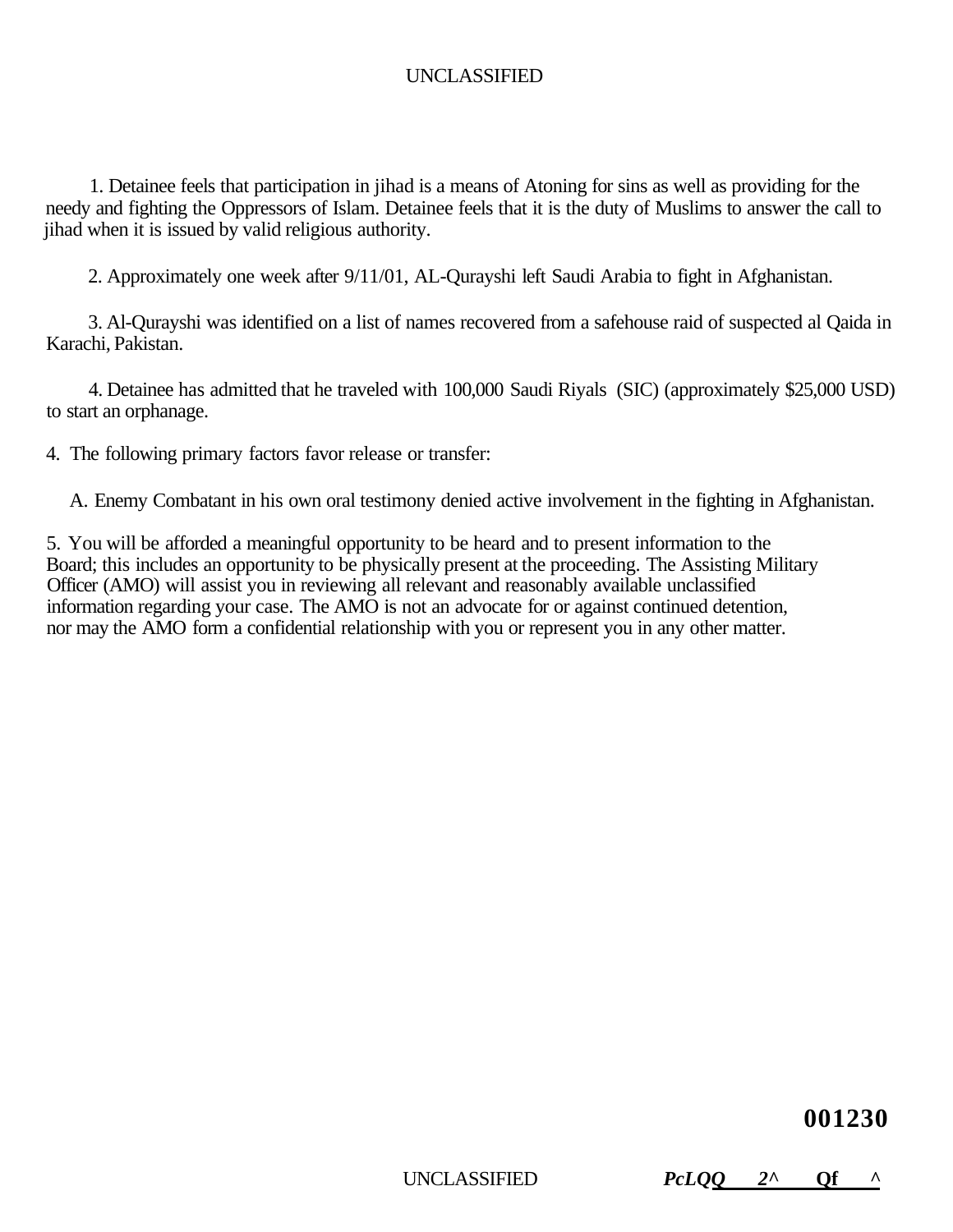1. Detainee feels that participation in jihad is a means of Atoning for sins as well as providing for the needy and fighting the Oppressors of Islam. Detainee feels that it is the duty of Muslims to answer the call to jihad when it is issued by valid religious authority.

2. Approximately one week after 9/11/01, AL-Qurayshi left Saudi Arabia to fight in Afghanistan.

3. Al-Qurayshi was identified on a list of names recovered from a safehouse raid of suspected al Qaida in Karachi, Pakistan.

4. Detainee has admitted that he traveled with 100,000 Saudi Riyals (SIC) (approximately \$25,000 USD) to start an orphanage.

4. The following primary factors favor release or transfer:

A. Enemy Combatant in his own oral testimony denied active involvement in the fighting in Afghanistan.

5. You will be afforded a meaningful opportunity to be heard and to present information to the Board; this includes an opportunity to be physically present at the proceeding. The Assisting Military Officer (AMO) will assist you in reviewing all relevant and reasonably available unclassified information regarding your case. The AMO is not an advocate for or against continued detention, nor may the AMO form a confidential relationship with you or represent you in any other matter.

# **001230**

UNCLASSIFIED *PcLQQ 2^* **Qf ^**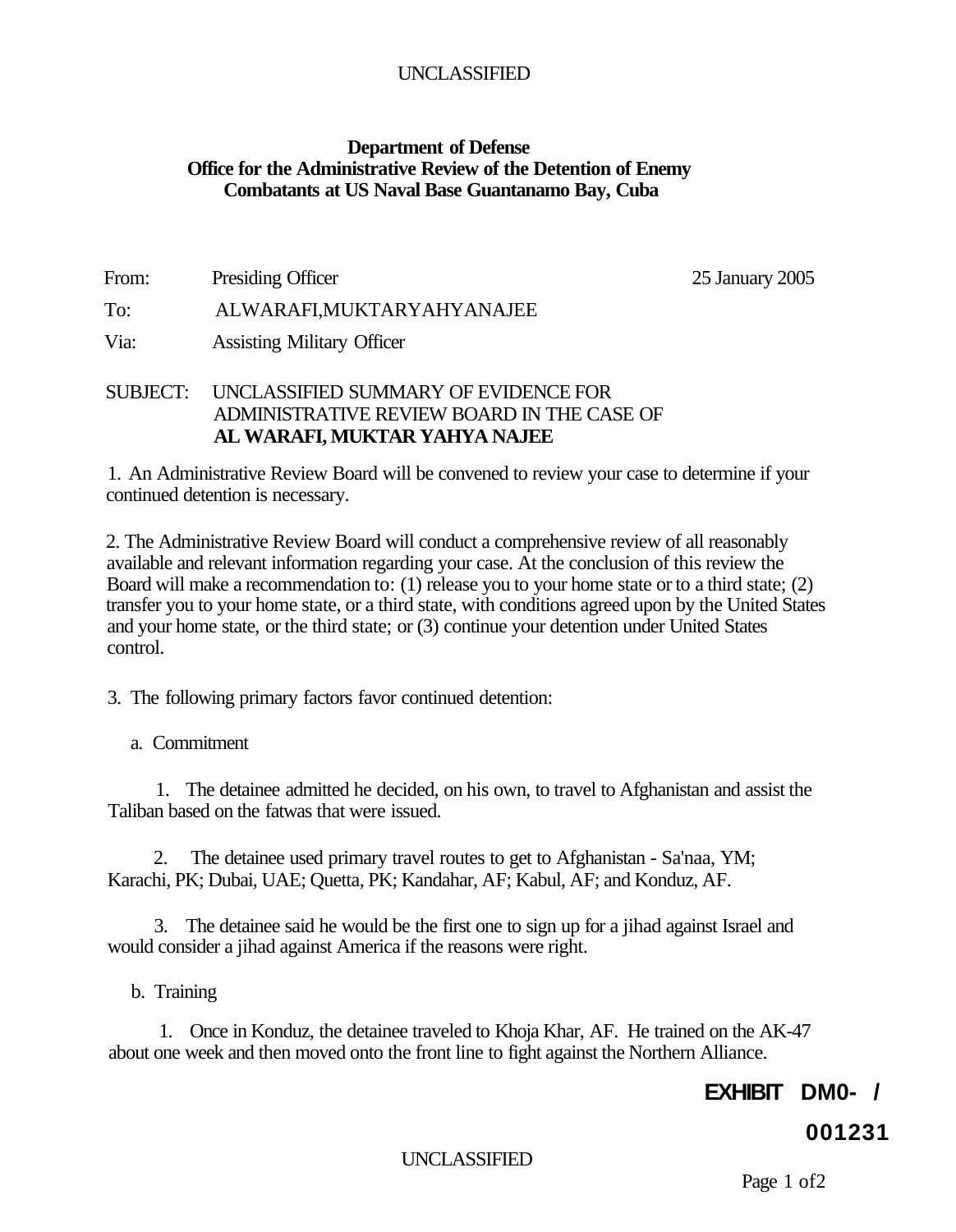#### **Department of Defense Office for the Administrative Review of the Detention of Enemy Combatants at US Naval Base Guantanamo Bay, Cuba**

From: Presiding Officer 25 January 2005

#### To: ALWARAFI,MUKTARYAHYANAJEE

Via: Assisting Military Officer

#### SUBJECT: UNCLASSIFIED SUMMARY OF EVIDENCE FOR ADMINISTRATIVE REVIEW BOARD IN THE CASE OF **AL WARAFI, MUKTAR YAHYA NAJEE**

1. An Administrative Review Board will be convened to review your case to determine if your continued detention is necessary.

2. The Administrative Review Board will conduct a comprehensive review of all reasonably available and relevant information regarding your case. At the conclusion of this review the Board will make a recommendation to: (1) release you to your home state or to a third state; (2) transfer you to your home state, or a third state, with conditions agreed upon by the United States and your home state, or the third state; or (3) continue your detention under United States control.

3. The following primary factors favor continued detention:

a. Commitment

1. The detainee admitted he decided, on his own, to travel to Afghanistan and assist the Taliban based on the fatwas that were issued.

2. The detainee used primary travel routes to get to Afghanistan - Sa'naa, YM; Karachi, PK; Dubai, UAE; Quetta, PK; Kandahar, AF; Kabul, AF; and Konduz, AF.

3. The detainee said he would be the first one to sign up for a jihad against Israel and would consider a jihad against America if the reasons were right.

b. Training

1. Once in Konduz, the detainee traveled to Khoja Khar, AF. He trained on the AK-47 about one week and then moved onto the front line to fight against the Northern Alliance.

# **EXHIBIT DM0- /**

# **001231**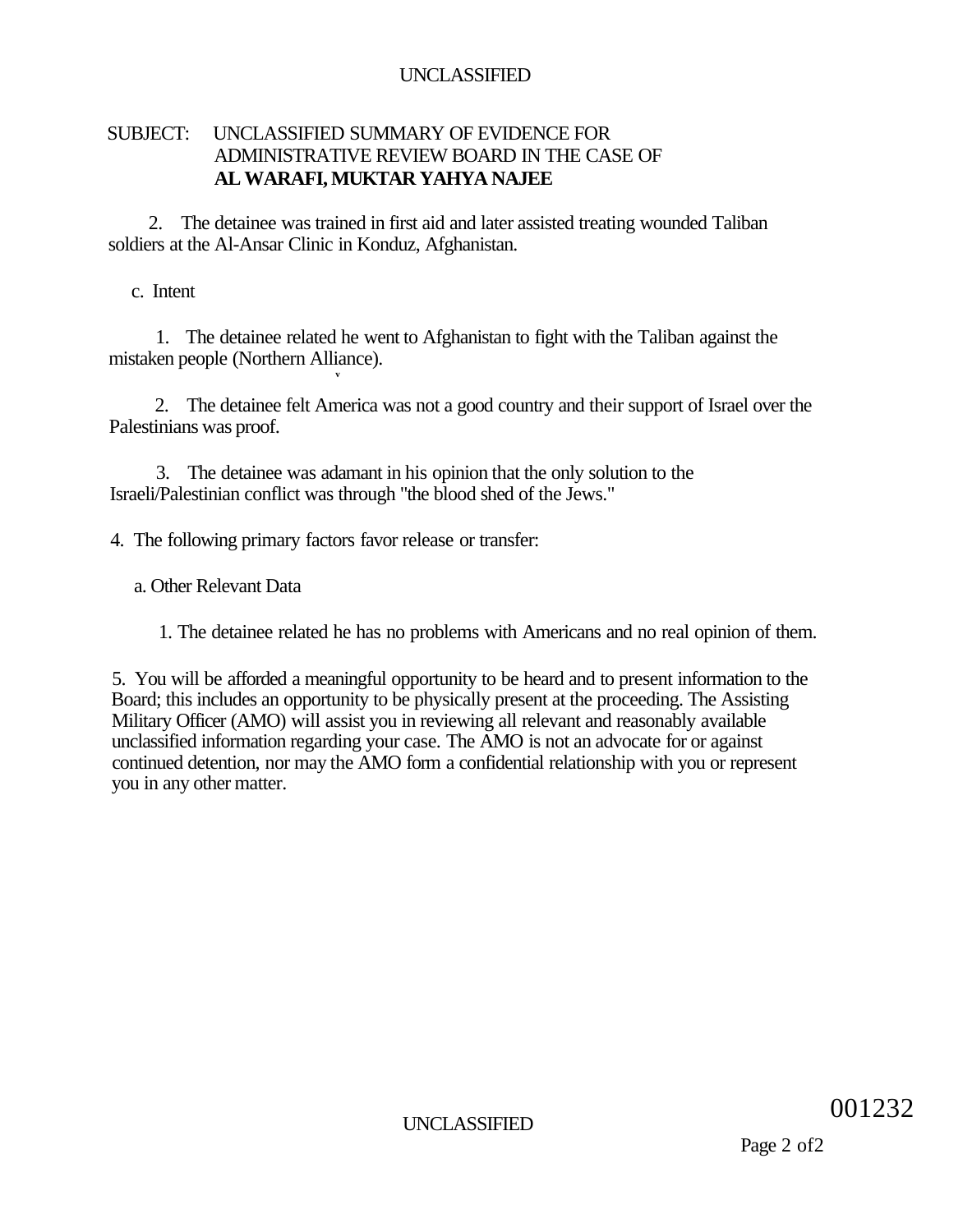# SUBJECT: UNCLASSIFIED SUMMARY OF EVIDENCE FOR ADMINISTRATIVE REVIEW BOARD IN THE CASE OF **AL WARAFI, MUKTAR YAHYA NAJEE**

2. The detainee was trained in first aid and later assisted treating wounded Taliban soldiers at the Al-Ansar Clinic in Konduz, Afghanistan.

c. Intent

1. The detainee related he went to Afghanistan to fight with the Taliban against the mistaken people (Northern Alliance).

2. The detainee felt America was not a good country and their support of Israel over the Palestinians was proof.

3. The detainee was adamant in his opinion that the only solution to the Israeli/Palestinian conflict was through "the blood shed of the Jews."

4. The following primary factors favor release or transfer:

**v** 

a. Other Relevant Data

1. The detainee related he has no problems with Americans and no real opinion of them.

5. You will be afforded a meaningful opportunity to be heard and to present information to the Board; this includes an opportunity to be physically present at the proceeding. The Assisting Military Officer (AMO) will assist you in reviewing all relevant and reasonably available unclassified information regarding your case. The AMO is not an advocate for or against continued detention, nor may the AMO form a confidential relationship with you or represent you in any other matter.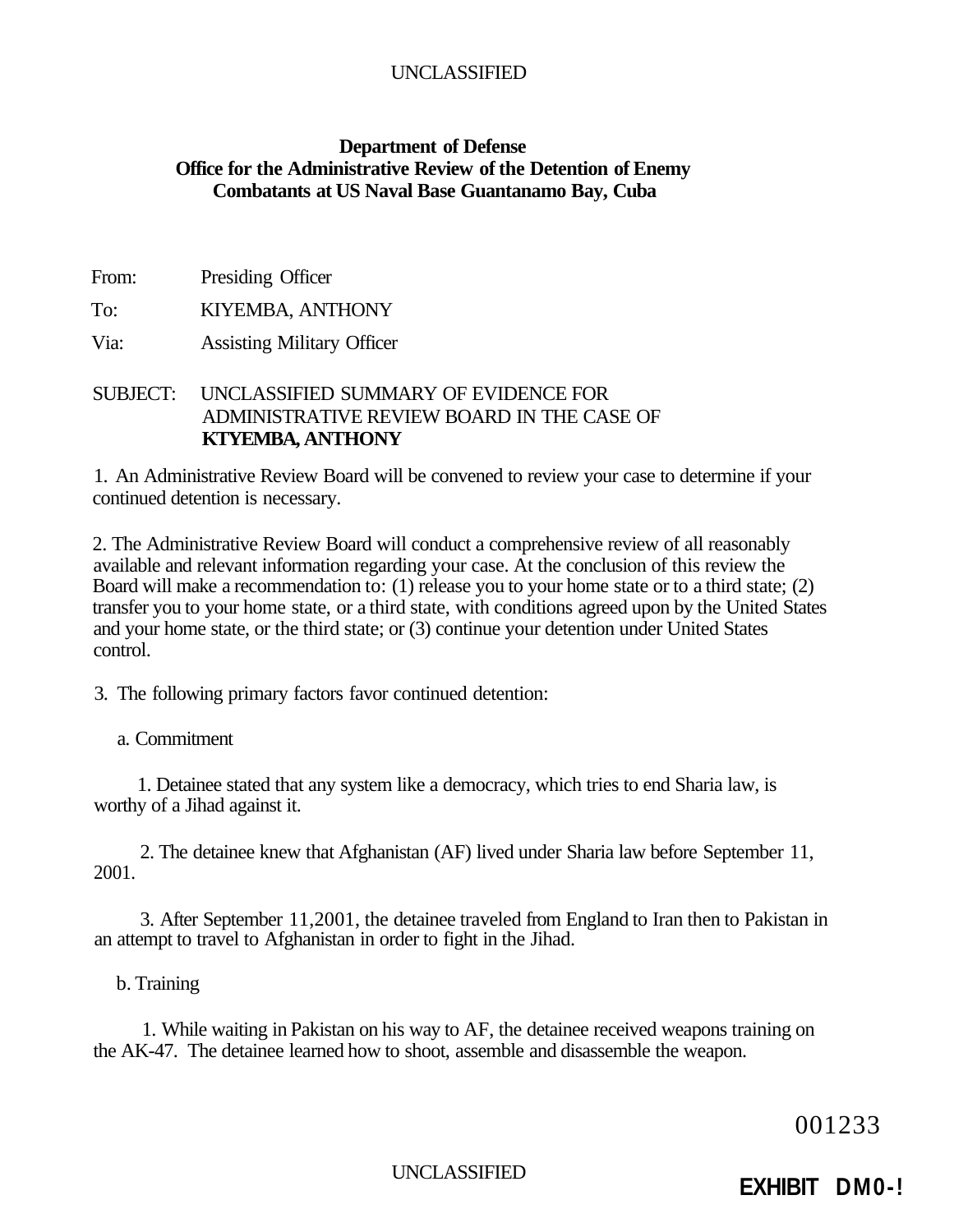# UNCLASSIFIED

### **Department of Defense Office for the Administrative Review of the Detention of Enemy Combatants at US Naval Base Guantanamo Bay, Cuba**

From: Presiding Officer

To: KIYEMBA, ANTHONY

Via: Assisting Military Officer

## SUBJECT: UNCLASSIFIED SUMMARY OF EVIDENCE FOR ADMINISTRATIVE REVIEW BOARD IN THE CASE OF **KTYEMBA, ANTHONY**

1. An Administrative Review Board will be convened to review your case to determine if your continued detention is necessary.

2. The Administrative Review Board will conduct a comprehensive review of all reasonably available and relevant information regarding your case. At the conclusion of this review the Board will make a recommendation to: (1) release you to your home state or to a third state; (2) transfer you to your home state, or a third state, with conditions agreed upon by the United States and your home state, or the third state; or (3) continue your detention under United States control.

3. The following primary factors favor continued detention:

#### a. Commitment

1. Detainee stated that any system like a democracy, which tries to end Sharia law, is worthy of a Jihad against it.

2. The detainee knew that Afghanistan (AF) lived under Sharia law before September 11, 2001.

3. After September 11,2001, the detainee traveled from England to Iran then to Pakistan in an attempt to travel to Afghanistan in order to fight in the Jihad.

#### b. Training

1. While waiting in Pakistan on his way to AF, the detainee received weapons training on the AK-47. The detainee learned how to shoot, assemble and disassemble the weapon.

001233

# UNCLASSIFIED **EXHIBIT DM0-!**